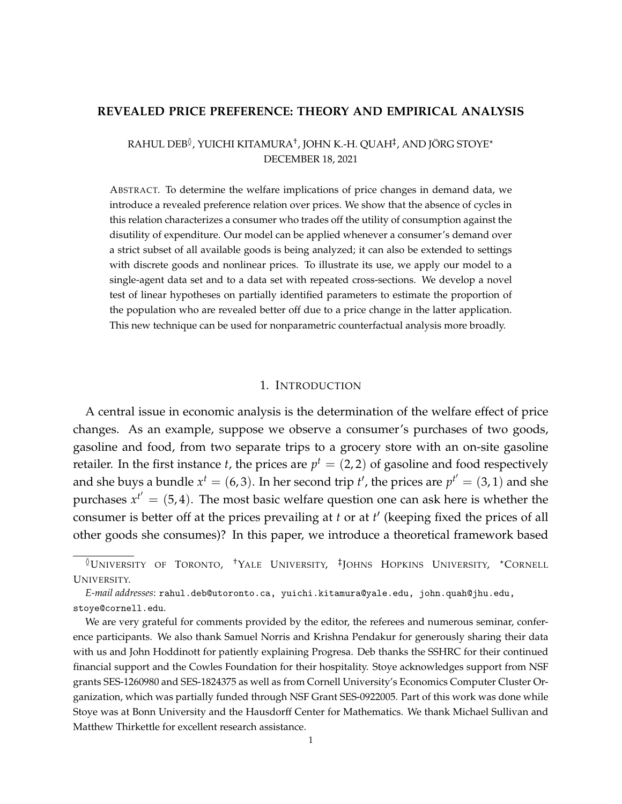### <span id="page-0-0"></span>**REVEALED PRICE PREFERENCE: THEORY AND EMPIRICAL ANALYSIS**

# RAHUL DEB<sup>≬</sup>, YUICHI KITAMURA<sup>†</sup>, JOHN K.-H. QUAH<sup>‡</sup>, AND JÖRG STOYE\* DECEMBER 18, 2021

ABSTRACT. To determine the welfare implications of price changes in demand data, we introduce a revealed preference relation over prices. We show that the absence of cycles in this relation characterizes a consumer who trades off the utility of consumption against the disutility of expenditure. Our model can be applied whenever a consumer's demand over a strict subset of all available goods is being analyzed; it can also be extended to settings with discrete goods and nonlinear prices. To illustrate its use, we apply our model to a single-agent data set and to a data set with repeated cross-sections. We develop a novel test of linear hypotheses on partially identified parameters to estimate the proportion of the population who are revealed better off due to a price change in the latter application. This new technique can be used for nonparametric counterfactual analysis more broadly.

#### 1. INTRODUCTION

A central issue in economic analysis is the determination of the welfare effect of price changes. As an example, suppose we observe a consumer's purchases of two goods, gasoline and food, from two separate trips to a grocery store with an on-site gasoline retailer. In the first instance *t*, the prices are  $p^t = (2,2)$  of gasoline and food respectively and she buys a bundle  $x^t = (6, 3)$ . In her second trip  $t'$ , the prices are  $p^{t'} = (3, 1)$  and she purchases  $x^{t'} = (5, 4)$ . The most basic welfare question one can ask here is whether the consumer is better off at the prices prevailing at *t* or at *t'* (keeping fixed the prices of all other goods she consumes)? In this paper, we introduce a theoretical framework based

<sup>&</sup>lt;sup>0</sup>UNIVERSITY OF TORONTO, <sup>†</sup>YALE UNIVERSITY, <sup>‡</sup>JOHNS HOPKINS UNIVERSITY, \*CORNELL UNIVERSITY.

*E-mail addresses*: rahul.deb@utoronto.ca, yuichi.kitamura@yale.edu, john.quah@jhu.edu, stoye@cornell.edu.

We are very grateful for comments provided by the editor, the referees and numerous seminar, conference participants. We also thank Samuel Norris and Krishna Pendakur for generously sharing their data with us and John Hoddinott for patiently explaining Progresa. Deb thanks the SSHRC for their continued financial support and the Cowles Foundation for their hospitality. Stoye acknowledges support from NSF grants SES-1260980 and SES-1824375 as well as from Cornell University's Economics Computer Cluster Organization, which was partially funded through NSF Grant SES-0922005. Part of this work was done while Stoye was at Bonn University and the Hausdorff Center for Mathematics. We thank Michael Sullivan and Matthew Thirkettle for excellent research assistance.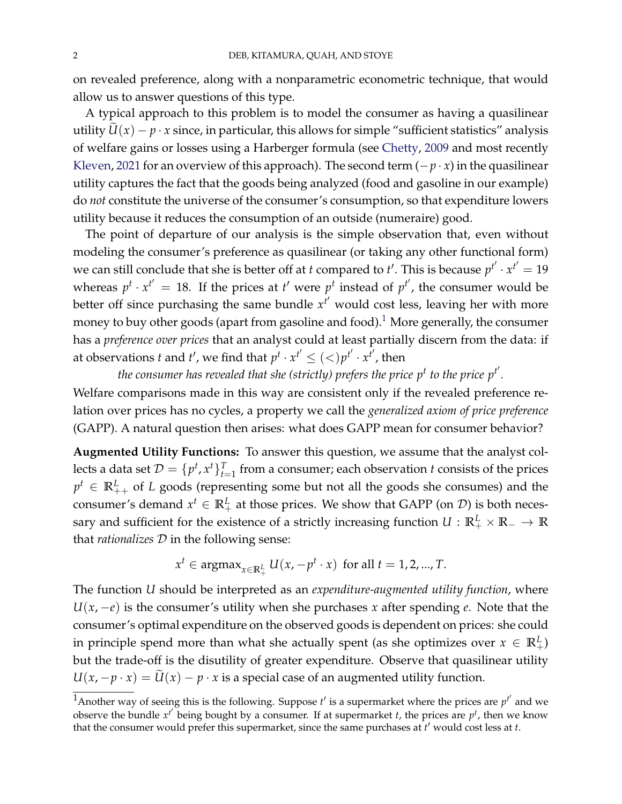on revealed preference, along with a nonparametric econometric technique, that would allow us to answer questions of this type.

A typical approach to this problem is to model the consumer as having a quasilinear utility  $\widetilde{U}(x) - p \cdot x$  since, in particular, this allows for simple "sufficient statistics" analysis of welfare gains or losses using a Harberger formula (see [Chetty,](#page-41-0) [2009](#page-41-0) and most recently [Kleven,](#page-42-0) [2021](#page-42-0) for an overview of this approach). The second term  $(-p \cdot x)$  in the quasilinear utility captures the fact that the goods being analyzed (food and gasoline in our example) do *not* constitute the universe of the consumer's consumption, so that expenditure lowers utility because it reduces the consumption of an outside (numeraire) good.

The point of departure of our analysis is the simple observation that, even without modeling the consumer's preference as quasilinear (or taking any other functional form) we can still conclude that she is better off at *t* compared to *t'*. This is because  $p^{t'} \cdot x^{t'} = 19$ whereas  $p^t \cdot x^{t'} = 18$ . If the prices at  $t'$  were  $p^t$  instead of  $p^{t'}$ , the consumer would be better off since purchasing the same bundle  $x^{t'}$  would cost less, leaving her with more money to buy other goods (apart from gasoline and food).<sup>[1](#page-0-0)</sup> More generally, the consumer has a *preference over prices* that an analyst could at least partially discern from the data: if at observations *t* and *t'*, we find that  $p^t \cdot x^{t'} \leq ($ 

the consumer has revealed that she (strictly) prefers the price  $p^t$  to the price  $p^{t^{\prime}}.$ 

Welfare comparisons made in this way are consistent only if the revealed preference relation over prices has no cycles, a property we call the *generalized axiom of price preference* (GAPP). A natural question then arises: what does GAPP mean for consumer behavior?

**Augmented Utility Functions:** To answer this question, we assume that the analyst collects a data set  $\mathcal{D} = \{p^t, x^t\}_{t=1}^T$  from a consumer; each observation  $t$  consists of the prices  $p^t \in \mathbb{R}_{++}^L$  of *L* goods (representing some but not all the goods she consumes) and the consumer's demand  $x^t \in \mathbb{R}^L_+$  at those prices. We show that GAPP (on  $\mathcal{D}$ ) is both necessary and sufficient for the existence of a strictly increasing function  $U: \mathbb{R}^L_+ \times \mathbb{R}_- \to \mathbb{R}$ that *rationalizes* D in the following sense:

$$
x^t \in \text{argmax}_{x \in \mathbb{R}_+^L} U(x, -p^t \cdot x) \text{ for all } t = 1, 2, ..., T.
$$

The function *U* should be interpreted as an *expenditure-augmented utility function*, where *U*(*x*, −*e*) is the consumer's utility when she purchases *x* after spending *e*. Note that the consumer's optimal expenditure on the observed goods is dependent on prices: she could in principle spend more than what she actually spent (as she optimizes over  $x \in \mathbb{R}^L_+$ ) but the trade-off is the disutility of greater expenditure. Observe that quasilinear utility  $U(x, -p \cdot x) = \widetilde{U}(x) - p \cdot x$  is a special case of an augmented utility function.

<sup>&</sup>lt;sup>1</sup>Another way of seeing this is the following. Suppose  $t'$  is a supermarket where the prices are  $p^{t'}$  and we observe the bundle  $x^{t'}$  being bought by a consumer. If at supermarket *t*, the prices are  $p^{t}$ , then we know that the consumer would prefer this supermarket, since the same purchases at *t'* would cost less at *t*.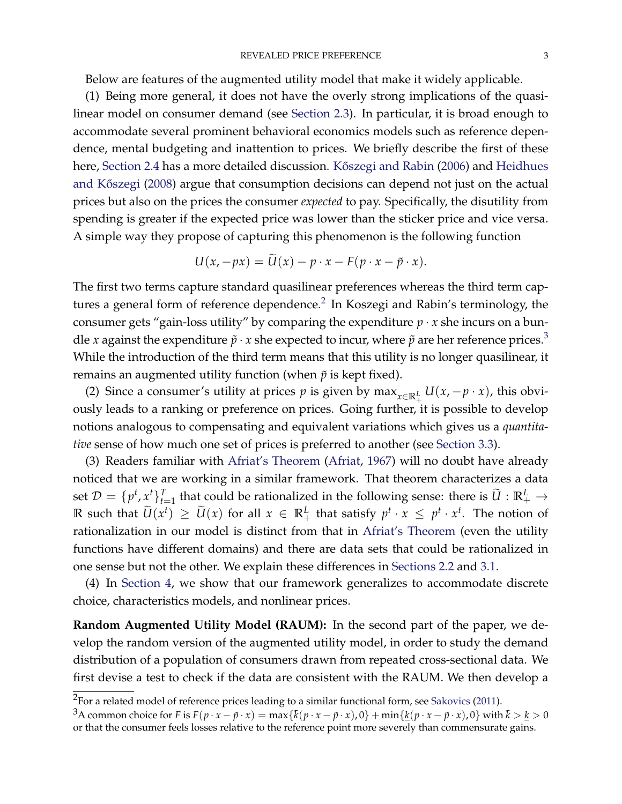Below are features of the augmented utility model that make it widely applicable.

(1) Being more general, it does not have the overly strong implications of the quasilinear model on consumer demand (see [Section](#page-9-0) [2.3\)](#page-9-0). In particular, it is broad enough to accommodate several prominent behavioral economics models such as reference dependence, mental budgeting and inattention to prices. We briefly describe the first of these here, [Section](#page-10-0) [2.4](#page-10-0) has a more detailed discussion. Kőszegi and Rabin [\(2006\)](#page-42-1) and [Heidhues](#page-42-2) and Kőszegi [\(2008\)](#page-42-2) argue that consumption decisions can depend not just on the actual prices but also on the prices the consumer *expected* to pay. Specifically, the disutility from spending is greater if the expected price was lower than the sticker price and vice versa. A simple way they propose of capturing this phenomenon is the following function

$$
U(x,-px) = U(x) - p \cdot x - F(p \cdot x - \tilde{p} \cdot x).
$$

The first two terms capture standard quasilinear preferences whereas the third term captures a general form of reference dependence. $^2$  $^2$  In Koszegi and Rabin's terminology, the consumer gets "gain-loss utility" by comparing the expenditure  $p \cdot x$  she incurs on a bundle *x* against the expenditure  $\tilde{p} \cdot x$  she expected to incur, where  $\tilde{p}$  are her reference prices.<sup>[3](#page-0-0)</sup> While the introduction of the third term means that this utility is no longer quasilinear, it remains an augmented utility function (when  $\tilde{p}$  is kept fixed).

(2) Since a consumer's utility at prices *p* is given by  $\max_{x \in \mathbb{R}^L_+} U(x, -p \cdot x)$ , this obviously leads to a ranking or preference on prices. Going further, it is possible to develop notions analogous to compensating and equivalent variations which gives us a *quantitative* sense of how much one set of prices is preferred to another (see [Section](#page-16-0) [3.3\)](#page-16-0).

(3) Readers familiar with [Afriat's Theorem](#page-44-0) [\(Afriat,](#page-40-0) [1967\)](#page-40-0) will no doubt have already noticed that we are working in a similar framework. That theorem characterizes a data set  $\mathcal{D} = \{p^t, x^t\}_{t=1}^T$  that could be rationalized in the following sense: there is  $\widetilde{U}: \mathbb{R}_+^L \to$  $\mathbb{R}$  such that  $\widetilde{U}(x^t) \ge \widetilde{U}(x)$  for all  $x \in \mathbb{R}^L_+$  that satisfy  $p^t \cdot x \le p^t \cdot x^t$ . The notion of rationalization in our model is distinct from that in [Afriat's Theorem](#page-44-0) (even the utility functions have different domains) and there are data sets that could be rationalized in one sense but not the other. We explain these differences in [Sections](#page-6-0) [2.2](#page-6-0) and [3.1.](#page-13-0)

(4) In [Section](#page-19-0) [4,](#page-19-0) we show that our framework generalizes to accommodate discrete choice, characteristics models, and nonlinear prices.

**Random Augmented Utility Model (RAUM):** In the second part of the paper, we develop the random version of the augmented utility model, in order to study the demand distribution of a population of consumers drawn from repeated cross-sectional data. We first devise a test to check if the data are consistent with the RAUM. We then develop a

 $^2$ For a related model of reference prices leading to a similar functional form, see [Sakovics](#page-43-0) [\(2011\)](#page-43-0).

<sup>&</sup>lt;sup>3</sup>A common choice for F is  $F(p \cdot x - \tilde{p} \cdot x) = \max{\{\bar{k}(p \cdot x - \tilde{p} \cdot x), 0\}} + \min{\{\underline{k}(p \cdot x - \tilde{p} \cdot x), 0\}}$  with  $\bar{k} > \underline{k} > 0$ or that the consumer feels losses relative to the reference point more severely than commensurate gains.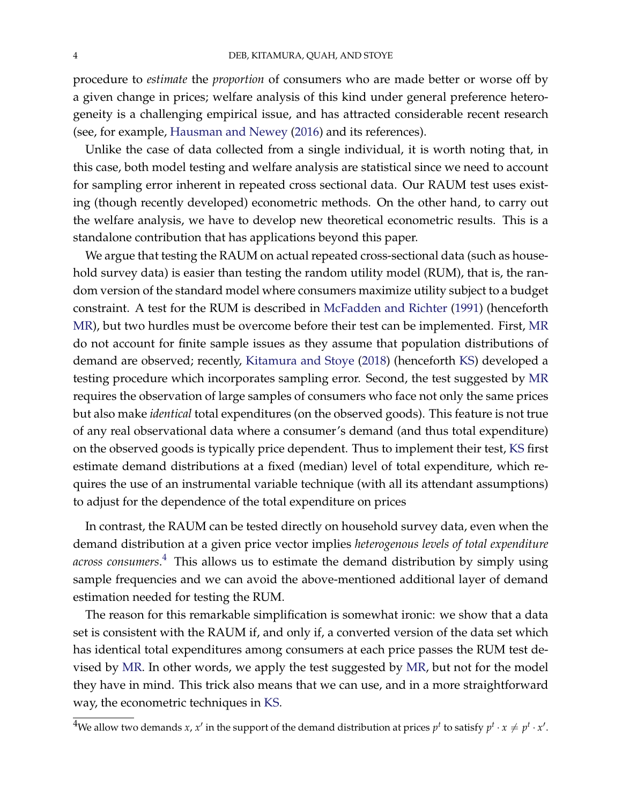procedure to *estimate* the *proportion* of consumers who are made better or worse off by a given change in prices; welfare analysis of this kind under general preference heterogeneity is a challenging empirical issue, and has attracted considerable recent research (see, for example, [Hausman and Newey](#page-42-3) [\(2016\)](#page-42-3) and its references).

Unlike the case of data collected from a single individual, it is worth noting that, in this case, both model testing and welfare analysis are statistical since we need to account for sampling error inherent in repeated cross sectional data. Our RAUM test uses existing (though recently developed) econometric methods. On the other hand, to carry out the welfare analysis, we have to develop new theoretical econometric results. This is a standalone contribution that has applications beyond this paper.

We argue that testing the RAUM on actual repeated cross-sectional data (such as household survey data) is easier than testing the random utility model (RUM), that is, the random version of the standard model where consumers maximize utility subject to a budget constraint. A test for the RUM is described in [McFadden and Richter](#page-42-4) [\(1991\)](#page-42-4) (henceforth [MR\)](#page-42-4), but two hurdles must be overcome before their test can be implemented. First, [MR](#page-42-4) do not account for finite sample issues as they assume that population distributions of demand are observed; recently, [Kitamura and Stoye](#page-42-5) [\(2018\)](#page-42-5) (henceforth [KS\)](#page-42-5) developed a testing procedure which incorporates sampling error. Second, the test suggested by [MR](#page-42-4) requires the observation of large samples of consumers who face not only the same prices but also make *identical* total expenditures (on the observed goods). This feature is not true of any real observational data where a consumer's demand (and thus total expenditure) on the observed goods is typically price dependent. Thus to implement their test, [KS](#page-42-5) first estimate demand distributions at a fixed (median) level of total expenditure, which requires the use of an instrumental variable technique (with all its attendant assumptions) to adjust for the dependence of the total expenditure on prices

In contrast, the RAUM can be tested directly on household survey data, even when the demand distribution at a given price vector implies *heterogenous levels of total expenditure across consumers*. [4](#page-0-0) This allows us to estimate the demand distribution by simply using sample frequencies and we can avoid the above-mentioned additional layer of demand estimation needed for testing the RUM.

The reason for this remarkable simplification is somewhat ironic: we show that a data set is consistent with the RAUM if, and only if, a converted version of the data set which has identical total expenditures among consumers at each price passes the RUM test devised by [MR.](#page-42-4) In other words, we apply the test suggested by [MR,](#page-42-4) but not for the model they have in mind. This trick also means that we can use, and in a more straightforward way, the econometric techniques in [KS.](#page-42-5)

<sup>&</sup>lt;sup>4</sup>We allow two demands *x*, *x'* in the support of the demand distribution at prices  $p^t$  to satisfy  $p^t \cdot x \neq p^t \cdot x'$ .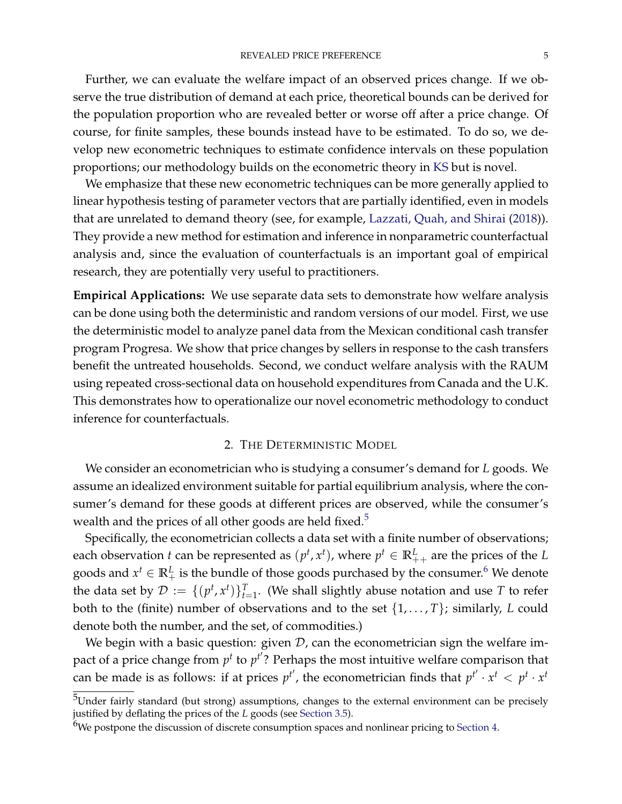Further, we can evaluate the welfare impact of an observed prices change. If we observe the true distribution of demand at each price, theoretical bounds can be derived for the population proportion who are revealed better or worse off after a price change. Of course, for finite samples, these bounds instead have to be estimated. To do so, we develop new econometric techniques to estimate confidence intervals on these population proportions; our methodology builds on the econometric theory in [KS](#page-42-5) but is novel.

We emphasize that these new econometric techniques can be more generally applied to linear hypothesis testing of parameter vectors that are partially identified, even in models that are unrelated to demand theory (see, for example, [Lazzati, Quah, and Shirai](#page-42-6) [\(2018\)](#page-42-6)). They provide a new method for estimation and inference in nonparametric counterfactual analysis and, since the evaluation of counterfactuals is an important goal of empirical research, they are potentially very useful to practitioners.

**Empirical Applications:** We use separate data sets to demonstrate how welfare analysis can be done using both the deterministic and random versions of our model. First, we use the deterministic model to analyze panel data from the Mexican conditional cash transfer program Progresa. We show that price changes by sellers in response to the cash transfers benefit the untreated households. Second, we conduct welfare analysis with the RAUM using repeated cross-sectional data on household expenditures from Canada and the U.K. This demonstrates how to operationalize our novel econometric methodology to conduct inference for counterfactuals.

#### 2. THE DETERMINISTIC MODEL

<span id="page-4-0"></span>We consider an econometrician who is studying a consumer's demand for *L* goods. We assume an idealized environment suitable for partial equilibrium analysis, where the consumer's demand for these goods at different prices are observed, while the consumer's wealth and the prices of all other goods are held fixed.<sup>[5](#page-0-0)</sup>

Specifically, the econometrician collects a data set with a finite number of observations; each observation *t* can be represented as  $(p^t, x^t)$ , where  $p^t \in \mathbb{R}^L_{++}$  are the prices of the *L* goods and  $x^t \in \mathbb{R}_+^L$  is the bundle of those goods purchased by the consumer.<sup>[6](#page-0-0)</sup> We denote the data set by  $\mathcal{D} := \{ (p^t, x^t) \}_{t=1}^T$ . (We shall slightly abuse notation and use *T* to refer both to the (finite) number of observations and to the set {1, . . . , *T*}; similarly, *L* could denote both the number, and the set, of commodities.)

We begin with a basic question: given  $D$ , can the econometrician sign the welfare impact of a price change from  $p^t$  to  $p^{t'}$ ? Perhaps the most intuitive welfare comparison that can be made is as follows: if at prices  $p^{t'}$ , the econometrician finds that  $p^{t'} \cdot x^t < p^t \cdot x^t$ 

 $^5$ Under fairly standard (but strong) assumptions, changes to the external environment can be precisely justified by deflating the prices of the *L* goods (see [Section](#page-18-0) [3.5\)](#page-18-0).

 $6$ We postpone the discussion of discrete consumption spaces and nonlinear pricing to [Section](#page-19-0) [4.](#page-19-0)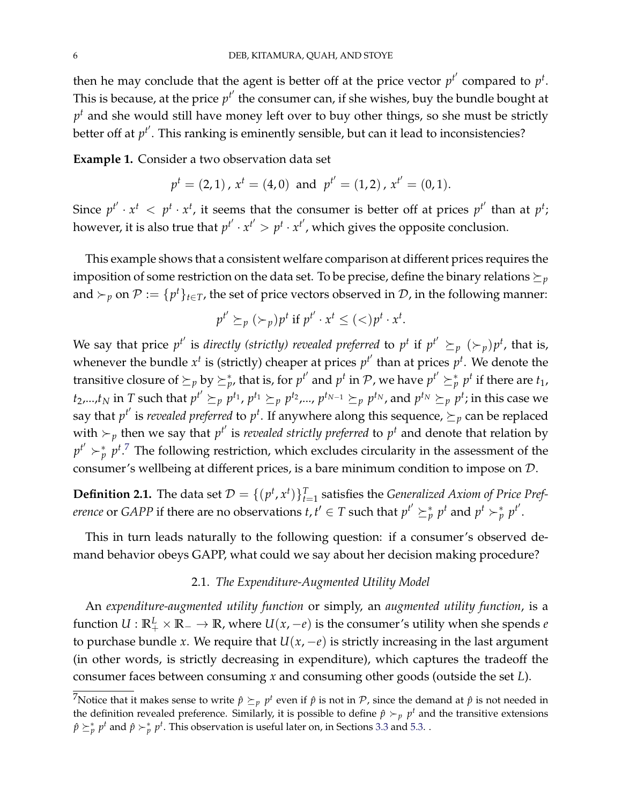then he may conclude that the agent is better off at the price vector  $p^{t'}$  compared to  $p^{t}$ . This is because, at the price  $p^{t'}$  the consumer can, if she wishes, buy the bundle bought at  $p^t$  and she would still have money left over to buy other things, so she must be strictly better off at  $p^{t'}$ . This ranking is eminently sensible*,* but can it lead to inconsistencies?

<span id="page-5-0"></span>**Example 1.** Consider a two observation data set

$$
p^{t} = (2, 1), x^{t} = (4, 0)
$$
 and  $p^{t'} = (1, 2), x^{t'} = (0, 1).$ 

Since  $p^{t'} \cdot x^t \leq p^t \cdot x^t$ , it seems that the consumer is better off at prices  $p^{t'}$  than at  $p^t$ ; however, it is also true that  $p^{t'} \cdot x^{t'} > p^t \cdot x^{t'}$ , which gives the opposite conclusion.

This example shows that a consistent welfare comparison at different prices requires the imposition of some restriction on the data set. To be precise, define the binary relations  $\succeq_{p}$ and  $\succ_p$  on  $\mathcal{P} := \{p^t\}_{t \in \mathcal{T}}$ , the set of price vectors observed in  $\mathcal{D}$ , in the following manner:

$$
p^{t'} \succeq_{p} (\succ_{p}) p^{t} \text{ if } p^{t'} \cdot x^{t} \leq (\lt) p^{t} \cdot x^{t}.
$$

We say that price  $p^{t'}$  is *directly (strictly) revealed preferred* to  $p^t$  if  $p^{t'}\succeq_{p}(\succ_{p})p^{t}$ , that is, whenever the bundle  $x^t$  is (strictly) cheaper at prices  $p^{t'}$  than at prices  $p^t$ . We denote the transitive closure of  $\succeq_p$  by  $\succeq^*_p$ , that is, for  $p^{t'}$  and  $p^t$  in  ${\cal P}$ , we have  $p^{t'}\succeq^*_p p^t$  if there are  $t_1$ ,  $t_2,...,t_N$  in  $T$  such that  $p^{t'}\succeq_p p^{t_1}$ ,  $p^{t_1}\succeq_p p^{t_2}$ ,…,  $p^{t_{N-1}}\succeq_p p^{t_N}$ , and  $p^{t_N}\succeq_p p^{t}$ ; in this case we say that  $p^{t'}$  is *revealed preferred* to  $p^t$ . If anywhere along this sequence,  $\succeq_p$  can be replaced with  $\succ_p$  then we say that  $p^{t'}$  is *revealed strictly preferred* to  $p^t$  and denote that relation by  $p^{t'} \succ_p^* p^{t}$ .<sup>[7](#page-0-0)</sup> The following restriction, which excludes circularity in the assessment of the consumer's wellbeing at different prices, is a bare minimum condition to impose on D.

**Definition 2.1.** The data set  $\mathcal{D} = \{(p^t, x^t)\}_{t=1}^T$  satisfies the *Generalized Axiom of Price Preference* or *GAPP* if there are no observations  $t, t' \in T$  such that  $p^{t'} \succeq^*_{p} p^{t}$  and  $p^{t} \succ^*_{p} p^{t'}$ .

This in turn leads naturally to the following question: if a consumer's observed demand behavior obeys GAPP, what could we say about her decision making procedure?

### 2.1. *The Expenditure-Augmented Utility Model*

An *expenditure-augmented utility function* or simply, an *augmented utility function*, is a function  $U: \mathbb{R}^L_+ \times \mathbb{R}_- \to \mathbb{R}$ , where  $U(x,-e)$  is the consumer's utility when she spends  $e$ to purchase bundle *x*. We require that  $U(x, -e)$  is strictly increasing in the last argument (in other words, is strictly decreasing in expenditure), which captures the tradeoff the consumer faces between consuming *x* and consuming other goods (outside the set *L*).

<sup>&</sup>lt;sup>7</sup>Notice that it makes sense to write  $\hat{p} \succeq_p p^t$  even if  $\hat{p}$  is not in P, since the demand at  $\hat{p}$  is not needed in the definition revealed preference. Similarly, it is possible to define  $\hat{p} \succ_p p^t$  and the transitive extensions  $\hat{p} \succeq^*_{p} p^t$  and  $\hat{p} \succ^*_{p} p^t$ . This observation is useful later on, in Sections [3.3](#page-16-0) and [5.3.](#page-28-0) .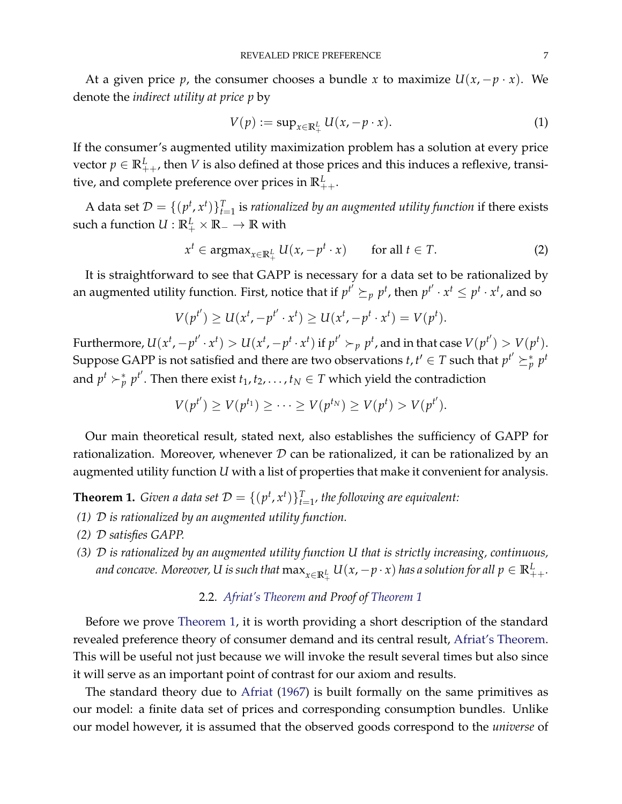At a given price *p*, the consumer chooses a bundle *x* to maximize  $U(x, -p \cdot x)$ . We denote the *indirect utility at price p* by

<span id="page-6-3"></span><span id="page-6-2"></span>
$$
V(p) := \sup_{x \in \mathbb{R}_+^L} U(x, -p \cdot x). \tag{1}
$$

If the consumer's augmented utility maximization problem has a solution at every price vector  $p \in \mathbb{R}^L_{++}$ , then *V* is also defined at those prices and this induces a reflexive, transitive, and complete preference over prices in  $\mathbb{R}^L_{++}.$ 

A data set  $\mathcal{D} = \{ (p^t, x^t) \}_{t=1}^T$  is *rationalized by an augmented utility function* if there exists such a function  $U:\mathbb{R}^L_+ \times \mathbb{R}_- \to \mathbb{R}$  with

$$
x^{t} \in \operatorname{argmax}_{x \in \mathbb{R}_{+}^{L}} U(x, -p^{t} \cdot x) \qquad \text{for all } t \in T. \tag{2}
$$

It is straightforward to see that GAPP is necessary for a data set to be rationalized by an augmented utility function. First, notice that if  $p^{t'} \succeq_{p} p^{t}$ , then  $p^{t'} \cdot x^{t} \leq p^{t} \cdot x^{t}$ , and so

$$
V(p^{t'}) \ge U(x^{t}, -p^{t'} \cdot x^{t}) \ge U(x^{t}, -p^{t} \cdot x^{t}) = V(p^{t}).
$$

Furthermore,  $U(x^t, -p^{t'}\cdot x^t) > U(x^t, -p^{t}\cdot x^t)$  if  $p^{t'} \succ_p p^t$ , and in that case  $V(p^{t'}) > V(p^t)$ . Suppose GAPP is not satisfied and there are two observations  $t, t' \in T$  such that  $p^{t'} \succeq^*_{p} p^{t}$ and  $p^t \succ^*_p p^{t'}$ . Then there exist  $t_1, t_2, \ldots, t_N \in T$  which yield the contradiction

$$
V(p^{t'}) \geq V(p^{t_1}) \geq \cdots \geq V(p^{t_N}) \geq V(p^{t}) > V(p^{t'}).
$$

Our main theoretical result, stated next, also establishes the sufficiency of GAPP for rationalization. Moreover, whenever  $D$  can be rationalized, it can be rationalized by an augmented utility function *U* with a list of properties that make it convenient for analysis.

<span id="page-6-1"></span>**Theorem 1.** *Given a data set*  $\mathcal{D} = \{(p^t, x^t)\}_{t=1}^T$ , the following are equivalent:

- *(1)* D *is rationalized by an augmented utility function.*
- *(2)* D *satisfies GAPP.*
- *(3)* D *is rationalized by an augmented utility function U that is strictly increasing, continuous,* and concave. Moreover, U is such that  $\max_{x\in \mathbb{R}^L_+} U(x,-p\cdot x)$  has a solution for all  $p\in \mathbb{R}^L_{++}.$

# 2.2. *[Afriat's Theorem](#page-44-0) and Proof of [Theorem](#page-6-1) [1](#page-6-1)*

<span id="page-6-0"></span>Before we prove [Theorem](#page-6-1) [1,](#page-6-1) it is worth providing a short description of the standard revealed preference theory of consumer demand and its central result, [Afriat's Theorem.](#page-44-0) This will be useful not just because we will invoke the result several times but also since it will serve as an important point of contrast for our axiom and results.

The standard theory due to [Afriat](#page-40-0) [\(1967\)](#page-40-0) is built formally on the same primitives as our model: a finite data set of prices and corresponding consumption bundles. Unlike our model however, it is assumed that the observed goods correspond to the *universe* of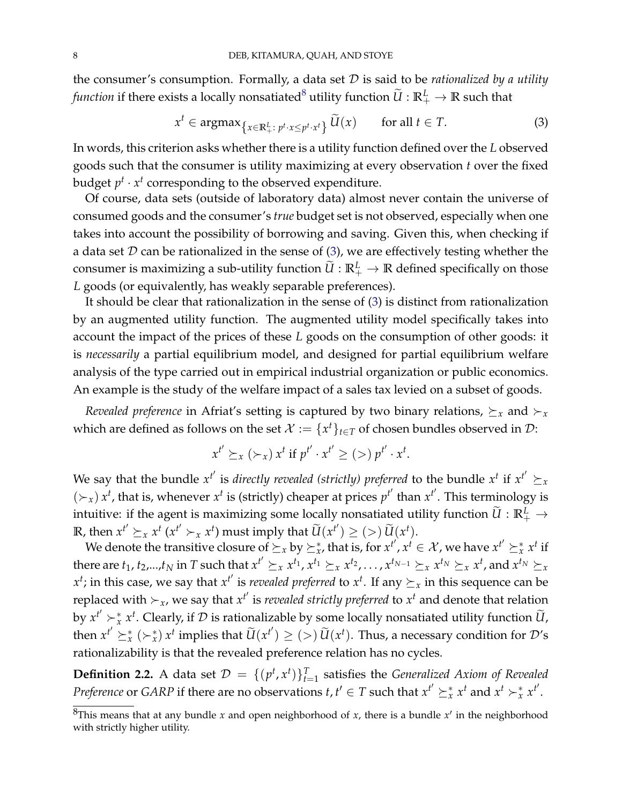the consumer's consumption. Formally, a data set D is said to be *rationalized by a utility function* if there exists a locally nonsatiated $^8$  $^8$  utility function  $\widetilde{U}:\mathbb{R}^L_+ \to \mathbb{R}$  such that

<span id="page-7-0"></span>
$$
x^{t} \in \operatorname{argmax}_{\left\{x \in \mathbb{R}^{L}_{+}: \, p^{t} \cdot x \le p^{t} \cdot x^{t}\right\}} \widetilde{U}(x) \qquad \text{for all } t \in T. \tag{3}
$$

In words, this criterion asks whether there is a utility function defined over the *L* observed goods such that the consumer is utility maximizing at every observation *t* over the fixed budget  $p^t \cdot x^t$  corresponding to the observed expenditure.

Of course, data sets (outside of laboratory data) almost never contain the universe of consumed goods and the consumer's *true* budget set is not observed, especially when one takes into account the possibility of borrowing and saving. Given this, when checking if a data set  $D$  can be rationalized in the sense of [\(3\)](#page-7-0), we are effectively testing whether the consumer is maximizing a sub-utility function  $\widetilde{U}:\mathbb{R}^L_+ \to \mathbb{R}$  defined specifically on those *L* goods (or equivalently, has weakly separable preferences).

It should be clear that rationalization in the sense of [\(3\)](#page-7-0) is distinct from rationalization by an augmented utility function. The augmented utility model specifically takes into account the impact of the prices of these *L* goods on the consumption of other goods: it is *necessarily* a partial equilibrium model, and designed for partial equilibrium welfare analysis of the type carried out in empirical industrial organization or public economics. An example is the study of the welfare impact of a sales tax levied on a subset of goods.

*Revealed preference* in Afriat's setting is captured by two binary relations,  $\succeq_x$  and  $\succ_x$ which are defined as follows on the set  $\mathcal{X} := \{x^t\}_{t \in T}$  of chosen bundles observed in  $\mathcal{D}$ :

$$
x^{t'} \succeq_x (\succ_x) x^t \text{ if } p^{t'} \cdot x^{t'} \geq (>) p^{t'} \cdot x^t.
$$

We say that the bundle  $x^{t'}$  is *directly revealed (strictly) preferred* to the bundle  $x^{t}$  if  $x^{t'} \succeq x$  $(\succ_x)$  *x*<sup>*t*</sup>, that is, whenever *x<sup>t</sup>* is (strictly) cheaper at prices *p*<sup>*t'*</sup> than *x<sup>t'</sup>*. This terminology is intuitive: if the agent is maximizing some locally nonsatiated utility function  $\widetilde{U}:\mathbb{R}^L_+ \to$ **R**, then  $x^{t'} \succeq_x x^t (x^{t'} \succ_x x^t)$  must imply that  $\widetilde{U}(x^{t'}) \geq (>) \widetilde{U}(x^t)$ .

We denote the transitive closure of  $\succeq_x$  by  $\succeq^*_x$ , that is, for  $x^{t'}$ ,  $x^t \in \mathcal{X}$ , we have  $x^{t'} \succeq^*_x x^t$  if there are  $t_1, t_2,...,t_N$  in T such that  $x^{t'} \succeq_x x^{t_1}, x^{t_1} \succeq_x x^{t_2},..., x^{t_{N-1}} \succeq_x x^{t_N} \succeq_x x^{t}$ , and  $x^{t_N} \succeq_x x^{t_N}$  $x^t$ ; in this case, we say that  $x^{t'}$  is *revealed preferred* to  $x^t$ . If any  $\succeq_x$  in this sequence can be replaced with  $\succ x$ , we say that  $x^{t'}$  is *revealed strictly preferred* to  $x^{t}$  and denote that relation by  $x^{t'} \succ_x^* x^t$ . Clearly, if  $\mathcal D$  is rationalizable by some locally nonsatiated utility function  $\widetilde U$ , then  $x^{t'} \succeq^*_x (\succ^*_x) x^t$  implies that  $\widetilde{U}(x^{t'}) \geq (>) \widetilde{U}(x^t)$ . Thus, a necessary condition for  $\mathcal{D}'s$ rationalizability is that the revealed preference relation has no cycles.

**Definition 2.2.** A data set  $\mathcal{D} = \{(p^t, x^t)\}_{t=1}^T$  satisfies the *Generalized Axiom of Revealed Preference* or *GARP* if there are no observations *t*,  $t' \in T$  such that  $x^{t'} \succeq^*_x x^t$  and  $x^t \succ^*_x x^{t'}$ .

 ${}^{8}$ This means that at any bundle *x* and open neighborhood of *x*, there is a bundle  $x'$  in the neighborhood with strictly higher utility.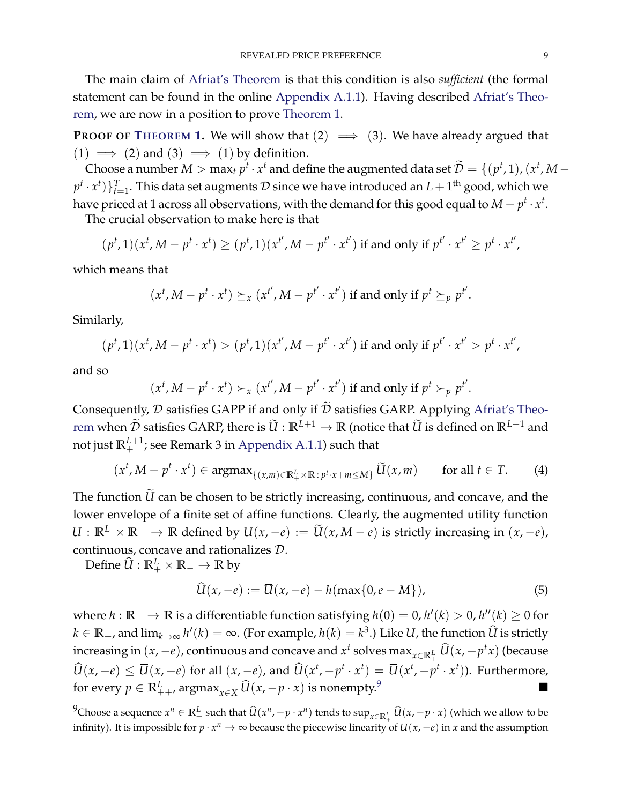The main claim of [Afriat's Theorem](#page-44-0) is that this condition is also *sufficient* (the formal statement can be found in the online [Appendix](#page-44-1) [A.1.1\)](#page-44-1). Having described [Afriat's Theo](#page-44-0)[rem,](#page-44-0) we are now in a position to prove [Theorem](#page-6-1) [1.](#page-6-1)

**PROOF OF T[HEOREM](#page-6-1) [1.](#page-6-1)** We will show that  $(2) \implies (3)$ . We have already argued that (1)  $\implies$  (2) and (3)  $\implies$  (1) by definition.

Choose a number  $M > \max_t p^t \cdot x^t$  and define the augmented data set  $\widetilde{\mathcal{D}} = \{(p^t, 1), (x^t, M - 1)\}$  $(p^t \cdot x^t)\}_{t=1}^T.$  This data set augments  $\mathcal D$  since we have introduced an  $L+1^{\text{th}}$  good, which we have priced at 1 across all observations, with the demand for this good equal to  $M-p^t\cdot x^t.$ 

The crucial observation to make here is that

$$
(p^t, 1)(x^t, M - p^t \cdot x^t) \ge (p^t, 1)(x^{t'}, M - p^{t'} \cdot x^{t'}) \text{ if and only if } p^{t'} \cdot x^{t'} \ge p^t \cdot x^{t'},
$$

which means that

$$
(x^t, M - p^t \cdot x^t) \succeq_x (x^{t'}, M - p^{t'} \cdot x^{t'})
$$
 if and only if  $p^t \succeq_p p^{t'}$ .

Similarly,

$$
(p^t, 1)(x^t, M - p^t \cdot x^t) > (p^t, 1)(x^{t'}, M - p^{t'} \cdot x^{t'})
$$
 if and only if  $p^{t'} \cdot x^{t'} > p^t \cdot x^{t'}$ ,

and so

$$
(xt, M-pt \cdot xt) \succ_x (xt', M-pt' \cdot xt') \text{ if and only if } pt \succ_p pt'.
$$

Consequently,  $D$  satisfies GAPP if and only if  $\tilde{D}$  satisfies GARP. Applying [Afriat's Theo](#page-44-0)[rem](#page-44-0) when  $\widetilde{\mathcal{D}}$  satisfies GARP, there is  $\widetilde{U}: \mathbb{R}^{L+1} \to \mathbb{R}$  (notice that  $\widetilde{U}$  is defined on  $\mathbb{R}^{L+1}$  and not just  $\mathbb{R}^{L+1}_+$ ; see Remark 3 in [Appendix](#page-44-1) [A.1.1\)](#page-44-1) such that

$$
(x^{t}, M-p^{t}\cdot x^{t}) \in \operatorname{argmax}_{\{(x,m)\in\mathbb{R}^L_{+}\times\mathbb{R}\colon p^{t}\cdot x+m\leq M\}} \widetilde{U}(x,m) \quad \text{for all } t \in T. \tag{4}
$$

The function  $\tilde{U}$  can be chosen to be strictly increasing, continuous, and concave, and the lower envelope of a finite set of affine functions. Clearly, the augmented utility function *U* :  $\mathbb{R}^L_+$  ×  $\mathbb{R}_-$  →  $\mathbb{R}$  defined by  $\overline{U}(x,-e) := \widetilde{U}(x,M-e)$  is strictly increasing in  $(x,-e)$ , continuous, concave and rationalizes D.

Define  $\widehat{U} : \mathbb{R}_+^L \times \mathbb{R}_- \to \mathbb{R}$  by

<span id="page-8-0"></span>
$$
\widehat{U}(x,-e) := \overline{U}(x,-e) - h(\max\{0,e-M\}),\tag{5}
$$

where  $h: \mathbb{R}_+ \to \mathbb{R}$  is a differentiable function satisfying  $h(0) = 0$ ,  $h'(k) > 0$ ,  $h''(k) \geq 0$  for  $k \in \mathbb{R}_+$ , and  $\lim_{k\to\infty} h'(k) = \infty$ . (For example,  $h(k) = k^3$ .) Like  $\overline{U}$ , the function  $\widehat{U}$  is strictly increasing in  $(x, -e)$ , continuous and concave and  $x^t$  solves  $\max_{x \in \mathbb{R}^L_+} \widehat{U}(x, -p^t x)$  (because  $\widehat{U}(x,-e) \le \overline{U}(x,-e)$  for all  $(x,-e)$ , and  $\widehat{U}(x^t,-p^t \cdot x^t) = \overline{U}(x^t,-p^t \cdot x^t)$ ). Furthermore, for every *p* ∈  $\mathbb{R}^L_{++}$ , argmax<sub>*x*∈*X*</sub>  $\widehat{U}(x, -p \cdot x)$  is nonempty.<sup>[9](#page-0-0)</sup>

<sup>&</sup>lt;sup>9</sup>Choose a sequence  $x^n \in \mathbb{R}^L_+$  such that  $\widehat{U}(x^n, -p\cdot x^n)$  tends to  $\sup_{x\in\mathbb{R}^L_+}\widehat{U}(x, -p\cdot x)$  (which we allow to be infinity). It is impossible for  $p \cdot x^n \to \infty$  because the piecewise linearity of  $U(x,-e)$  in *x* and the assumption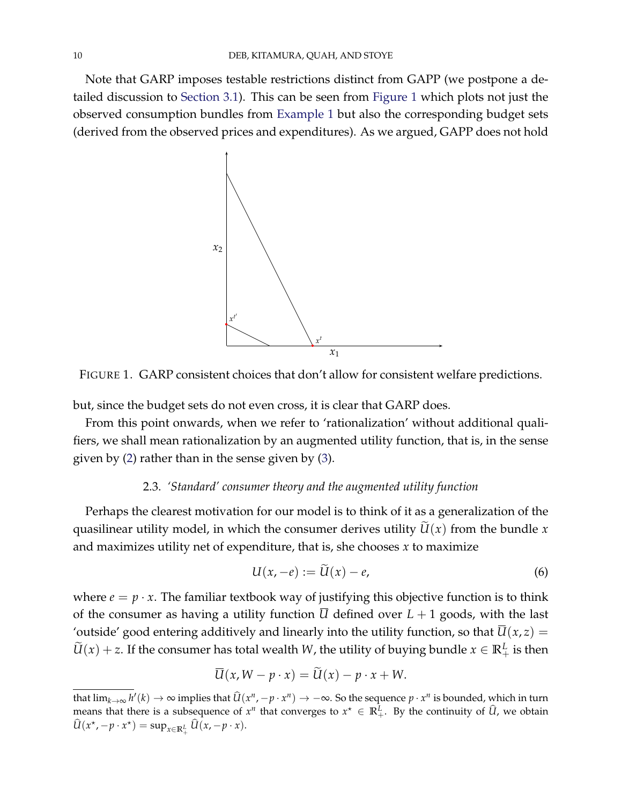<span id="page-9-1"></span>Note that GARP imposes testable restrictions distinct from GAPP (we postpone a de-tailed discussion to [Section](#page-13-0) [3.1\)](#page-13-0). This can be seen from [Figure](#page-9-1) [1](#page-9-1) which plots not just the observed consumption bundles from [Example](#page-5-0) [1](#page-5-0) but also the corresponding budget sets (derived from the observed prices and expenditures). As we argued, GAPP does not hold



FIGURE 1. GARP consistent choices that don't allow for consistent welfare predictions.

but, since the budget sets do not even cross, it is clear that GARP does.

From this point onwards, when we refer to 'rationalization' without additional qualifiers, we shall mean rationalization by an augmented utility function, that is, in the sense given by [\(2\)](#page-6-2) rather than in the sense given by [\(3\)](#page-7-0).

# 2.3. *'Standard' consumer theory and the augmented utility function*

<span id="page-9-0"></span>Perhaps the clearest motivation for our model is to think of it as a generalization of the quasilinear utility model, in which the consumer derives utility  $\widetilde{U}(x)$  from the bundle *x* and maximizes utility net of expenditure, that is, she chooses *x* to maximize

<span id="page-9-2"></span>
$$
U(x,-e) := U(x) - e,\tag{6}
$$

where  $e = p \cdot x$ . The familiar textbook way of justifying this objective function is to think of the consumer as having a utility function  $\overline{U}$  defined over  $L + 1$  goods, with the last 'outside' good entering additively and linearly into the utility function, so that  $\overline{U}(x, z) =$  $\widetilde{U}(x) + z$ . If the consumer has total wealth *W*, the utility of buying bundle  $x \in \mathbb{R}^L_+$  is then

$$
U(x, W - p \cdot x) = U(x) - p \cdot x + W.
$$

that  $\lim_{k\to\infty} h'(k)\to\infty$  implies that  $\widehat{U}(x^n,-p\cdot x^n)\to-\infty$ . So the sequence  $p\cdot x^n$  is bounded, which in turn means that there is a subsequence of  $x^n$  that converges to  $x^* \in \mathbb{R}^L_+$ . By the continuity of  $\widehat{U}$ , we obtain  $\widehat{U}(x^{\star}, -p \cdot x^{\star}) = \sup_{x \in \mathbb{R}^L_+} \widehat{U}(x, -p \cdot x).$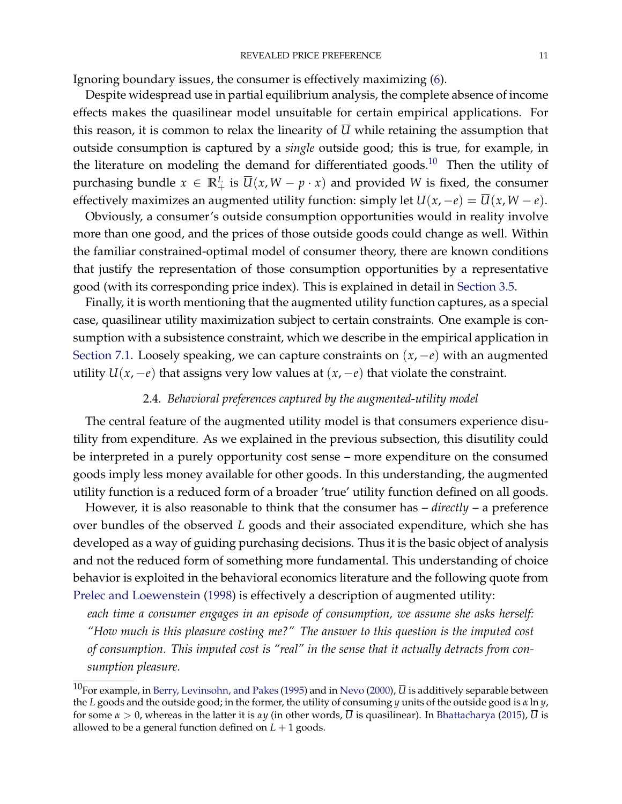Ignoring boundary issues, the consumer is effectively maximizing [\(6\)](#page-9-2).

Despite widespread use in partial equilibrium analysis, the complete absence of income effects makes the quasilinear model unsuitable for certain empirical applications. For this reason, it is common to relax the linearity of  $\overline{U}$  while retaining the assumption that outside consumption is captured by a *single* outside good; this is true, for example, in the literature on modeling the demand for differentiated goods.<sup>[10](#page-0-0)</sup> Then the utility of purchasing bundle  $x \in \mathbb{R}^L_+$  is  $\overline{U}(x, W - p \cdot x)$  and provided W is fixed, the consumer effectively maximizes an augmented utility function: simply let  $U(x, -e) = \overline{U}(x, W - e)$ .

Obviously, a consumer's outside consumption opportunities would in reality involve more than one good, and the prices of those outside goods could change as well. Within the familiar constrained-optimal model of consumer theory, there are known conditions that justify the representation of those consumption opportunities by a representative good (with its corresponding price index). This is explained in detail in [Section](#page-18-0) [3.5.](#page-18-0)

Finally, it is worth mentioning that the augmented utility function captures, as a special case, quasilinear utility maximization subject to certain constraints. One example is consumption with a subsistence constraint, which we describe in the empirical application in [Section](#page-33-0) [7.1.](#page-33-0) Loosely speaking, we can capture constraints on  $(x, -e)$  with an augmented utility  $U(x, -e)$  that assigns very low values at  $(x, -e)$  that violate the constraint.

# 2.4. *Behavioral preferences captured by the augmented-utility model*

<span id="page-10-0"></span>The central feature of the augmented utility model is that consumers experience disutility from expenditure. As we explained in the previous subsection, this disutility could be interpreted in a purely opportunity cost sense – more expenditure on the consumed goods imply less money available for other goods. In this understanding, the augmented utility function is a reduced form of a broader 'true' utility function defined on all goods.

However, it is also reasonable to think that the consumer has – *directly* – a preference over bundles of the observed *L* goods and their associated expenditure, which she has developed as a way of guiding purchasing decisions. Thus it is the basic object of analysis and not the reduced form of something more fundamental. This understanding of choice behavior is exploited in the behavioral economics literature and the following quote from [Prelec and Loewenstein](#page-42-7) [\(1998\)](#page-42-7) is effectively a description of augmented utility:

*each time a consumer engages in an episode of consumption, we assume she asks herself: "How much is this pleasure costing me?" The answer to this question is the imputed cost of consumption. This imputed cost is "real" in the sense that it actually detracts from consumption pleasure.*

<sup>&</sup>lt;sup>10</sup>For example, in [Berry, Levinsohn, and Pakes](#page-41-1) [\(1995\)](#page-41-1) and in [Nevo](#page-42-8) [\(2000\)](#page-42-8),  $\overline{U}$  is additively separable between the *L* goods and the outside good; in the former, the utility of consuming *y* units of the outside good is *α* ln *y*, for some *α* > 0, whereas in the latter it is *αy* (in other words, *U* is quasilinear). In [Bhattacharya](#page-41-2) [\(2015\)](#page-41-2), *U* is allowed to be a general function defined on  $L + 1$  goods.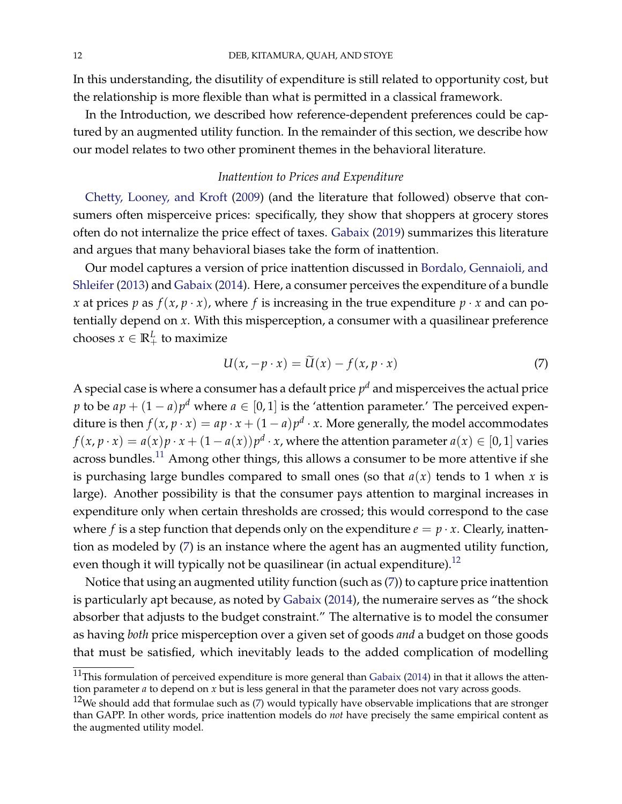In this understanding, the disutility of expenditure is still related to opportunity cost, but the relationship is more flexible than what is permitted in a classical framework.

In the Introduction, we described how reference-dependent preferences could be captured by an augmented utility function. In the remainder of this section, we describe how our model relates to two other prominent themes in the behavioral literature.

# *Inattention to Prices and Expenditure*

[Chetty, Looney, and Kroft](#page-41-3) [\(2009\)](#page-41-3) (and the literature that followed) observe that consumers often misperceive prices: specifically, they show that shoppers at grocery stores often do not internalize the price effect of taxes. [Gabaix](#page-41-4) [\(2019\)](#page-41-4) summarizes this literature and argues that many behavioral biases take the form of inattention.

Our model captures a version of price inattention discussed in [Bordalo, Gennaioli, and](#page-41-5) [Shleifer](#page-41-5) [\(2013\)](#page-41-5) and [Gabaix](#page-41-6) [\(2014\)](#page-41-6). Here, a consumer perceives the expenditure of a bundle *x* at prices *p* as  $f(x, p \cdot x)$ , where *f* is increasing in the true expenditure  $p \cdot x$  and can potentially depend on *x*. With this misperception, a consumer with a quasilinear preference chooses  $x \in \mathbb{R}^L_+$  to maximize

<span id="page-11-0"></span>
$$
U(x, -p \cdot x) = \tilde{U}(x) - f(x, p \cdot x)
$$
 (7)

A special case is where a consumer has a default price  $p^d$  and misperceives the actual price *p* to be  $ap + (1 - a)p^d$  where  $a \in [0, 1]$  is the 'attention parameter.' The perceived expenditure is then  $f(x, p \cdot x) = ap \cdot x + (1 - a)p^d \cdot x$ . More generally, the model accommodates  $f(x, p \cdot x) = a(x)p \cdot x + (1 - a(x))p^d \cdot x$ , where the attention parameter  $a(x) \in [0, 1]$  varies across bundles.<sup>[11](#page-0-0)</sup> Among other things, this allows a consumer to be more attentive if she is purchasing large bundles compared to small ones (so that  $a(x)$  tends to 1 when *x* is large). Another possibility is that the consumer pays attention to marginal increases in expenditure only when certain thresholds are crossed; this would correspond to the case where *f* is a step function that depends only on the expenditure  $e = p \cdot x$ . Clearly, inattention as modeled by [\(7\)](#page-11-0) is an instance where the agent has an augmented utility function, even though it will typically not be quasilinear (in actual expenditure).<sup>[12](#page-0-0)</sup>

Notice that using an augmented utility function (such as [\(7\)](#page-11-0)) to capture price inattention is particularly apt because, as noted by [Gabaix](#page-41-6) [\(2014\)](#page-41-6), the numeraire serves as "the shock absorber that adjusts to the budget constraint." The alternative is to model the consumer as having *both* price misperception over a given set of goods *and* a budget on those goods that must be satisfied, which inevitably leads to the added complication of modelling

 $11$ This formulation of perceived expenditure is more general than [Gabaix](#page-41-6) [\(2014\)](#page-41-6) in that it allows the attention parameter *a* to depend on *x* but is less general in that the parameter does not vary across goods.

 $12$ We should add that formulae such as [\(7\)](#page-11-0) would typically have observable implications that are stronger than GAPP. In other words, price inattention models do *not* have precisely the same empirical content as the augmented utility model.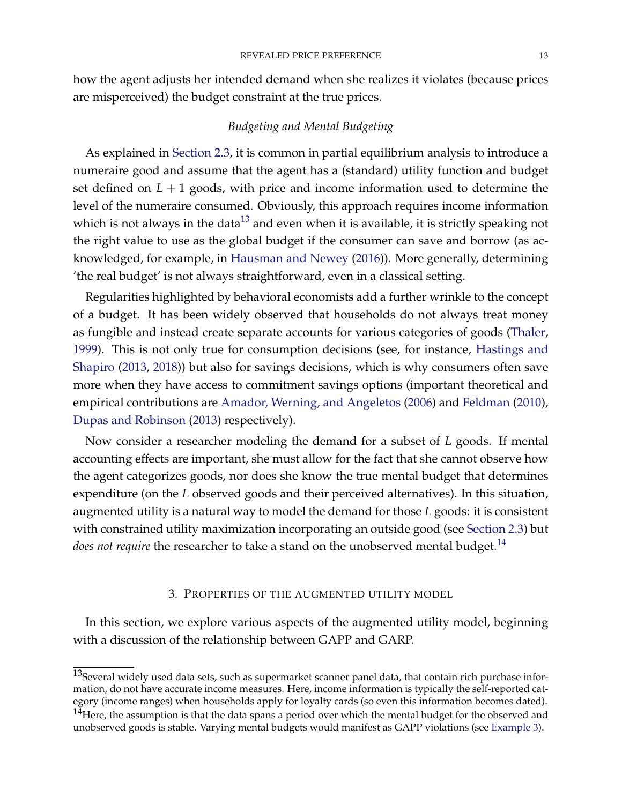how the agent adjusts her intended demand when she realizes it violates (because prices are misperceived) the budget constraint at the true prices.

# *Budgeting and Mental Budgeting*

As explained in [Section](#page-9-0) [2.3,](#page-9-0) it is common in partial equilibrium analysis to introduce a numeraire good and assume that the agent has a (standard) utility function and budget set defined on  $L + 1$  goods, with price and income information used to determine the level of the numeraire consumed. Obviously, this approach requires income information which is not always in the data<sup>[13](#page-0-0)</sup> and even when it is available, it is strictly speaking not the right value to use as the global budget if the consumer can save and borrow (as acknowledged, for example, in [Hausman and Newey](#page-42-3) [\(2016\)](#page-42-3)). More generally, determining 'the real budget' is not always straightforward, even in a classical setting.

Regularities highlighted by behavioral economists add a further wrinkle to the concept of a budget. It has been widely observed that households do not always treat money as fungible and instead create separate accounts for various categories of goods [\(Thaler,](#page-43-1) [1999\)](#page-43-1). This is not only true for consumption decisions (see, for instance, [Hastings and](#page-41-7) [Shapiro](#page-41-7) [\(2013,](#page-41-7) [2018\)](#page-41-8)) but also for savings decisions, which is why consumers often save more when they have access to commitment savings options (important theoretical and empirical contributions are [Amador, Werning, and Angeletos](#page-41-9) [\(2006\)](#page-41-9) and [Feldman](#page-41-10) [\(2010\)](#page-41-10), [Dupas and Robinson](#page-41-11) [\(2013\)](#page-41-11) respectively).

Now consider a researcher modeling the demand for a subset of *L* goods. If mental accounting effects are important, she must allow for the fact that she cannot observe how the agent categorizes goods, nor does she know the true mental budget that determines expenditure (on the *L* observed goods and their perceived alternatives). In this situation, augmented utility is a natural way to model the demand for those *L* goods: it is consistent with constrained utility maximization incorporating an outside good (see [Section](#page-9-0) [2.3\)](#page-9-0) but *does not require* the researcher to take a stand on the unobserved mental budget.<sup>[14](#page-0-0)</sup>

### 3. PROPERTIES OF THE AUGMENTED UTILITY MODEL

In this section, we explore various aspects of the augmented utility model, beginning with a discussion of the relationship between GAPP and GARP.

 $13$ Several widely used data sets, such as supermarket scanner panel data, that contain rich purchase information, do not have accurate income measures. Here, income information is typically the self-reported category (income ranges) when households apply for loyalty cards (so even this information becomes dated).  $14$ Here, the assumption is that the data spans a period over which the mental budget for the observed and unobserved goods is stable. Varying mental budgets would manifest as GAPP violations (see [Example](#page-20-0) [3\)](#page-20-0).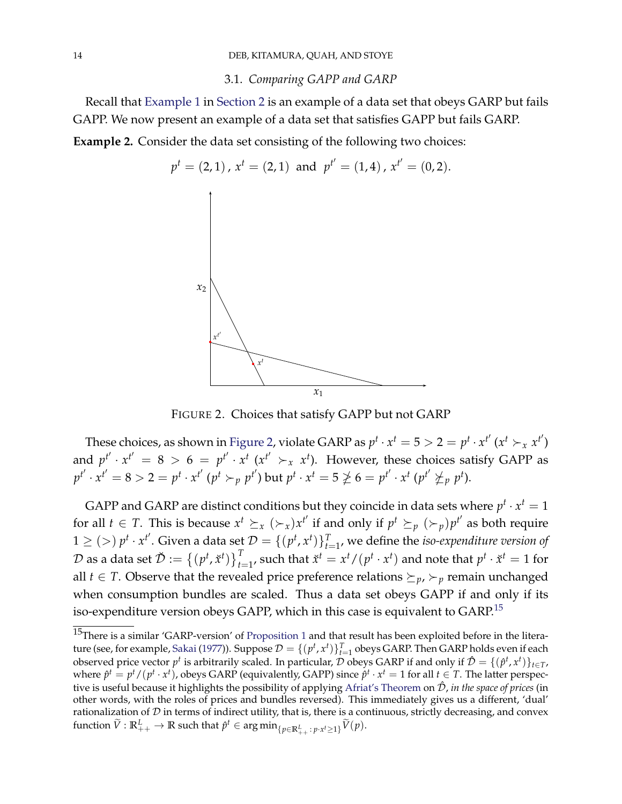#### 3.1. *Comparing GAPP and GARP*

<span id="page-13-2"></span><span id="page-13-1"></span><span id="page-13-0"></span>Recall that [Example](#page-5-0) [1](#page-5-0) in [Section](#page-4-0) [2](#page-4-0) is an example of a data set that obeys GARP but fails GAPP. We now present an example of a data set that satisfies GAPP but fails GARP. **Example 2.** Consider the data set consisting of the following two choices:



FIGURE 2. Choices that satisfy GAPP but not GARP

These choices, as shown in [Figure](#page-13-1) [2,](#page-13-1) violate GARP as  $p^t \cdot x^t = 5 > 2 = p^t \cdot x^{t'} (x^t > x^{t'})$ and  $p^{t'} \cdot x^{t'} = 8 > 6 = p^{t'} \cdot x^{t} (x^{t'} \succ_x x^{t})$ . However, these choices satisfy GAPP as  $p^{t'}\cdot x^{t'}=8>2=p^t\cdot x^{t'}$   $(p^t\succ_p p^{t'})$  but  $p^t\cdot x^t=5\ngeq 6=p^{t'}\cdot x^t$   $(p^{t'}\nsucceq_{p} p^{t}).$ 

 $1\geq(>)\;p^t\cdot x^{t'}.$  Given a data set  $\mathcal{D}=\{(p^t,x^t)\}_{t=1}^T$ , we define the *iso-expenditure version of* GAPP and GARP are distinct conditions but they coincide in data sets where  $p^t \cdot x^t = 1$ for all  $t \in T$ . This is because  $x^t \succeq_x (\succ_x) x^{t'}$  if and only if  $p^t \succeq_p (\succ_p) p^{t'}$  as both require  ${\cal D}$  as a data set  $\breve{\cal D}:=\left\{(p^t,\breve{x}^t)\right\}_{t=1}^T$ , such that  $\breve{x}^t=x^t/(p^t\cdot x^t)$  and note that  $p^t\cdot \breve{x}^t=1$  for all *t*  $\in$  *T*. Observe that the revealed price preference relations  $\succeq_{p}$ ,  $\succ_{p}$  remain unchanged when consumption bundles are scaled. Thus a data set obeys GAPP if and only if its iso-expenditure version obeys GAPP, which in this case is equivalent to GARP.[15](#page-0-0)

<sup>&</sup>lt;sup>15</sup>There is a similar 'GARP-version' of [Proposition](#page-14-0) [1](#page-14-0) and that result has been exploited before in the litera-ture (see, for example, [Sakai](#page-42-9) [\(1977\)](#page-42-9)). Suppose  $\mathcal{D} = \{(p^t, x^t)\}_{t=1}^T$  obeys GARP. Then GARP holds even if each observed price vector  $p^t$  is arbitrarily scaled. In particular, D obeys GARP if and only if  $\hat{\mathcal{D}} = \{(\hat{p}^t, x^t)\}_{t \in \mathcal{T}}$ , where  $\hat{p}^t = p^t/(p^t \cdot x^t)$ , obeys GARP (equivalently, GAPP) since  $\hat{p}^t \cdot x^t = 1$  for all  $t \in T$ . The latter perspective is useful because it highlights the possibility of applying [Afriat's Theorem](#page-44-0) on <sup>D</sup><sup>ˆ</sup> , *in the space of prices* (in other words, with the roles of prices and bundles reversed). This immediately gives us a different, 'dual' rationalization of  $D$  in terms of indirect utility, that is, there is a continuous, strictly decreasing, and convex  $\widetilde{V}: \mathbb{R}^L_{++} \to \mathbb{R}$  such that  $\hat{p}^t \in \argmin_{\{p \in \mathbb{R}^L_{++}: \, p \cdot x^t \geq 1\}} \widetilde{V}(p).$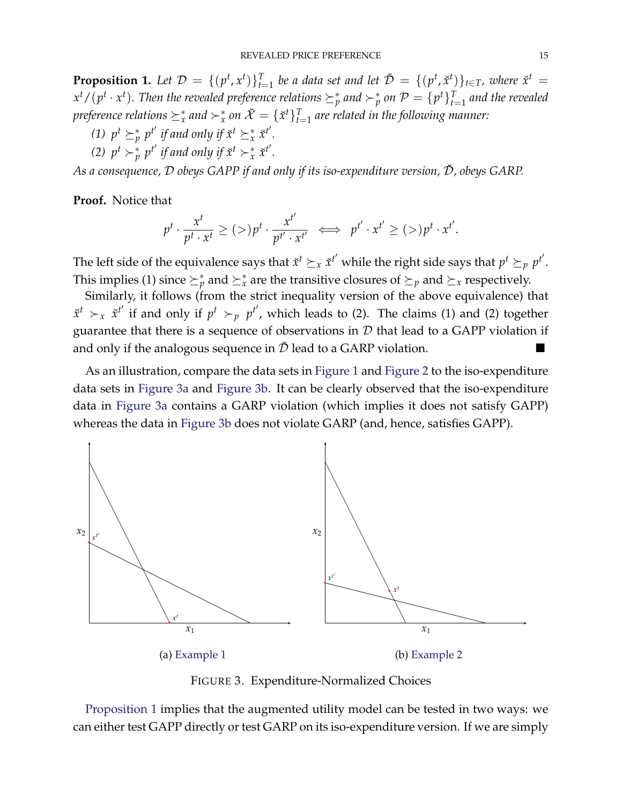<span id="page-14-0"></span>**Proposition 1.** Let  $\mathcal{D} = \{(p^t, x^t)\}_{t=1}^T$  be a data set and let  $\check{\mathcal{D}} = \{(p^t, \check{x}^t)\}_{t \in T}$ , where  $\check{x}^t =$  $x^t/(p^t \cdot x^t)$ . Then the revealed preference relations  $\succeq^*_p$  and  $\succ^*_p$  on  $\mathcal{P}=\{p^t\}_{t=1}^T$  and the revealed  $\phi$  *preference relations*  $\succeq^*_x$  *and*  $\succ^*_x$  *on*  $\breve{\mathcal{X}}=\{\breve{x}^t\}_{t=1}^T$  *are related in the following manner:* 

- (1)  $p^t \succeq^*_{p} p^{t'}$  *if and only if*  $\check{x}^t \succeq^*_{x} \check{x}^{t'}$ *.*
- (2)  $p^t \succ^*_{p} p^{t'}$  *if and only if*  $\check{x}^t \succ^*_{x} \check{x}^{t'}$ *.*

*As a consequence,*  $D$  *obeys GAPP if and only if its iso-expenditure version,*  $\check{D}$ *, obeys GARP.* 

**Proof.** Notice that

$$
p^t \cdot \frac{x^t}{p^t \cdot x^t} \ge (>) p^t \cdot \frac{x^{t'}}{p^{t'} \cdot x^{t'}} \iff p^{t'} \cdot x^{t'} \ge (>) p^t \cdot x^{t'}.
$$

The left side of the equivalence says that  $\check{x}^t \succeq_x \check{x}^{t'}$  while the right side says that  $p^t \succeq_p p^{t'}$ . This implies (1) since  $\succeq^*_p$  and  $\succeq^*_x$  are the transitive closures of  $\succeq_p$  and  $\succeq_x$  respectively.

Similarly, it follows (from the strict inequality version of the above equivalence) that  $\tilde{x}^t$   $\succ_x$   $\tilde{x}^{t'}$  if and only if  $p^t$   $\succ_p$   $p^{t'}$ , which leads to (2). The claims (1) and (2) together guarantee that there is a sequence of observations in  $D$  that lead to a GAPP violation if and only if the analogous sequence in  $\breve{\mathcal{D}}$  lead to a GARP violation.

As an illustration, compare the data sets in [Figure](#page-13-1) [1](#page-9-1) and Figure [2](#page-13-1) to the iso-expenditure data sets in [Figure](#page-14-1) [3a](#page-14-1) and Figure [3b.](#page-14-1) It can be clearly observed that the iso-expenditure data in [Figure](#page-14-1) [3a](#page-14-1) contains a GARP violation (which implies it does not satisfy GAPP) whereas the data in [Figure](#page-14-1) [3b](#page-14-1) does not violate GARP (and, hence, satisfies GAPP).

<span id="page-14-1"></span>

FIGURE 3. Expenditure-Normalized Choices

[Proposition](#page-14-0) [1](#page-14-0) implies that the augmented utility model can be tested in two ways: we can either test GAPP directly or test GARP on its iso-expenditure version. If we are simply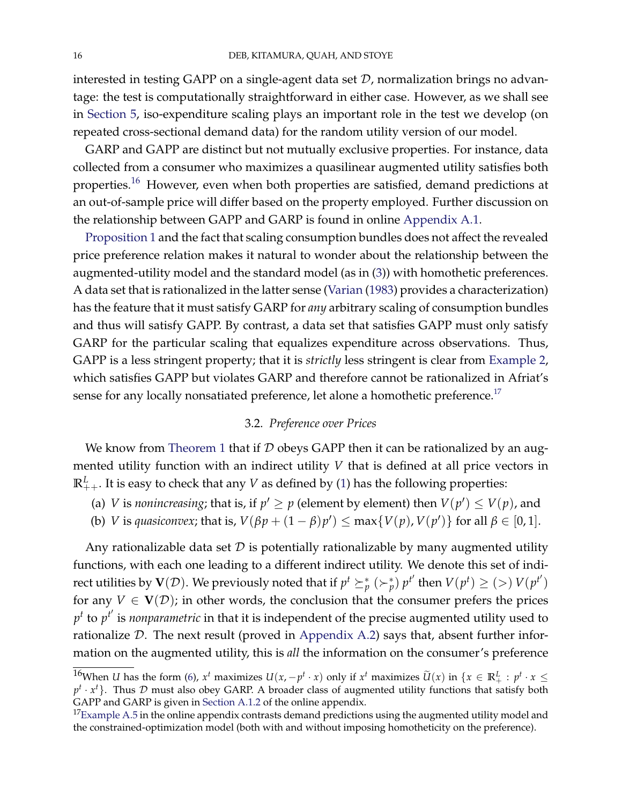interested in testing GAPP on a single-agent data set  $D$ , normalization brings no advantage: the test is computationally straightforward in either case. However, as we shall see in [Section](#page-22-0) [5,](#page-22-0) iso-expenditure scaling plays an important role in the test we develop (on repeated cross-sectional demand data) for the random utility version of our model.

GARP and GAPP are distinct but not mutually exclusive properties. For instance, data collected from a consumer who maximizes a quasilinear augmented utility satisfies both properties.[16](#page-0-0) However, even when both properties are satisfied, demand predictions at an out-of-sample price will differ based on the property employed. Further discussion on the relationship between GAPP and GARP is found in online [Appendix](#page-44-2) [A.1.](#page-44-2)

[Proposition](#page-14-0) [1](#page-14-0) and the fact that scaling consumption bundles does not affect the revealed price preference relation makes it natural to wonder about the relationship between the augmented-utility model and the standard model (as in [\(3\)](#page-7-0)) with homothetic preferences. A data set that is rationalized in the latter sense [\(Varian](#page-43-2) [\(1983\)](#page-43-2) provides a characterization) has the feature that it must satisfy GARP for *any* arbitrary scaling of consumption bundles and thus will satisfy GAPP. By contrast, a data set that satisfies GAPP must only satisfy GARP for the particular scaling that equalizes expenditure across observations. Thus, GAPP is a less stringent property; that it is *strictly* less stringent is clear from [Example](#page-13-2) [2,](#page-13-2) which satisfies GAPP but violates GARP and therefore cannot be rationalized in Afriat's sense for any locally nonsatiated preference, let alone a homothetic preference.<sup>[17](#page-0-0)</sup>

# 3.2. *Preference over Prices*

We know from [Theorem](#page-6-1) [1](#page-6-1) that if  $D$  obeys GAPP then it can be rationalized by an augmented utility function with an indirect utility *V* that is defined at all price vectors in  $\mathbb{R}^L_{++}.$  It is easy to check that any  $V$  as defined by [\(1\)](#page-6-3) has the following properties:

- (a) *V* is *nonincreasing*; that is, if  $p' \ge p$  (element by element) then  $V(p') \le V(p)$ , and
- (b) *V* is *quasiconvex*; that is,  $V(\beta p + (1 \beta)p') \le \max\{V(p), V(p')\}$  for all  $\beta \in [0, 1]$ .

Any rationalizable data set  $D$  is potentially rationalizable by many augmented utility functions, with each one leading to a different indirect utility. We denote this set of indirect utilities by  $V(D)$ . We previously noted that if  $p^t \succeq^*_{p} (\succ^*_{p}) p^{t'}$  then  $V(p^t) \geq (>) V(p^{t'})$ for any  $V \in V(\mathcal{D})$ ; in other words, the conclusion that the consumer prefers the prices  $p^t$  to  $p^{t'}$  is *nonparametric* in that it is independent of the precise augmented utility used to rationalize  $D$ . The next result (proved in [Appendix](#page-50-0) [A.2\)](#page-50-0) says that, absent further information on the augmented utility, this is *all* the information on the consumer's preference

<sup>&</sup>lt;sup>16</sup>When *U* has the form [\(6\)](#page-9-2),  $x^t$  maximizes  $U(x, -p^t \cdot x)$  only if  $x^t$  maximizes  $\widetilde{U}(x)$  in  $\{x \in \mathbb{R}^L_+ : p^t \cdot x \leq$  $p^t \cdot x^t$ . Thus D must also obey GARP. A broader class of augmented utility functions that satisfy both GAPP and GARP is given in [Section](#page-45-0) [A.1.2](#page-45-0) of the online appendix.

 $17$ [Example](#page-47-0) [A.5](#page-47-0) in the online appendix contrasts demand predictions using the augmented utility model and the constrained-optimization model (both with and without imposing homotheticity on the preference).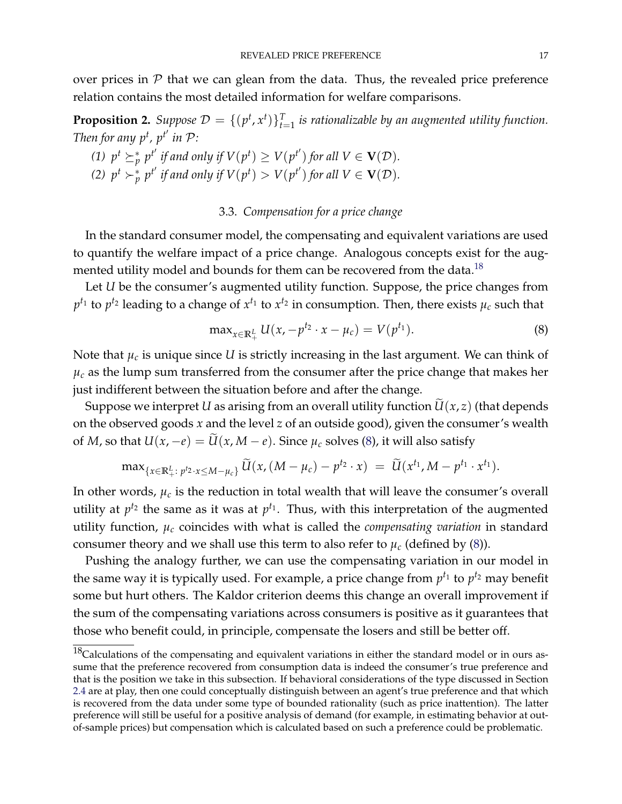over prices in  $P$  that we can glean from the data. Thus, the revealed price preference relation contains the most detailed information for welfare comparisons.

<span id="page-16-2"></span>**Proposition 2.** Suppose  $\mathcal{D} = \{(p^t, x^t)\}_{t=1}^T$  is rationalizable by an augmented utility function. *Then for any*  $p^t$ *,*  $p^{t'}$  *in*  $P$ *:* 

\n- (1) 
$$
p^t \succeq_p^* p^{t'}
$$
 if and only if  $V(p^t) \ge V(p^{t'})$  for all  $V \in \mathbf{V}(\mathcal{D})$ .
\n- (2)  $p^t \succ_p^* p^{t'}$  if and only if  $V(p^t) > V(p^{t'})$  for all  $V \in \mathbf{V}(\mathcal{D})$ .
\n

# 3.3. *Compensation for a price change*

<span id="page-16-0"></span>In the standard consumer model, the compensating and equivalent variations are used to quantify the welfare impact of a price change. Analogous concepts exist for the aug-mented utility model and bounds for them can be recovered from the data.<sup>[18](#page-0-0)</sup>

Let *U* be the consumer's augmented utility function. Suppose, the price changes from  $p^{t_1}$  to  $p^{t_2}$  leading to a change of  $x^{t_1}$  to  $x^{t_2}$  in consumption. Then, there exists  $\mu_c$  such that

<span id="page-16-1"></span>
$$
\max_{x \in \mathbb{R}_+^L} U(x, -p^{t_2} \cdot x - \mu_c) = V(p^{t_1}).
$$
\n(8)

Note that  $\mu_c$  is unique since *U* is strictly increasing in the last argument. We can think of  $\mu_c$  as the lump sum transferred from the consumer after the price change that makes her just indifferent between the situation before and after the change.

Suppose we interpret *U* as arising from an overall utility function  $\tilde{U}(x, z)$  (that depends on the observed goods *x* and the level *z* of an outside good), given the consumer's wealth of *M*, so that  $U(x, -e) = \tilde{U}(x, M - e)$ . Since  $\mu_c$  solves [\(8\)](#page-16-1), it will also satisfy

$$
\max_{\{x \in \mathbb{R}^L_+ : \ p^{t_2} \cdot x \le M - \mu_c\}} \widetilde{U}(x, (M - \mu_c) - p^{t_2} \cdot x) = \widetilde{U}(x^{t_1}, M - p^{t_1} \cdot x^{t_1}).
$$

In other words,  $\mu_c$  is the reduction in total wealth that will leave the consumer's overall utility at  $p^{t_2}$  the same as it was at  $p^{t_1}$ . Thus, with this interpretation of the augmented utility function, *µ<sup>c</sup>* coincides with what is called the *compensating variation* in standard consumer theory and we shall use this term to also refer to  $\mu_c$  (defined by [\(8\)](#page-16-1)).

Pushing the analogy further, we can use the compensating variation in our model in the same way it is typically used. For example, a price change from  $p^{t_1}$  to  $p^{t_2}$  may benefit some but hurt others. The Kaldor criterion deems this change an overall improvement if the sum of the compensating variations across consumers is positive as it guarantees that those who benefit could, in principle, compensate the losers and still be better off.

<sup>&</sup>lt;sup>18</sup>Calculations of the compensating and equivalent variations in either the standard model or in ours assume that the preference recovered from consumption data is indeed the consumer's true preference and that is the position we take in this subsection. If behavioral considerations of the type discussed in Section [2.4](#page-10-0) are at play, then one could conceptually distinguish between an agent's true preference and that which is recovered from the data under some type of bounded rationality (such as price inattention). The latter preference will still be useful for a positive analysis of demand (for example, in estimating behavior at outof-sample prices) but compensation which is calculated based on such a preference could be problematic.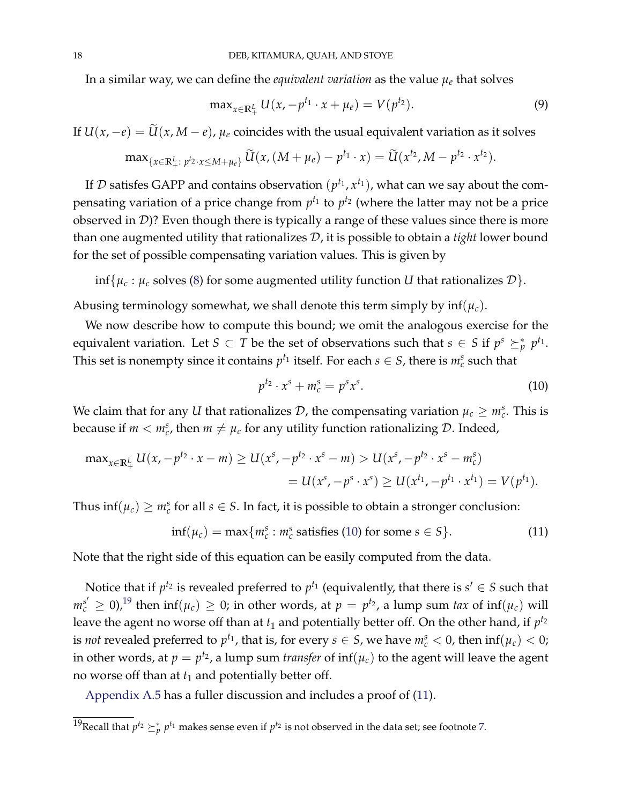In a similar way, we can define the *equivalent variation* as the value  $\mu_e$  that solves

$$
\max_{x \in \mathbb{R}_+^L} U(x, -p^{t_1} \cdot x + \mu_e) = V(p^{t_2}). \tag{9}
$$

If  $U(x, -e) = \widetilde{U}(x, M - e)$ ,  $\mu_e$  coincides with the usual equivalent variation as it solves

$$
\max_{\{x\in\mathbb{R}^L_+:\;p^{t_2}\cdot x\leq M+\mu_e\}}\widetilde{U}(x,(M+\mu_e)-p^{t_1}\cdot x)=\widetilde{U}(x^{t_2},M-p^{t_2}\cdot x^{t_2}).
$$

If  $\mathcal D$  satisfes GAPP and contains observation  $(p^{t_1}, x^{t_1})$ , what can we say about the compensating variation of a price change from  $p^{t_1}$  to  $p^{t_2}$  (where the latter may not be a price observed in D)? Even though there is typically a range of these values since there is more than one augmented utility that rationalizes D, it is possible to obtain a *tight* lower bound for the set of possible compensating variation values. This is given by

inf{ $\mu_c$  :  $\mu_c$  solves [\(8\)](#page-16-1) for some augmented utility function *U* that rationalizes  $\mathcal{D}$ }.

Abusing terminology somewhat, we shall denote this term simply by inf(*µc*).

We now describe how to compute this bound; we omit the analogous exercise for the equivalent variation. Let  $S \subset T$  be the set of observations such that  $s \in S$  if  $p^s \succeq^*_p p^{t_1}$ . This set is nonempty since it contains  $p^{t_1}$  itself. For each  $s \in S$ , there is  $m_c^s$  such that

<span id="page-17-0"></span>
$$
p^{t_2} \cdot x^s + m_c^s = p^s x^s. \tag{10}
$$

We claim that for any *U* that rationalizes  $D$ , the compensating variation  $\mu_c \geq m_c^s$ . This is because if  $m < m_c^s$ , then  $m \neq \mu_c$  for any utility function rationalizing  $\mathcal{D}$ . Indeed,

$$
\max_{x \in \mathbb{R}_+^L} U(x, -p^{t_2} \cdot x - m) \ge U(x^s, -p^{t_2} \cdot x^s - m) > U(x^s, -p^{t_2} \cdot x^s - m_c^s)
$$
  
=  $U(x^s, -p^s \cdot x^s) \ge U(x^{t_1}, -p^{t_1} \cdot x^{t_1}) = V(p^{t_1}).$ 

Thus  $\inf(\mu_c) \geq m_c^s$  for all  $s \in S$ . In fact, it is possible to obtain a stronger conclusion:

<span id="page-17-1"></span>
$$
\inf(\mu_c) = \max\{m_c^s : m_c^s \text{ satisfies (10) for some } s \in S\}. \tag{11}
$$

Note that the right side of this equation can be easily computed from the data.

Notice that if  $p^{t_2}$  is revealed preferred to  $p^{t_1}$  (equivalently, that there is  $s' \in S$  such that  $m_c^{s'} \geq 0$ ,<sup>[19](#page-0-0)</sup> then  $\inf(\mu_c) \geq 0$ ; in other words, at  $p = p^{t_2}$ , a lump sum *tax* of  $\inf(\mu_c)$  will leave the agent no worse off than at  $t_1$  and potentially better off. On the other hand, if  $p^{t_2}$ is *not* revealed preferred to  $p^{t_1}$ , that is, for every  $s \in S$ , we have  $m_c^s < 0$ , then  $\inf(\mu_c) < 0$ ; in other words, at  $p = p^{t_2}$ , a lump sum *transfer* of  $\inf(\mu_c)$  to the agent will leave the agent no worse off than at *t*<sup>1</sup> and potentially better off.

[Appendix](#page-61-0) [A.5](#page-61-0) has a fuller discussion and includes a proof of [\(11\)](#page-17-1).

<sup>&</sup>lt;sup>19</sup>Recall that  $p^{t_2} \succeq^*_p p^{t_1}$  makes sense even if  $p^{t_2}$  is not observed in the data set; see footnote [7.](#page-5-0)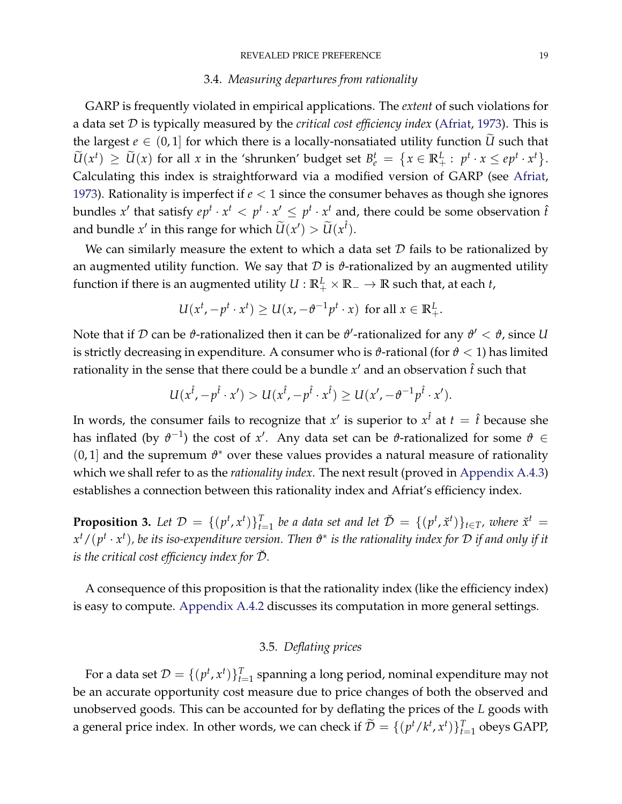### 3.4. *Measuring departures from rationality*

<span id="page-18-2"></span>GARP is frequently violated in empirical applications. The *extent* of such violations for a data set D is typically measured by the *critical cost efficiency index* [\(Afriat,](#page-41-12) [1973\)](#page-41-12). This is the largest  $e \in (0,1]$  for which there is a locally-nonsatiated utility function  $\widetilde{U}$  such that  $\widetilde{U}(x^t) \geq \widetilde{U}(x)$  for all x in the 'shrunken' budget set  $B_e^t = \{x \in \mathbb{R}_+^L : p^t \cdot x \leq e p^t \cdot x^t\}.$ Calculating this index is straightforward via a modified version of GARP (see [Afriat,](#page-41-12) [1973\)](#page-41-12). Rationality is imperfect if  $e < 1$  since the consumer behaves as though she ignores bundles *x'* that satisfy  $ep^t \cdot x^t < p^t \cdot x' \leq p^t \cdot x^t$  and, there could be some observation  $\hat{t}$ and bundle  $x'$  in this range for which  $\widetilde{U}(x') > \widetilde{U}(x^{\hat{t}})$ .

We can similarly measure the extent to which a data set  $D$  fails to be rationalized by an augmented utility function. We say that  $D$  is  $\vartheta$ -rationalized by an augmented utility function if there is an augmented utility  $U:\mathbb{R}^L_+ \times \mathbb{R}_- \to \mathbb{R}$  such that, at each *t*,

$$
U(x^t, -p^t \cdot x^t) \ge U(x, -\vartheta^{-1}p^t \cdot x) \text{ for all } x \in \mathbb{R}^L_+.
$$

Note that if  $\mathcal D$  can be  $\vartheta$ -rationalized then it can be  $\vartheta'$ -rationalized for any  $\vartheta' < \vartheta$ , since  $U$ is strictly decreasing in expenditure. A consumer who is  $\vartheta$ -rational (for  $\vartheta$  < 1) has limited rationality in the sense that there could be a bundle  $x'$  and an observation  $\hat{t}$  such that

$$
U(x^{\hat{t}}, -p^{\hat{t}}\cdot x') > U(x^{\hat{t}}, -p^{\hat{t}}\cdot x^{\hat{t}}) \geq U(x', -\vartheta^{-1}p^{\hat{t}}\cdot x').
$$

In words, the consumer fails to recognize that  $x'$  is superior to  $x^{\hat{t}}$  at  $t = \hat{t}$  because she has inflated (by  $\vartheta^{-1}$ ) the cost of *x'*. Any data set can be  $\vartheta$ -rationalized for some  $\vartheta \in$  $(0, 1]$  and the supremum  $\vartheta^*$  over these values provides a natural measure of rationality which we shall refer to as the *rationality index*. The next result (proved in [Appendix](#page-58-0) [A.4.3\)](#page-58-0) establishes a connection between this rationality index and Afriat's efficiency index.

<span id="page-18-1"></span>**Proposition 3.** Let  $\mathcal{D} = \{(p^t, x^t)\}_{t=1}^T$  be a data set and let  $\check{\mathcal{D}} = \{(p^t, \check{x}^t)\}_{t \in T}$ , where  $\check{x}^t =$  $x^t$  /  $(p^t \cdot x^t)$  *, be its iso-expenditure version. Then*  $\vartheta^*$  *is the rationality index for*  ${\cal D}$  *if and only if it is the critical cost efficiency index for*  $\check{\mathcal{D}}$ *.* 

A consequence of this proposition is that the rationality index (like the efficiency index) is easy to compute. [Appendix](#page-57-0) [A.4.2](#page-57-0) discusses its computation in more general settings.

### 3.5. *Deflating prices*

<span id="page-18-0"></span>For a data set  $\mathcal{D} = \{ (p^t, x^t) \}_{t=1}^T$  spanning a long period, nominal expenditure may not be an accurate opportunity cost measure due to price changes of both the observed and unobserved goods. This can be accounted for by deflating the prices of the *L* goods with a general price index. In other words, we can check if  $\widetilde{\mathcal{D}} = \{(p^t/k^t, x^t)\}_{t=1}^T$  obeys GAPP,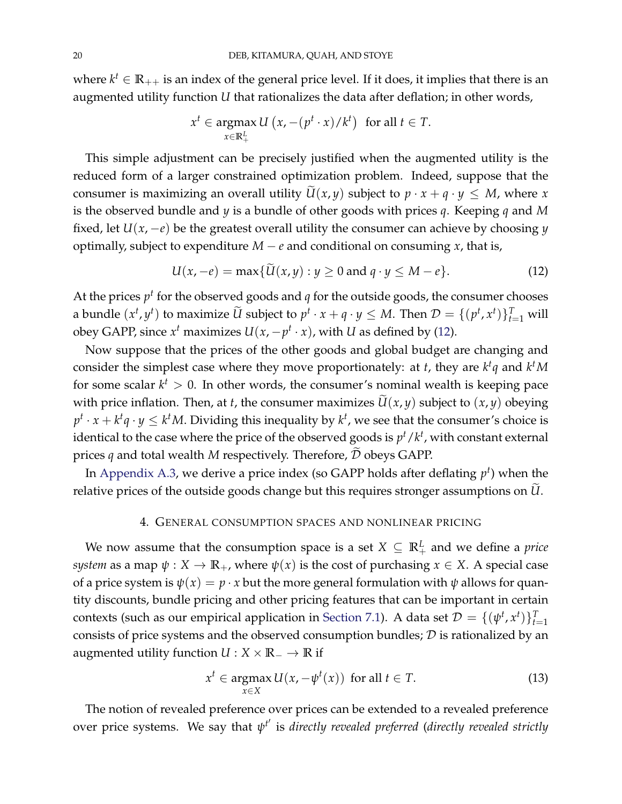where  $k^t \in \mathbb{R}_{++}$  is an index of the general price level. If it does, it implies that there is an augmented utility function *U* that rationalizes the data after deflation; in other words,

$$
x^{t} \in \operatorname*{argmax}_{x \in \mathbb{R}_{+}^{L}} U(x, -(p^{t} \cdot x)/k^{t}) \text{ for all } t \in T.
$$

This simple adjustment can be precisely justified when the augmented utility is the reduced form of a larger constrained optimization problem. Indeed, suppose that the consumer is maximizing an overall utility  $\widetilde{U}(x, y)$  subject to  $p \cdot x + q \cdot y \leq M$ , where *x* is the observed bundle and *y* is a bundle of other goods with prices *q*. Keeping *q* and *M* fixed, let  $U(x, -e)$  be the greatest overall utility the consumer can achieve by choosing *y* optimally, subject to expenditure  $M - e$  and conditional on consuming  $x$ , that is,

<span id="page-19-1"></span>
$$
U(x,-e) = \max\{U(x,y) : y \ge 0 \text{ and } q \cdot y \le M - e\}. \tag{12}
$$

At the prices  $p^t$  for the observed goods and  $q$  for the outside goods, the consumer chooses a bundle  $(x^t, y^t)$  to maximize  $\widetilde{U}$  subject to  $p^t \cdot x + q \cdot y \le M$ . Then  $\mathcal{D} = \{(p^t, x^t)\}_{t=1}^T$  will obey GAPP, since  $x^t$  maximizes  $U(x, -p^t \cdot x)$ , with *U* as defined by [\(12\)](#page-19-1).

Now suppose that the prices of the other goods and global budget are changing and consider the simplest case where they move proportionately: at *t*, they are *k t q* and *k <sup>t</sup>M* for some scalar  $k^t > 0$ . In other words, the consumer's nominal wealth is keeping pace with price inflation. Then, at *t*, the consumer maximizes  $\widetilde{U}(x, y)$  subject to  $(x, y)$  obeying  $p^t \cdot x + k^t q \cdot y \leq k^t M$ . Dividing this inequality by  $k^t$ , we see that the consumer's choice is identical to the case where the price of the observed goods is  $p^t/k^t$ , with constant external prices  $q$  and total wealth  $M$  respectively. Therefore,  $\widetilde{\mathcal{D}}$  obeys GAPP.

In [Appendix](#page-50-1) [A.3,](#page-50-1) we derive a price index (so GAPP holds after deflating *p t* ) when the relative prices of the outside goods change but this requires stronger assumptions on  $\widetilde{U}$ .

#### 4. GENERAL CONSUMPTION SPACES AND NONLINEAR PRICING

<span id="page-19-0"></span>We now assume that the consumption space is a set  $X \subseteq \mathbb{R}_+^L$  and we define a *price system* as a map  $\psi$  :  $X \to \mathbb{R}_+$ , where  $\psi(x)$  is the cost of purchasing  $x \in X$ . A special case of a price system is  $\psi(x) = p \cdot x$  but the more general formulation with  $\psi$  allows for quantity discounts, bundle pricing and other pricing features that can be important in certain contexts (such as our empirical application in [Section](#page-33-0) [7.1\)](#page-33-0). A data set  $\mathcal{D} = \{(\psi^t, x^t)\}_{t=1}^T$ consists of price systems and the observed consumption bundles;  $D$  is rationalized by an augmented utility function  $U : X \times \mathbb{R}_{-} \to \mathbb{R}$  if

$$
x^{t} \in \underset{x \in X}{\operatorname{argmax}} U(x, -\psi^{t}(x)) \text{ for all } t \in T. \tag{13}
$$

The notion of revealed preference over prices can be extended to a revealed preference over price systems. We say that  $ψ<sup>t'</sup>$  is *directly revealed preferred (directly revealed strictly*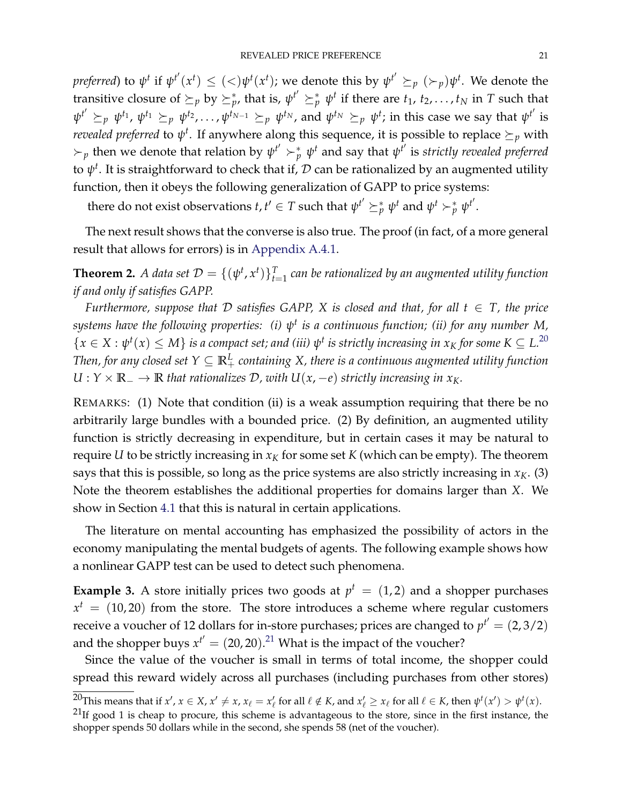*preferred*) to  $\psi^t$  if  $\psi^{t'}(x^t) \leq (<)\psi^t(x^t)$ ; we denote this by  $\psi^{t'}\succeq_p({\succ_p})\psi^t.$  We denote the transitive closure of  $\succeq_p$  by  $\succeq^*_{p'}$ , that is,  $\psi^{t'} \succeq^*_{p} \psi^t$  if there are  $t_1, t_2, \ldots, t_N$  in *T* such that  $\psi^{t'}\succeq_{p}\psi^{t_1}$ ,  $\psi^{t_1}\succeq_{p}\psi^{t_2}$ ,..., $\psi^{t_{N-1}}\succeq_{p}\psi^{t_N}$ , and  $\psi^{t_N}\succeq_{p}\psi^{t}$ ; in this case we say that  $\psi^{t'}$  is *revealed preferred* to  $\psi^t$ . If anywhere along this sequence, it is possible to replace  $\succeq_p$  with  $\succ_p$  then we denote that relation by  $\psi^{t'} \succ_p^* \psi^t$  and say that  $\psi^{t'}$  is *strictly revealed preferred* to  $\psi^t$ . It is straightforward to check that if,  ${\cal D}$  can be rationalized by an augmented utility function, then it obeys the following generalization of GAPP to price systems:

there do not exist observations  $t, t' \in T$  such that  $\psi^{t'} \succeq_p^* \psi^t$  and  $\psi^t \succ_p^* \psi^{t'}$ .

The next result shows that the converse is also true. The proof (in fact, of a more general result that allows for errors) is in [Appendix](#page-52-0) [A.4.1.](#page-52-0)

<span id="page-20-1"></span>**Theorem 2.** A data set  $\mathcal{D} = \{(\psi^t, x^t)\}_{t=1}^T$  can be rationalized by an augmented utility function *if and only if satisfies GAPP.*

*Furthermore, suppose that*  $D$  *satisfies GAPP, X is closed and that, for all*  $t \in T$ *, the price systems have the following properties: (i) ψ t is a continuous function; (ii) for any number M,*  $\{x \in X : \psi^t(x) \leq M\}$  is a compact set; and (iii)  $\psi^t$  is strictly increasing in  $x_K$  for some  $K \subseteq L^{20}$  $K \subseteq L^{20}$  $K \subseteq L^{20}$ Then, for any closed set  $Y\subseteq \mathbb{R}_+^L$  containing  $X$ , there is a continuous augmented utility function  $U: Y \times \mathbb{R}_- \to \mathbb{R}$  *that rationalizes*  $D$ *, with*  $U(x, -e)$  *strictly increasing in x<sub>K</sub>*.

REMARKS: (1) Note that condition (ii) is a weak assumption requiring that there be no arbitrarily large bundles with a bounded price. (2) By definition, an augmented utility function is strictly decreasing in expenditure, but in certain cases it may be natural to require *U* to be strictly increasing in  $x_K$  for some set  $K$  (which can be empty). The theorem says that this is possible, so long as the price systems are also strictly increasing in  $x_K$ . (3) Note the theorem establishes the additional properties for domains larger than *X*. We show in Section [4.1](#page-21-0) that this is natural in certain applications.

The literature on mental accounting has emphasized the possibility of actors in the economy manipulating the mental budgets of agents. The following example shows how a nonlinear GAPP test can be used to detect such phenomena.

<span id="page-20-0"></span>**Example 3.** A store initially prices two goods at  $p^t = (1, 2)$  and a shopper purchases  $x<sup>t</sup> = (10, 20)$  from the store. The store introduces a scheme where regular customers receive a voucher of 12 dollars for in-store purchases; prices are changed to  $p^{t'} = (2, 3/2)$ and the shopper buys  $x^{t'} = (20, 20).^{21}$  $x^{t'} = (20, 20).^{21}$  $x^{t'} = (20, 20).^{21}$  What is the impact of the voucher?

Since the value of the voucher is small in terms of total income, the shopper could spread this reward widely across all purchases (including purchases from other stores)

<sup>&</sup>lt;sup>20</sup>This means that if  $x', x \in X$ ,  $x' \neq x$ ,  $x_\ell = x'_\ell$  for all  $\ell \notin K$ , and  $x'_\ell \geq x_\ell$  for all  $\ell \in K$ , then  $\psi^t(x') > \psi^t(x)$ .

 $^{21}$ If good 1 is cheap to procure, this scheme is advantageous to the store, since in the first instance, the shopper spends 50 dollars while in the second, she spends 58 (net of the voucher).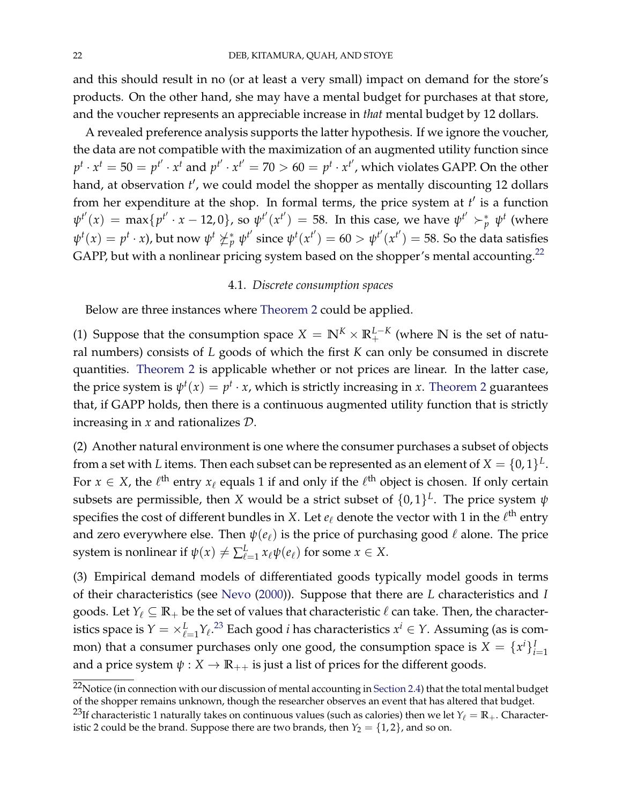and this should result in no (or at least a very small) impact on demand for the store's products. On the other hand, she may have a mental budget for purchases at that store, and the voucher represents an appreciable increase in *that* mental budget by 12 dollars.

A revealed preference analysis supports the latter hypothesis. If we ignore the voucher, the data are not compatible with the maximization of an augmented utility function since  $p^t \cdot x^t = 50 = p^{t'} \cdot x^t$  and  $p^{t'} \cdot x^{t'} = 70 > 60 = p^t \cdot x^{t'}$ , which violates GAPP. On the other hand, at observation t', we could model the shopper as mentally discounting 12 dollars from her expenditure at the shop. In formal terms, the price system at *t'* is a function  $\psi^{t'}(x) = \max\{p^{t'} \cdot x - 12, 0\}$ , so  $\psi^{t'}(x^{t'}) = 58$ . In this case, we have  $\psi^{t'} \succ^*_{p} \psi^{t}$  (where  $\psi^t(x)=p^t\cdot x$ ), but now  $\psi^t\nsucceq^*_p\psi^{t'}$  since  $\psi^t(x^{t'})=60>\psi^{t'}(x^{t'})=58.$  So the data satisfies GAPP, but with a nonlinear pricing system based on the shopper's mental accounting.<sup>[22](#page-0-0)</sup>

### 4.1. *Discrete consumption spaces*

<span id="page-21-0"></span>Below are three instances where [Theorem](#page-20-1) [2](#page-20-1) could be applied.

(1) Suppose that the consumption space  $X = \mathbb{N}^K \times \mathbb{R}^{L-K}_+$  (where  $\mathbb N$  is the set of natural numbers) consists of *L* goods of which the first *K* can only be consumed in discrete quantities. [Theorem](#page-20-1) [2](#page-20-1) is applicable whether or not prices are linear. In the latter case, the price system is  $\psi^t(x) = p^t \cdot x$ , which is strictly increasing in *x*. [Theorem](#page-20-1) [2](#page-20-1) guarantees that, if GAPP holds, then there is a continuous augmented utility function that is strictly increasing in *x* and rationalizes D.

(2) Another natural environment is one where the consumer purchases a subset of objects from a set with *L* items. Then each subset can be represented as an element of  $X = \{0,1\}^L$ . For  $x \in X$ , the  $\ell^{\text{th}}$  entry  $x_{\ell}$  equals 1 if and only if the  $\ell^{\text{th}}$  object is chosen. If only certain subsets are permissible, then *X* would be a strict subset of  $\{0,1\}^L$ . The price system  $\psi$ specifies the cost of different bundles in *X*. Let  $e_\ell$  denote the vector with 1 in the  $\ell^{\text{th}}$  entry and zero everywhere else. Then  $\psi(e_\ell)$  is the price of purchasing good  $\ell$  alone. The price system is nonlinear if  $\psi(x) \neq \sum_{\ell=1}^{L} x_{\ell} \psi(e_{\ell})$  for some  $x \in X$ .

(3) Empirical demand models of differentiated goods typically model goods in terms of their characteristics (see [Nevo](#page-42-8) [\(2000\)](#page-42-8)). Suppose that there are *L* characteristics and *I* goods. Let  $Y_\ell \subseteq \mathbb{R}_+$  be the set of values that characteristic  $\ell$  can take. Then, the characteristics space is  $Y = \times_{\ell=1}^L Y_\ell$ .<sup>[23](#page-0-0)</sup> Each good *i* has characteristics  $x^i \in Y$ . Assuming (as is common) that a consumer purchases only one good, the consumption space is  $X = \{x^i\}_{i=1}^I$ and a price system  $\psi$  :  $X \to \mathbb{R}_{++}$  is just a list of prices for the different goods.

 $22$ Notice (in connection with our discussion of mental accounting in [Section](#page-10-0) [2.4\)](#page-10-0) that the total mental budget of the shopper remains unknown, though the researcher observes an event that has altered that budget.

<sup>&</sup>lt;sup>23</sup>If characteristic 1 naturally takes on continuous values (such as calories) then we let  $Y_\ell = \mathbb{R}_+$ . Characteristic 2 could be the brand. Suppose there are two brands, then  $Y_2 = \{1, 2\}$ , and so on.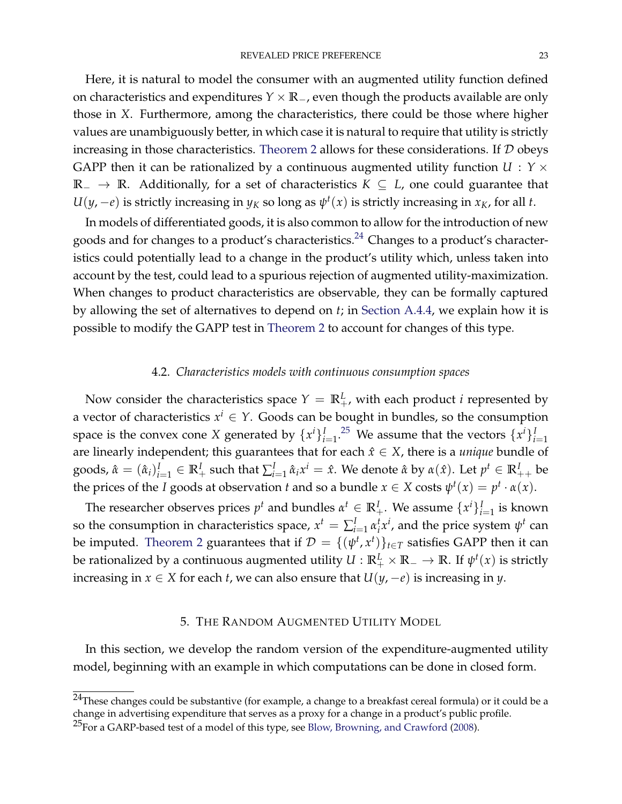Here, it is natural to model the consumer with an augmented utility function defined on characteristics and expenditures *Y* × **R**−, even though the products available are only those in *X*. Furthermore, among the characteristics, there could be those where higher values are unambiguously better, in which case it is natural to require that utility is strictly increasing in those characteristics. [Theorem](#page-20-1) [2](#page-20-1) allows for these considerations. If  $D$  obeys GAPP then it can be rationalized by a continuous augmented utility function *U* : *Y* × **R**<sup>−</sup> → **R**. Additionally, for a set of characteristics *K* ⊆ *L*, one could guarantee that  $U(y, -e)$  is strictly increasing in  $y_K$  so long as  $\psi^t(x)$  is strictly increasing in  $x_K$ , for all *t*.

In models of differentiated goods, it is also common to allow for the introduction of new goods and for changes to a product's characteristics. $^{24}$  $^{24}$  $^{24}$  Changes to a product's characteristics could potentially lead to a change in the product's utility which, unless taken into account by the test, could lead to a spurious rejection of augmented utility-maximization. When changes to product characteristics are observable, they can be formally captured by allowing the set of alternatives to depend on *t*; in [Section](#page-60-0) [A.4.4,](#page-60-0) we explain how it is possible to modify the GAPP test in [Theorem](#page-20-1) [2](#page-20-1) to account for changes of this type.

# 4.2. *Characteristics models with continuous consumption spaces*

Now consider the characteristics space  $Y = \mathbb{R}^L_+$ , with each product *i* represented by a vector of characteristics  $x^i \in Y$ . Goods can be bought in bundles, so the consumption space is the convex cone *X* generated by  $\{x^i\}_{i=1}^I$ .<sup>[25](#page-0-0)</sup> We assume that the vectors  $\{x^i\}_{i=1}^I$ are linearly independent; this guarantees that for each  $\hat{x} \in X$ , there is a *unique* bundle of goods,  $\hat{\alpha} = (\hat{\alpha}_i)_{i=1}^I \in \mathbb{R}^I_+$  such that  $\sum_{i=1}^I \hat{\alpha}_i x^i = \hat{x}$ . We denote  $\hat{\alpha}$  by  $\alpha(\hat{x})$ . Let  $p^t \in \mathbb{R}^I_{++}$  be the prices of the *I* goods at observation *t* and so a bundle  $x \in X$  costs  $\psi^t(x) = p^t \cdot \alpha(x)$ .

The researcher observes prices  $p^t$  and bundles  $\alpha^t \in \mathbb{R}^I_+$ . We assume  $\{x^i\}_{i=1}^I$  is known so the consumption in characteristics space,  $x^t = \sum_{i=1}^I \alpha_i^t$  $i<sub>i</sub>$ <sup>*xi*</sup>, and the price system  $\psi<sup>t</sup>$  can be imputed. [Theorem](#page-20-1) [2](#page-20-1) guarantees that if  $\mathcal{D} = \{(\psi^t, x^t)\}_{t \in T}$  satisfies GAPP then it can be rationalized by a continuous augmented utility  $U: \mathbb{R}^L_+ \times \mathbb{R}_- \to \mathbb{R}$ . If  $\psi^t(x)$  is strictly increasing in *x* ∈ *X* for each *t*, we can also ensure that *U*(*y*, −*e*) is increasing in *y*.

#### 5. THE RANDOM AUGMENTED UTILITY MODEL

<span id="page-22-0"></span>In this section, we develop the random version of the expenditure-augmented utility model, beginning with an example in which computations can be done in closed form.

 $^{24}$ These changes could be substantive (for example, a change to a breakfast cereal formula) or it could be a change in advertising expenditure that serves as a proxy for a change in a product's public profile.

<sup>&</sup>lt;sup>25</sup>For a GARP-based test of a model of this type, see [Blow, Browning, and Crawford](#page-41-13) [\(2008\)](#page-41-13).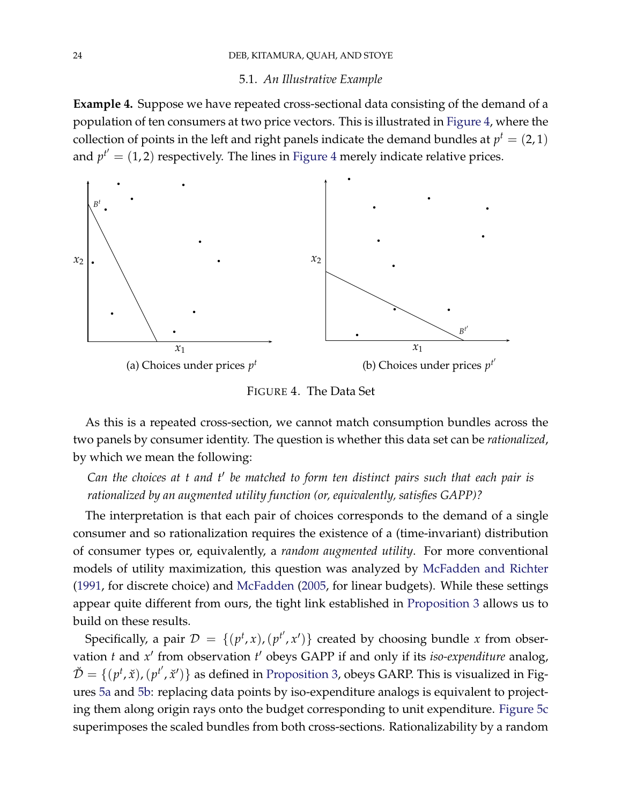### <span id="page-23-2"></span>5.1. An Illustrative Example

<span id="page-23-1"></span>**Example 4.** Suppose we have repeated cross-sectional data consisting of the demand of a population of ten consumers at two price vectors. This is illustrated in [Figure](#page-23-0) [4,](#page-23-0) where the collection of points in the left and right panels indicate the demand bundles at  $p^t = (2, 1)$ and  $p^{t'} = (1, 2)$  respectively. The lines in [Figure](#page-23-0) [4](#page-23-0) merely indicate relative prices.

<span id="page-23-0"></span>

FIGURE 4. The Data Set

As this is a repeated cross-section, we cannot match consumption bundles across the two panels by consumer identity. The question is whether this data set can be *rationalized*, by which we mean the following:

13 14 *rationalized by an augmented utility function (or, equivalently, satisfies GAPP)? Can the choices at t and t*0 *be matched to form ten distinct pairs such that each pair is*

The interpretation is that each pair of choices corresponds to the demand of a single consumer and so rationalization requires the existence of a (time-invariant) distribution of consumer types or, equivalently, a *random augmented utility*. For more conventional models of utility maximization, this question was analyzed by [McFadden and Richter](#page-42-4) [\(1991,](#page-42-4) for discrete choice) and [McFadden](#page-42-10) [\(2005,](#page-42-10) for linear budgets). While these settings appear quite different from ours, the tight link established in [Proposition](#page-18-1) [3](#page-18-1) allows us to build on these results.

Specifically, a pair  $\mathcal{D} = \{(p^t, x), (p^{t'}, x')\}$  created by choosing bundle *x* from observation *t* and x' from observation *t*' obeys GAPP if and only if its *iso-expenditure* analog,  $\check{\mathcal{D}} = \{ (p^t, \check{x}), (p^{t'}, \check{x}') \}$  as defined in [Proposition](#page-18-1) [3,](#page-18-1) obeys GARP. This is visualized in Figures [5a](#page-24-0) and [5b:](#page-24-0) replacing data points by iso-expenditure analogs is equivalent to projecting them along origin rays onto the budget corresponding to unit expenditure. [Figure](#page-24-0) [5c](#page-24-0) superimposes the scaled bundles from both cross-sections. Rationalizability by a random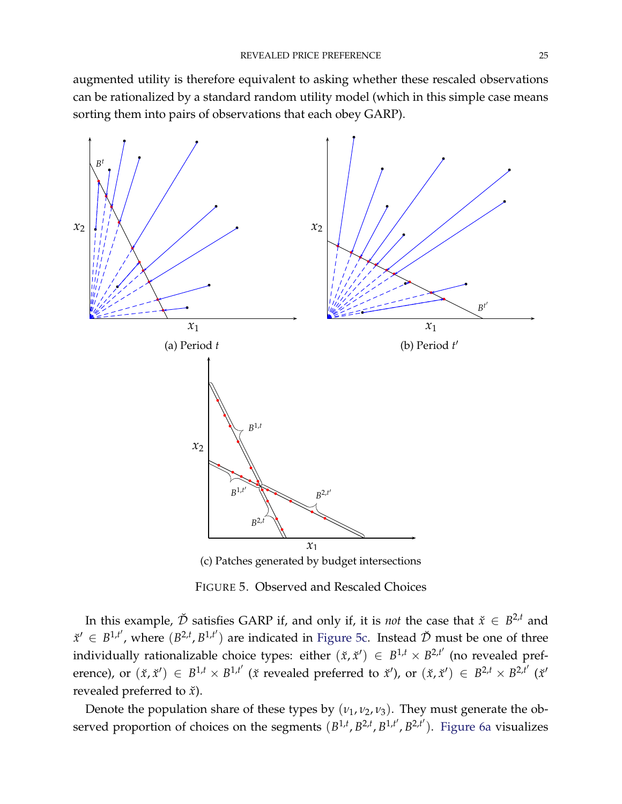augmented utility is therefore equivalent to asking whether these rescaled observations can be rationalized by a standard random utility model (which in this simple case means sorting them into pairs of observations that each obey GARP).

<span id="page-24-0"></span>

FIGURE 5. Observed and Rescaled Choices

In this example,  $\check{\mathcal{D}}$  satisfies GARP if, and only if, it is *not* the case that  $\check{x} \in B^{2,t}$  and  $\check{x}' \in B^{1,t'}$ , where  $(B^{2,t}, B^{1,t'})$  are indicated in [Figure](#page-24-0) [5c.](#page-24-0) Instead  $\check{\mathcal{D}}$  must be one of three individually rationalizable choice types: either  $(\check{x}, \check{x}') \in B^{1,t} \times B^{2,t'}$  (no revealed preference), or  $(\check{x}, \check{x}') \in B^{1,t} \times B^{1,t'}$  ( $\check{x}$  revealed preferred to  $\check{x}'$ ), or  $(\check{x}, \check{x}') \in B^{2,t'} \times B^{2,t'}$  ( $\check{x}'$ ) revealed preferred to  $\check{x}$ ).

served proportion of choices on the segments  $(B^{1,t}, B^{2,t}, B^{1,t'}, B^{2,t'})$ . [Figure](#page-25-0) [6a](#page-25-0) visualizes Denote the population share of these types by  $(v_1, v_2, v_3)$ . They must generate the ob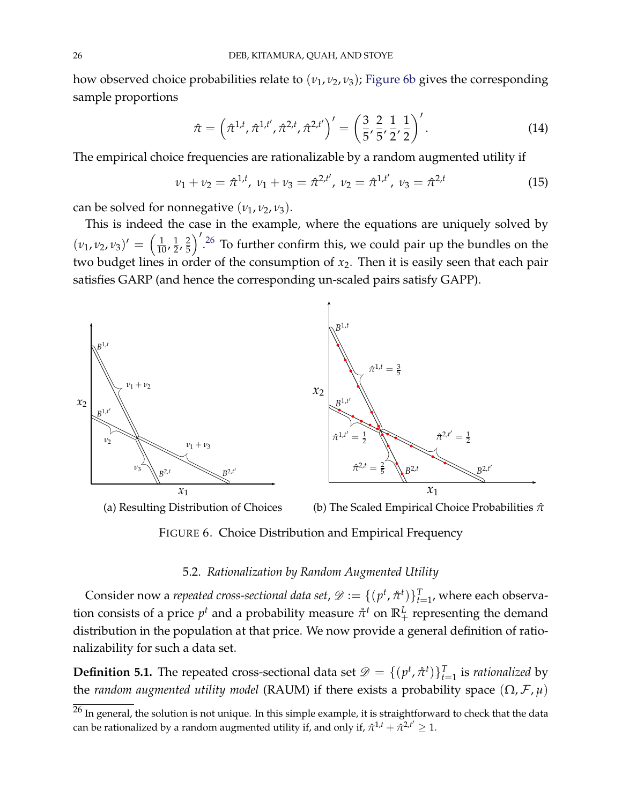how observed choice probabilities relate to (*ν*1, *ν*2, *ν*3); [Figure](#page-25-0) [6b](#page-25-0) gives the corresponding sample proportions

<span id="page-25-1"></span>
$$
\hat{\pi} = \left(\hat{\pi}^{1,t}, \hat{\pi}^{1,t'}, \hat{\pi}^{2,t}, \hat{\pi}^{2,t'}\right)' = \left(\frac{3}{5}, \frac{2}{5}, \frac{1}{2}, \frac{1}{2}\right)'.
$$
\n(14)

The empirical choice frequencies are rationalizable by a random augmented utility if

$$
\nu_1 + \nu_2 = \hat{\pi}^{1,t}, \ \nu_1 + \nu_3 = \hat{\pi}^{2,t'}, \ \nu_2 = \hat{\pi}^{1,t'}, \ \nu_3 = \hat{\pi}^{2,t} \tag{15}
$$

 $\alpha$  can be solved for nonnegative  $(\nu_1, \nu_2, \nu_3)$ .

This is indeed the case in the example, where the equations are uniquely solved by  $(\nu_1, \nu_2, \nu_3)' = \left(\frac{1}{10}, \frac{1}{2}\right)$  $\frac{1}{2}$ ,  $\frac{2}{5}$ 5  $\int_{0}^{1.26}$  $\int_{0}^{1.26}$  $\int_{0}^{1.26}$  To further confirm this, we could pair up the bundles on the two budget lines in order of the consumption of *x*2. Then it is easily seen that each pair satisfies GARP (and hence the corresponding un-scaled pairs satisfy GAPP).

<span id="page-25-0"></span>

FIGURE 6. Choice Distribution and Empirical Frequency

### 5.2. *Rationalization by Random Augmented Utility*

<span id="page-25-2"></span>nalizability for such a data set. Consider now a *repeated cross-sectional data set,*  $\mathscr{D} := \{(p^t, \mathring{\pi}^t)\}_{t=1}^T$ *, where each observa*tion consists of a price  $p^t$  and a probability measure  $\mathring{\pi}^t$  on  $\mathbb{R}^L_+$  representing the demand distribution in the population at that price. We now provide a general definition of ratio-

**Definition 5.1.** The repeated cross-sectional data set  $\mathscr{D} = \{(p^t, \hat{\pi}^t)\}_{t=1}^T$  is *rationalized* by the *random augmented utility model* (RAUM) if there exists a probability space  $(\Omega, \mathcal{F}, \mu)$ 

 $^{26}$  In general, the solution is not unique. In this simple example, it is straightforward to check that the data can be rationalized by a random augmented utility if, and only if,  $\hat{\pi}^{1,t} + \hat{\pi}^{2,t'} \ge 1$ .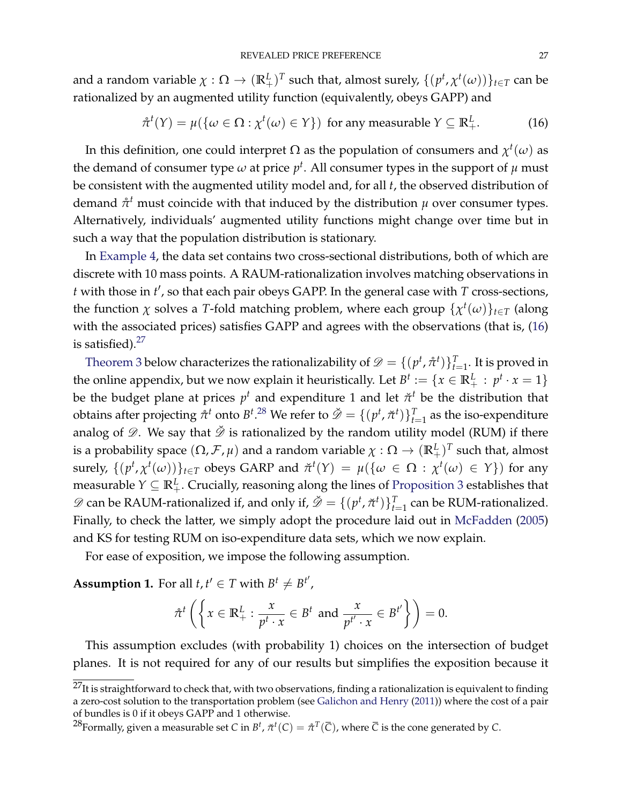and a random variable  $\chi: \Omega \to (\mathbb{R}^L_+)^T$  such that, almost surely,  $\{(p^t, \chi^t(\omega))\}_{t\in T}$  can be rationalized by an augmented utility function (equivalently, obeys GAPP) and

<span id="page-26-0"></span>
$$
\hat{\pi}^{t}(Y) = \mu(\{\omega \in \Omega : \chi^{t}(\omega) \in Y\}) \text{ for any measurable } Y \subseteq \mathbb{R}_{+}^{L}.
$$
 (16)

In this definition, one could interpret Ω as the population of consumers and *χ t* (*ω*) as the demand of consumer type  $\omega$  at price  $p^t$ . All consumer types in the support of  $\mu$  must be consistent with the augmented utility model and, for all *t*, the observed distribution of demand *π*˚ *<sup>t</sup>* must coincide with that induced by the distribution *µ* over consumer types. Alternatively, individuals' augmented utility functions might change over time but in such a way that the population distribution is stationary.

In [Example](#page-23-1) [4,](#page-23-1) the data set contains two cross-sectional distributions, both of which are discrete with 10 mass points. A RAUM-rationalization involves matching observations in *t* with those in *t' ,* so that each pair obeys GAPP. In the general case with *T* cross-sections*,* the function  $\chi$  solves a *T*-fold matching problem, where each group  $\{\chi^t(\omega)\}_{t\in T}$  (along with the associated prices) satisfies GAPP and agrees with the observations (that is, [\(16\)](#page-26-0) is satisfied). $27$ 

[Theorem](#page-28-1) [3](#page-28-1) below characterizes the rationalizability of  $\mathscr{D} = \{(p^t, \hat{\pi}^t)\}_{t=1}^T$ . It is proved in the online appendix, but we now explain it heuristically. Let  $B^t := \{x \in \mathbb{R}^L_+ : p^t \cdot x = 1\}$ be the budget plane at prices  $p^t$  and expenditure 1 and let  $\vec{\pi}^t$  be the distribution that obtains after projecting  $\mathring{\pi}^t$  onto  $B^t.^{28}$  $B^t.^{28}$  $B^t.^{28}$  We refer to  $\check{\mathscr{D}} = \{(p^t, \check{\pi}^t)\}_{t=1}^T$  as the iso-expenditure analog of  $\mathscr{D}$ . We say that  $\check{\mathscr{D}}$  is rationalized by the random utility model (RUM) if there is a probability space  $(\Omega, \mathcal{F}, \mu)$  and a random variable  $\chi: \Omega \to (\mathbb{R}^L_+)^T$  such that, almost surely,  $\{(p^t, \chi^t(\omega))\}_{t \in T}$  obeys GARP and  $\check{\pi}^t(Y) = \mu(\{\omega \in \Omega : \chi^t(\omega) \in Y\})$  for any measurable  $Y\subseteq \mathbb{R}_+^L.$  Crucially, reasoning along the lines of [Proposition](#page-18-1) [3](#page-18-1) establishes that  $D$  can be RAUM-rationalized if, and only if,  $\check{\mathcal{D}} = \{(p^t, \check{\pi}^t)\}_{t=1}^T$  can be RUM-rationalized. Finally, to check the latter, we simply adopt the procedure laid out in [McFadden](#page-42-10) [\(2005\)](#page-42-10) and KS for testing RUM on iso-expenditure data sets, which we now explain.

For ease of exposition, we impose the following assumption.

<span id="page-26-1"></span>**Assumption 1.** For all  $t, t' \in T$  with  $B^t \neq B^{t'}$ ,

$$
\mathring{\pi}^t\left(\left\{x \in \mathbb{R}_+^L : \frac{x}{p^t \cdot x} \in B^t \text{ and } \frac{x}{p^{t'} \cdot x} \in B^{t'}\right\}\right) = 0.
$$

This assumption excludes (with probability 1) choices on the intersection of budget planes. It is not required for any of our results but simplifies the exposition because it

 $^{27}$ It is straightforward to check that, with two observations, finding a rationalization is equivalent to finding a zero-cost solution to the transportation problem (see [Galichon and Henry](#page-41-14) [\(2011\)](#page-41-14)) where the cost of a pair of bundles is 0 if it obeys GAPP and 1 otherwise.

 $^{28}$ Formally, given a measurable set C in  $B^t$ ,  $\check{\pi}^t(C)=\mathring{\pi}^T(\overline{C})$ , where  $\overline{C}$  is the cone generated by C.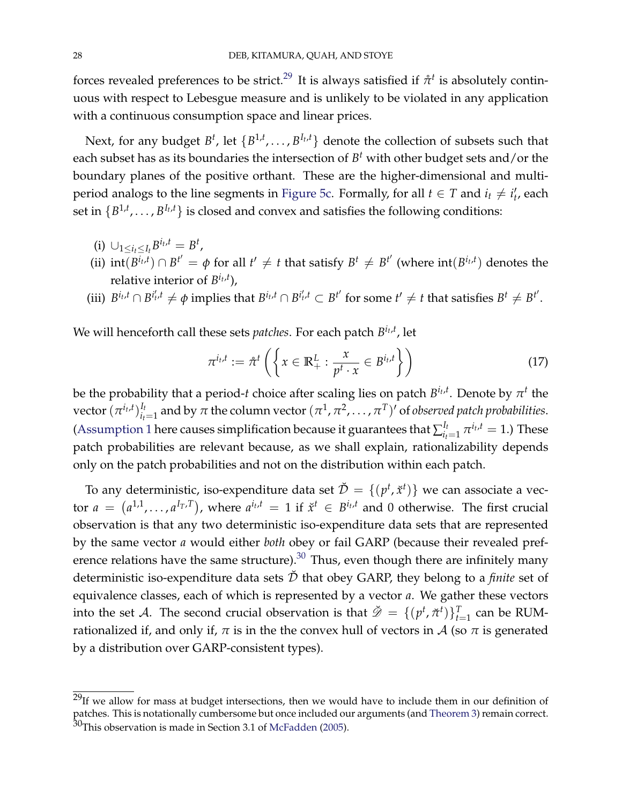forces revealed preferences to be strict.<sup>[29](#page-0-0)</sup> It is always satisfied if  $\mathring{\pi}^t$  is absolutely continuous with respect to Lebesgue measure and is unlikely to be violated in any application with a continuous consumption space and linear prices.

Next, for any budget  $B^t$ , let  $\{B^{1,t}, \ldots, B^{I_t,t}\}$  denote the collection of subsets such that each subset has as its boundaries the intersection of  $B^t$  with other budget sets and/or the boundary planes of the positive orthant. These are the higher-dimensional and multi-period analogs to the line segments in [Figure](#page-24-0) [5c.](#page-24-0) Formally, for all  $t \in T$  and  $i_t \neq i'_t$ , each set in  $\{B^{1,t}, \ldots, B^{I_t,t}\}$  is closed and convex and satisfies the following conditions:

- $(i)$   $\cup_{1 \leq i_t \leq I_t} B^{i_t,t} = B^t$ ,
- (ii)  $\mathrm{int}(B^{i_t,t}) \cap B^{t'} = \phi$  for all  $t' \neq t$  that satisfy  $B^t \neq B^{t'}$  (where  $\mathrm{int}(B^{i_t,t})$  denotes the relative interior of *B it* ,*t* ),
- (iii)  $B^{i_t,t} \cap B^{i'_t,t} \neq \phi$  implies that  $B^{i_t,t} \cap B^{i'_t,t} \subset B^{t'}$  for some  $t' \neq t$  that satisfies  $B^t \neq B^{t'}$ .

We will henceforth call these sets *patches*. For each patch *B it* ,*t* , let

<span id="page-27-0"></span>
$$
\pi^{i_t,t} := \hat{\pi}^t \left( \left\{ x \in \mathbb{R}_+^L : \frac{x}{p^t \cdot x} \in B^{i_t,t} \right\} \right) \tag{17}
$$

be the probability that a period-*t* choice after scaling lies on patch  $B^{i_t,t}.$  Denote by  $\pi^t$  the  $\mathrm{vector}\,(\pi^{i_t,t})_{i_t}^{I_t}$  $a_{i_t=1}^{I_t}$  and by  $\pi$  the column vector  $(\pi^1, \pi^2, \dots, \pi^T)'$  of *observed patch probabilities*. [\(Assumption](#page-26-1) [1](#page-26-1) here causes simplification because it guarantees that  $\sum_{i}^{I_t}$  $\frac{I_t}{i_t=1}$   $\pi^{i_t,t} = 1$ .) These patch probabilities are relevant because, as we shall explain, rationalizability depends only on the patch probabilities and not on the distribution within each patch.

To any deterministic, iso-expenditure data set  $\check{\mathcal{D}} = \{(p^t, \check{x}^t)\}$  we can associate a vector  $a = (a^{1,1}, \ldots, a^{I_T,T})$ , where  $a^{i_t,t} = 1$  if  $\check{x}^t \in B^{i_t,t}$  and 0 otherwise. The first crucial observation is that any two deterministic iso-expenditure data sets that are represented by the same vector *a* would either *both* obey or fail GARP (because their revealed preference relations have the same structure). $30$  Thus, even though there are infinitely many deterministic iso-expenditure data sets  $\check{\mathcal{D}}$  that obey GARP, they belong to a *finite* set of equivalence classes, each of which is represented by a vector *a*. We gather these vectors into the set  $\mathcal{A}$ . The second crucial observation is that  $\check{\mathscr{D}} = \{ (p^t, \check{\pi}^t) \}_{t=1}^T$  can be RUMrationalized if, and only if,  $\pi$  is in the the convex hull of vectors in A (so  $\pi$  is generated by a distribution over GARP-consistent types).

 $^{29}$ If we allow for mass at budget intersections, then we would have to include them in our definition of patches. This is notationally cumbersome but once included our arguments (and [Theorem](#page-28-1) [3\)](#page-28-1) remain correct. 30This observation is made in Section 3.1 of [McFadden](#page-42-10) [\(2005\)](#page-42-10).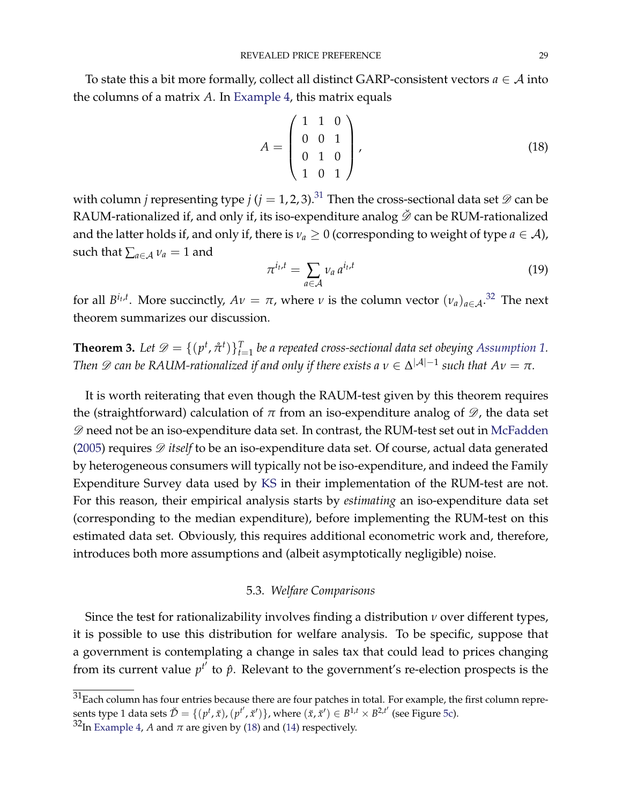To state this a bit more formally, collect all distinct GARP-consistent vectors  $a \in A$  into the columns of a matrix *A*. In [Example](#page-23-1) [4,](#page-23-1) this matrix equals

<span id="page-28-2"></span>
$$
A = \begin{pmatrix} 1 & 1 & 0 \\ 0 & 0 & 1 \\ 0 & 1 & 0 \\ 1 & 0 & 1 \end{pmatrix},
$$
 (18)

with column *j* representing type  $j$  ( $j = 1, 2, 3$ ).<sup>[31](#page-0-0)</sup> Then the cross-sectional data set  $\mathscr{D}$  can be RAUM-rationalized if, and only if, its iso-expenditure analog  $\check{\mathscr{D}}$  can be RUM-rationalized and the latter holds if, and only if, there is  $v_a \geq 0$  (corresponding to weight of type  $a \in A$ ), such that  $\sum_{a \in A} v_a = 1$  and

$$
\pi^{i_t, t} = \sum_{a \in \mathcal{A}} \nu_a \, a^{i_t, t} \tag{19}
$$

for all  $B^{i_t,t}$ . More succinctly,  $Av = \pi$ , where  $\nu$  is the column vector  $(\nu_a)_{a \in A}$ .<sup>[32](#page-0-0)</sup> The next theorem summarizes our discussion.

<span id="page-28-1"></span>**Theorem 3.** Let  $\mathscr{D} = \{ (p^t, \hat{\pi}^t) \}_{t=1}^T$  be a repeated cross-sectional data set obeying [Assumption](#page-26-1) [1.](#page-26-1) *Then*  $\mathscr D$  *can be RAUM-rationalized if and only if there exists a*  $v \in \Delta^{|\mathcal A|-1}$  *such that*  $Av = \pi$ *.* 

It is worth reiterating that even though the RAUM-test given by this theorem requires the (straightforward) calculation of  $\pi$  from an iso-expenditure analog of  $\mathscr{D}$ , the data set  $\mathscr D$  need not be an iso-expenditure data set. In contrast, the RUM-test set out in [McFadden](#page-42-10) [\(2005\)](#page-42-10) requires  $\mathscr D$  *itself* to be an iso-expenditure data set. Of course, actual data generated by heterogeneous consumers will typically not be iso-expenditure, and indeed the Family Expenditure Survey data used by [KS](#page-42-5) in their implementation of the RUM-test are not. For this reason, their empirical analysis starts by *estimating* an iso-expenditure data set (corresponding to the median expenditure), before implementing the RUM-test on this estimated data set. Obviously, this requires additional econometric work and, therefore, introduces both more assumptions and (albeit asymptotically negligible) noise.

# 5.3. *Welfare Comparisons*

<span id="page-28-0"></span>Since the test for rationalizability involves finding a distribution *ν* over different types, it is possible to use this distribution for welfare analysis. To be specific, suppose that a government is contemplating a change in sales tax that could lead to prices changing from its current value  $p^{t'}$  to  $\hat{p}$ . Relevant to the government's re-election prospects is the

 $31$ Each column has four entries because there are four patches in total. For example, the first column represents type 1 data sets  $\check{\mathcal{D}} = \{(p^t, \check{x}), (p^{t'}, \check{x}')\}$ , where  $(\check{x}, \check{x}') \in B^{1,t} \times B^{2,t'}$  (see Figure [5c\)](#page-24-0).

 $32$ In [Example](#page-23-1) [4,](#page-23-1) *A* and  $\pi$  are given by [\(18\)](#page-28-2) and [\(14\)](#page-25-1) respectively.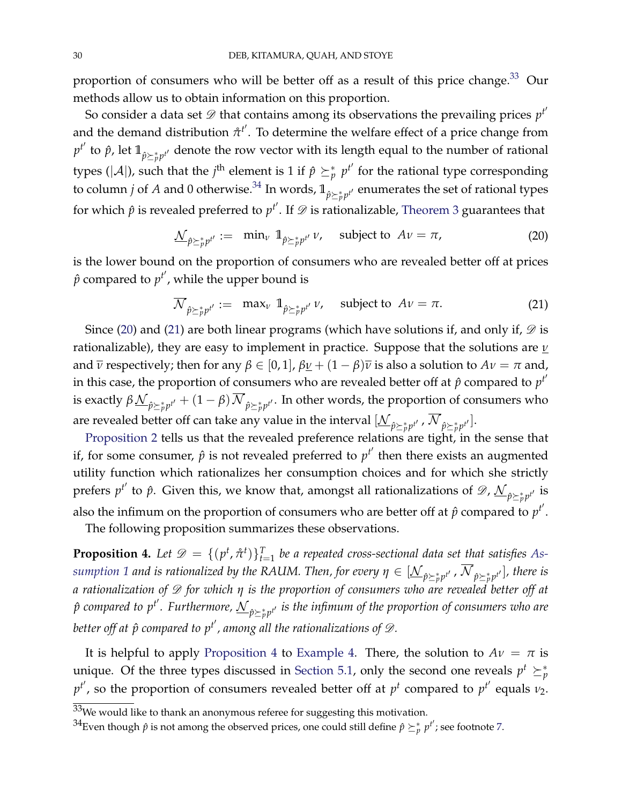proportion of consumers who will be better off as a result of this price change.<sup>[33](#page-0-0)</sup> Our methods allow us to obtain information on this proportion.

So consider a data set  ${\mathscr{D}}$  that contains among its observations the prevailing prices  $p^{t'}$ and the demand distribution  $\mathring{\pi}^{t'}$ . To determine the welfare effect of a price change from  $p^{t'}$  to  $\hat{p}$ , let  $\mathbb{1}_{\hat{p}\succeq p^{t'}}$  denote the row vector with its length equal to the number of rational types ( $|{\cal A}|$ ), such that the *j*<sup>th</sup> element is 1 if  $\hat{p} \succeq^*_{p} p^{t'}$  for the rational type corresponding to column *j* of *A* and 0 otherwise.<sup>[34](#page-0-0)</sup> In words,  $\mathbb{1}_{\hat{p}\succeq_p^*p^{t'}}$  enumerates the set of rational types for which  $\hat{p}$  is revealed preferred to  $p^{t'}$ . If  ${\mathscr{D}}$  is rationalizable, [Theorem](#page-28-1) [3](#page-28-1) guarantees that

<span id="page-29-0"></span>
$$
\underline{\mathcal{N}}_{\hat{p}\succeq_{p}^{*}p^{t'}} := \min_{\nu} \mathbb{1}_{\hat{p}\succeq_{p}^{*}p^{t'}} \nu, \quad \text{subject to } A\nu = \pi,
$$
\n(20)

is the lower bound on the proportion of consumers who are revealed better off at prices  $\hat{p}$  compared to  $p^{t'}$ , while the upper bound is

<span id="page-29-1"></span>
$$
\overline{\mathcal{N}}_{\hat{p}\succeq_{p}^{*}p^{t'}} := \max_{\nu} \mathbb{1}_{\hat{p}\succeq_{p}^{*}p^{t'}} \nu, \quad \text{subject to } A\nu = \pi. \tag{21}
$$

Since [\(20\)](#page-29-0) and [\(21\)](#page-29-1) are both linear programs (which have solutions if, and only if,  $\mathscr D$  is rationalizable), they are easy to implement in practice. Suppose that the solutions are *ν* and  $\overline{\nu}$  respectively; then for any  $\beta \in [0,1]$ ,  $\beta \underline{\nu} + (1 - \beta)\overline{\nu}$  is also a solution to  $A\nu = \pi$  and, in this case, the proportion of consumers who are revealed better off at  $\hat{p}$  compared to  $p^{t'}$ is exactly  $\beta\frac{\mathcal{N}}{\hat{p}\succeq_{p}^{*}p^{t'}}+(1-\beta)\mathcal{N}_{\hat{p}\succeq_{p}^{*}p^{t'}}.$  In other words, the proportion of consumers who are revealed better off can take any value in the interval  $[\mathcal{N}_{\hat{p}\succeq_{p}^{*}p^{t'}}$ ,  $\mathcal{N}_{\hat{p}\succeq_{p}^{*}p^{t'}}]$ .

[Proposition](#page-16-2) [2](#page-16-2) tells us that the revealed preference relations are tight, in the sense that if, for some consumer,  $\hat{p}$  is not revealed preferred to  $p^{t'}$  then there exists an augmented utility function which rationalizes her consumption choices and for which she strictly prefers  $p^{t'}$  to  $\hat{p}$ . Given this, we know that, amongst all rationalizations of  $\mathscr{D}$ ,  $\underline{\mathcal{N}}_{\hat{p}\succeq_{p}^{*}p^{t'}}$  is also the infimum on the proportion of consumers who are better off at  $\hat{p}$  compared to  $p^{t'}$ .

The following proposition summarizes these observations.

<span id="page-29-2"></span>**Proposition 4.** Let  $\mathscr{D} = \{ (p^t, \hat{\pi}^t) \}_{t=1}^T$  be a repeated cross-sectional data set that satisfies [As](#page-26-1) $s$ *umption [1](#page-26-1) and is rationalized by the RAUM. Then, for every*  $\eta\in[\underline{\mathcal{N}}_{\hat{p}\succeq_{p}^{*}p^{t'}}]$ *, there is a rationalization of* D *for which η is the proportion of consumers who are revealed better off at*  $\hat{p}$  compared to  $p^{t'}$ . Furthermore,  $\mathcal{N}_{\hat{p}\succeq_{p}^{*}p^{t'}}$  is the infimum of the proportion of consumers who are better off at  $\hat{p}$  compared to  $p^{t'}$ , among all the rationalizations of  $\mathscr{D}.$ 

It is helpful to apply [Proposition](#page-29-2) [4](#page-29-2) to [Example](#page-23-1) [4.](#page-23-1) There, the solution to  $Av = \pi$  is unique. Of the three types discussed in [Section](#page-23-2) [5.1,](#page-23-2) only the second one reveals  $p^t \succeq^*_p$  $p^{t'}$ , so the proportion of consumers revealed better off at  $p^t$  compared to  $p^{t'}$  equals  $\nu_2$ .

 $33$ We would like to thank an anonymous referee for suggesting this motivation.

 $^{34}$ Even though  $\hat{p}$  is not among the observed prices, one could still define  $\hat{p}\succeq^*_{p}p^{t'}$ ; see footnote [7.](#page-5-0)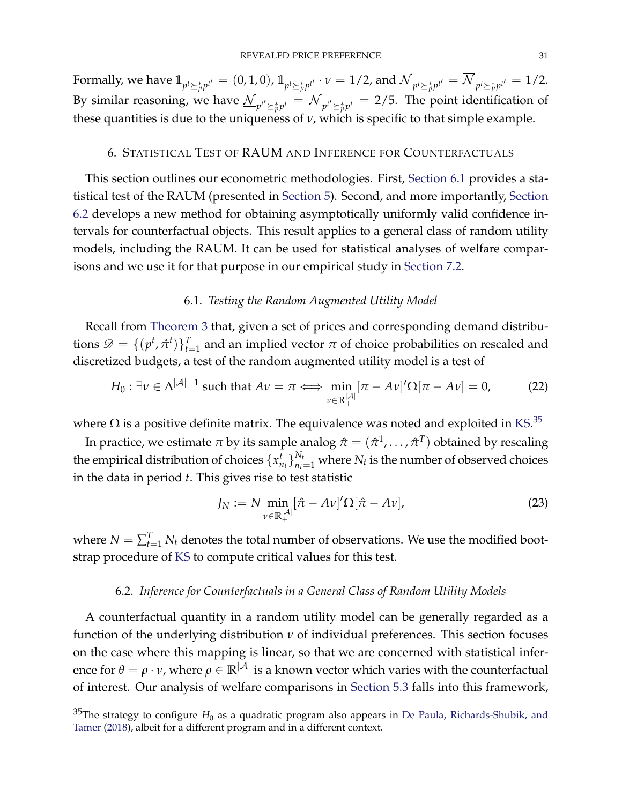Formally, we have  $1\hskip-3.5pt1_{p^t\succeq^*_p p^{t'}}=(0,1,0)$ ,  $1\hskip-3.5pt1_{p^t\succeq^*_p p^{t'}}\cdot\nu=1/2$ , and  ${\cal N}_{p^t\succeq^*_p p^{t'}}={\cal N}_{p^t\succeq^*_p p^{t'}}=1/2.$ By similar reasoning, we have  $\mathcal{N}_{p^{t'}\succeq^*_{p}p^{t}} = \mathcal{N}_{p^{t'}\succeq^*_{p}p^{t}} = 2/5$ . The point identification of these quantities is due to the uniqueness of  $\nu$ , which is specific to that simple example.

### 6. STATISTICAL TEST OF RAUM AND INFERENCE FOR COUNTERFACTUALS

<span id="page-30-3"></span>This section outlines our econometric methodologies. First, [Section](#page-30-0) [6.1](#page-30-0) provides a statistical test of the RAUM (presented in [Section](#page-22-0) [5\)](#page-22-0). Second, and more importantly, [Section](#page-30-1) [6.2](#page-30-1) develops a new method for obtaining asymptotically uniformly valid confidence intervals for counterfactual objects. This result applies to a general class of random utility models, including the RAUM. It can be used for statistical analyses of welfare comparisons and we use it for that purpose in our empirical study in [Section](#page-36-0) [7.2.](#page-36-0)

### 6.1. *Testing the Random Augmented Utility Model*

<span id="page-30-0"></span>Recall from [Theorem](#page-28-1) [3](#page-28-1) that, given a set of prices and corresponding demand distributions  $\mathscr{D} = \{ (p^t, \hat{\pi}^t) \}_{t=1}^T$  and an implied vector  $\pi$  of choice probabilities on rescaled and discretized budgets, a test of the random augmented utility model is a test of

$$
H_0: \exists \nu \in \Delta^{|\mathcal{A}|-1} \text{ such that } A\nu = \pi \Longleftrightarrow \min_{\nu \in \mathbb{R}_+^{|\mathcal{A}|}} [\pi - A\nu]' \Omega[\pi - A\nu] = 0, \tag{22}
$$

where  $\Omega$  is a positive definite matrix. The equivalence was noted and exploited in [KS.](#page-42-5) $^{35}$  $^{35}$  $^{35}$ 

In practice, we estimate  $\pi$  by its sample analog  $\hat{\pi} = (\hat{\pi}^1, \dots, \hat{\pi}^T)$  obtained by rescaling the empirical distribution of choices  $\{x_{n_t}^t\}_{n_t=1}^{N_t}$  where  $N_t$  is the number of observed choices in the data in period *t*. This gives rise to test statistic

<span id="page-30-2"></span>
$$
J_N := N \min_{\nu \in \mathbb{R}_+^{\vert A \vert}} [\hat{\pi} - A\nu]' \Omega [\hat{\pi} - A\nu], \tag{23}
$$

where  $N = \sum_{t=1}^{T} N_t$  denotes the total number of observations. We use the modified bootstrap procedure of [KS](#page-42-5) to compute critical values for this test.

### 6.2. *Inference for Counterfactuals in a General Class of Random Utility Models*

<span id="page-30-1"></span>A counterfactual quantity in a random utility model can be generally regarded as a function of the underlying distribution *ν* of individual preferences. This section focuses on the case where this mapping is linear, so that we are concerned with statistical inference for  $\theta = \rho \cdot v$ , where  $\rho \in \mathbb{R}^{|\mathcal{A}|}$  is a known vector which varies with the counterfactual of interest. Our analysis of welfare comparisons in [Section](#page-28-0) [5.3](#page-28-0) falls into this framework,

 $^{35}\!$ The strategy to configure  $H_0$  as a quadratic program also appears in [De Paula, Richards-Shubik, and](#page-41-15) [Tamer](#page-41-15) [\(2018\)](#page-41-15), albeit for a different program and in a different context.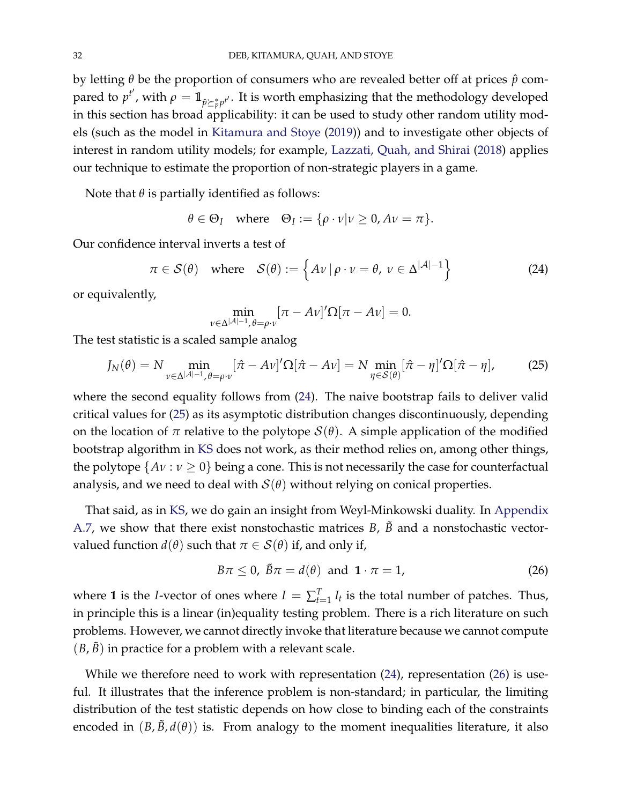by letting *θ* be the proportion of consumers who are revealed better off at prices *p*ˆ compared to  $p^{t'}$ , with  $\rho = \mathbb{1}_{\hat{p} \succeq \hat{p} p^{t'}}$ . It is worth emphasizing that the methodology developed in this section has broad applicability: it can be used to study other random utility models (such as the model in [Kitamura and Stoye](#page-42-11) [\(2019\)](#page-42-11)) and to investigate other objects of interest in random utility models; for example, [Lazzati, Quah, and Shirai](#page-42-6) [\(2018\)](#page-42-6) applies our technique to estimate the proportion of non-strategic players in a game.

Note that  $\theta$  is partially identified as follows:

$$
\theta \in \Theta_I
$$
 where  $\Theta_I := {\rho \cdot \nu | \nu \geq 0, A\nu = \pi}.$ 

Our confidence interval inverts a test of

<span id="page-31-0"></span>
$$
\pi \in \mathcal{S}(\theta) \quad \text{where} \quad \mathcal{S}(\theta) := \left\{ A \nu \, | \, \rho \cdot \nu = \theta, \, \nu \in \Delta^{|\mathcal{A}|-1} \right\} \tag{24}
$$

or equivalently,

$$
\min_{\nu \in \Delta^{|\mathcal{A}|-1}, \theta = \rho \cdot \nu} [\pi - A\nu]' \Omega[\pi - A\nu] = 0.
$$

The test statistic is a scaled sample analog

<span id="page-31-1"></span>
$$
J_N(\theta) = N \min_{\nu \in \Delta^{|\mathcal{A}|-1}, \theta = \rho \cdot \nu} [\hat{\pi} - A\nu]' \Omega[\hat{\pi} - A\nu] = N \min_{\eta \in \mathcal{S}(\theta)} [\hat{\pi} - \eta]' \Omega[\hat{\pi} - \eta], \tag{25}
$$

where the second equality follows from [\(24\)](#page-31-0). The naive bootstrap fails to deliver valid critical values for [\(25\)](#page-31-1) as its asymptotic distribution changes discontinuously, depending on the location of  $\pi$  relative to the polytope  $\mathcal{S}(\theta)$ . A simple application of the modified bootstrap algorithm in [KS](#page-42-5) does not work, as their method relies on, among other things, the polytope  $\{Av : v \ge 0\}$  being a cone. This is not necessarily the case for counterfactual analysis, and we need to deal with  $S(\theta)$  without relying on conical properties.

That said, as in [KS,](#page-42-5) we do gain an insight from Weyl-Minkowski duality. In [Appendix](#page-65-0) [A.7,](#page-65-0) we show that there exist nonstochastic matrices  $B$ ,  $\tilde{B}$  and a nonstochastic vectorvalued function  $d(\theta)$  such that  $\pi \in \mathcal{S}(\theta)$  if, and only if,

<span id="page-31-2"></span>
$$
B\pi \leq 0, \ \tilde{B}\pi = d(\theta) \ \text{and} \ \mathbf{1} \cdot \pi = 1,
$$
 (26)

where **1** is the *I*-vector of ones where  $I = \sum_{t=1}^{T} I_t$  is the total number of patches. Thus, in principle this is a linear (in)equality testing problem. There is a rich literature on such problems. However, we cannot directly invoke that literature because we cannot compute  $(B, \tilde{B})$  in practice for a problem with a relevant scale.

While we therefore need to work with representation  $(24)$ , representation  $(26)$  is useful. It illustrates that the inference problem is non-standard; in particular, the limiting distribution of the test statistic depends on how close to binding each of the constraints encoded in  $(B, \tilde{B}, d(\theta))$  is. From analogy to the moment inequalities literature, it also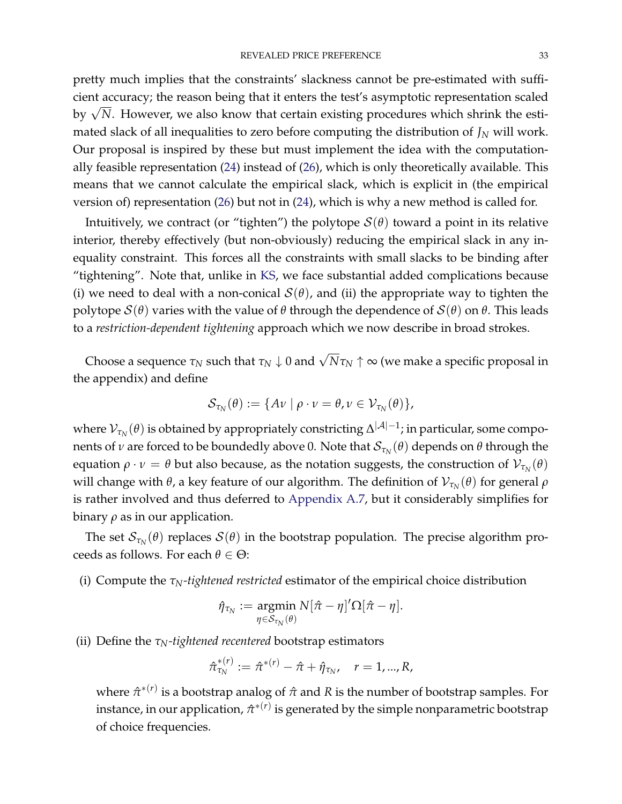pretty much implies that the constraints' slackness cannot be pre-estimated with sufficient accuracy; the reason being that it enters the test's asymptotic representation scaled by  $\sqrt{N}$ . However, we also know that certain existing procedures which shrink the estimated slack of all inequalities to zero before computing the distribution of  $J_N$  will work. Our proposal is inspired by these but must implement the idea with the computationally feasible representation [\(24\)](#page-31-0) instead of [\(26\)](#page-31-2), which is only theoretically available. This means that we cannot calculate the empirical slack, which is explicit in (the empirical version of) representation [\(26\)](#page-31-2) but not in [\(24\)](#page-31-0), which is why a new method is called for.

Intuitively, we contract (or "tighten") the polytope  $\mathcal{S}(\theta)$  toward a point in its relative interior, thereby effectively (but non-obviously) reducing the empirical slack in any inequality constraint. This forces all the constraints with small slacks to be binding after "tightening". Note that, unlike in [KS,](#page-42-5) we face substantial added complications because (i) we need to deal with a non-conical  $\mathcal{S}(\theta)$ , and (ii) the appropriate way to tighten the polytope S(*θ*) varies with the value of *θ* through the dependence of S(*θ*) on *θ*. This leads to a *restriction-dependent tightening* approach which we now describe in broad strokes.

Choose a sequence  $\tau_N$  such that  $\tau_N\downarrow 0$  and  $\sqrt{N}\tau_N \uparrow \infty$  (we make a specific proposal in the appendix) and define

$$
\mathcal{S}_{\tau_N}(\theta) := \{ A \nu \mid \rho \cdot \nu = \theta, \nu \in \mathcal{V}_{\tau_N}(\theta) \},
$$

where  $\mathcal{V}_{\tau_N}(\theta)$  is obtained by appropriately constricting  $\Delta^{|\mathcal{A}|-1}$ ; in particular, some components of  $\nu$  are forced to be boundedly above 0. Note that  $\mathcal{S}_{\tau_N}(\theta)$  depends on  $\theta$  through the equation  $ρ \cdot ν = θ$  but also because, as the notation suggests, the construction of  $\mathcal{V}_{\tau_N}(\theta)$ will change with *θ,* a key feature of our algorithm. The definition of  ${\cal V}_{\tau_N}(\theta)$  for general  $\rho$ is rather involved and thus deferred to [Appendix](#page-65-0) [A.7,](#page-65-0) but it considerably simplifies for binary  $\rho$  as in our application.

The set  $\mathcal{S}_{\tau_N}(\theta)$  replaces  $\mathcal{S}(\theta)$  in the bootstrap population. The precise algorithm proceeds as follows. For each *θ* ∈ Θ:

(i) Compute the *τN-tightened restricted* estimator of the empirical choice distribution

$$
\hat{\eta}_{\tau_N}:=\operatornamewithlimits{argmin}\limits_{\eta\in\mathcal{S}_{\tau_N}(\theta)}N[\hat{\pi}-\eta]'\Omega[\hat{\pi}-\eta].
$$

(ii) Define the *τN-tightened recentered* bootstrap estimators

$$
\hat{\pi}_{\tau_N}^{*(r)} := \hat{\pi}^{*(r)} - \hat{\pi} + \hat{\eta}_{\tau_N}, \quad r = 1, ..., R,
$$

where  $\hat{\pi}^{*(r)}$  is a bootstrap analog of  $\hat{\pi}$  and  $R$  is the number of bootstrap samples. For instance, in our application,  $\hat{\pi}^{*(r)}$  is generated by the simple nonparametric bootstrap of choice frequencies.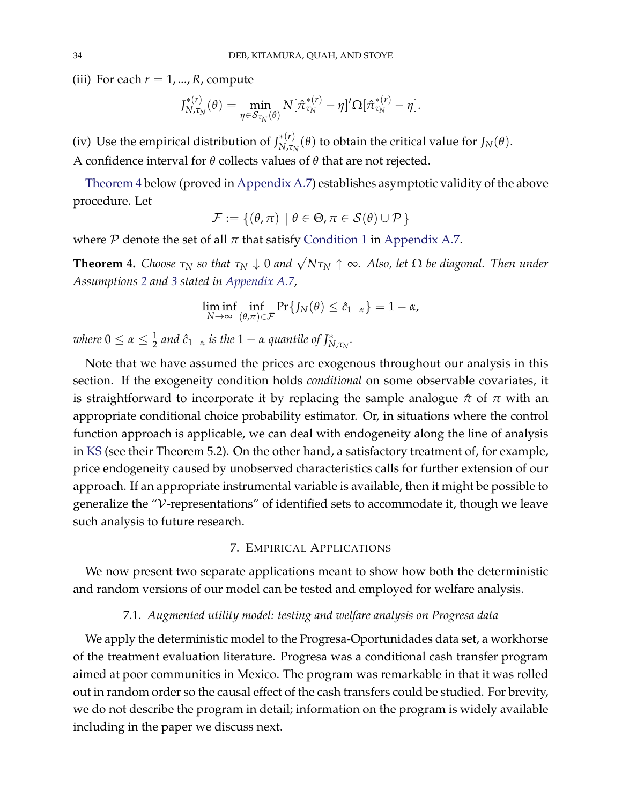(iii) For each  $r = 1, ..., R$ , compute

$$
J_{N,\tau_N}^{*(r)}(\theta) = \min_{\eta \in \mathcal{S}_{\tau_N}(\theta)} N[\hat{\pi}_{\tau_N}^{*(r)} - \eta]' \Omega[\hat{\pi}_{\tau_N}^{*(r)} - \eta].
$$

(iv) Use the empirical distribution of  $J_{N,\tau}^{*(r)}$  $N$ <sup>*x*</sup>(*θ*) to obtain the critical value for *J*<sub>*N*</sub>(*θ*). A confidence interval for *θ* collects values of *θ* that are not rejected.

[Theorem](#page-33-1) [4](#page-33-1) below (proved in [Appendix](#page-65-0) [A.7\)](#page-65-0) establishes asymptotic validity of the above procedure. Let

$$
\mathcal{F} := \{(\theta, \pi) \mid \theta \in \Theta, \pi \in \mathcal{S}(\theta) \cup \mathcal{P}\}
$$

where  $P$  denote the set of all  $\pi$  that satisfy [Condition](#page-67-0) [1](#page-67-0) in [Appendix](#page-65-0) [A.7.](#page-65-0)

<span id="page-33-1"></span>**Theorem 4.** *Choose*  $\tau_N$  *so that*  $\tau_N \downarrow 0$  *and*  $\sqrt{N} \tau_N \uparrow \infty$ *. Also, let*  $\Omega$  *be diagonal. Then under Assumptions [2](#page-67-1) and [3](#page-67-2) stated in [Appendix](#page-65-0) [A.7,](#page-65-0)*

$$
\liminf_{N\to\infty}\inf_{(\theta,\pi)\in\mathcal{F}}\Pr\{J_N(\theta)\leq \hat{c}_{1-\alpha}\}=1-\alpha,
$$

 $\alpha$  *where*  $0 \leq \alpha \leq \frac{1}{2}$  and  $\hat{c}_{1-\alpha}$  is the  $1-\alpha$  quantile of  $J^*_{N,\tau_N}.$ 

Note that we have assumed the prices are exogenous throughout our analysis in this section. If the exogeneity condition holds *conditional* on some observable covariates, it is straightforward to incorporate it by replacing the sample analogue  $\hat{\pi}$  of  $\pi$  with an appropriate conditional choice probability estimator. Or, in situations where the control function approach is applicable, we can deal with endogeneity along the line of analysis in [KS](#page-42-5) (see their Theorem 5.2). On the other hand, a satisfactory treatment of, for example, price endogeneity caused by unobserved characteristics calls for further extension of our approach. If an appropriate instrumental variable is available, then it might be possible to generalize the "V-representations" of identified sets to accommodate it, though we leave such analysis to future research.

#### 7. EMPIRICAL APPLICATIONS

We now present two separate applications meant to show how both the deterministic and random versions of our model can be tested and employed for welfare analysis.

### 7.1. *Augmented utility model: testing and welfare analysis on Progresa data*

<span id="page-33-0"></span>We apply the deterministic model to the Progresa-Oportunidades data set, a workhorse of the treatment evaluation literature. Progresa was a conditional cash transfer program aimed at poor communities in Mexico. The program was remarkable in that it was rolled out in random order so the causal effect of the cash transfers could be studied. For brevity, we do not describe the program in detail; information on the program is widely available including in the paper we discuss next.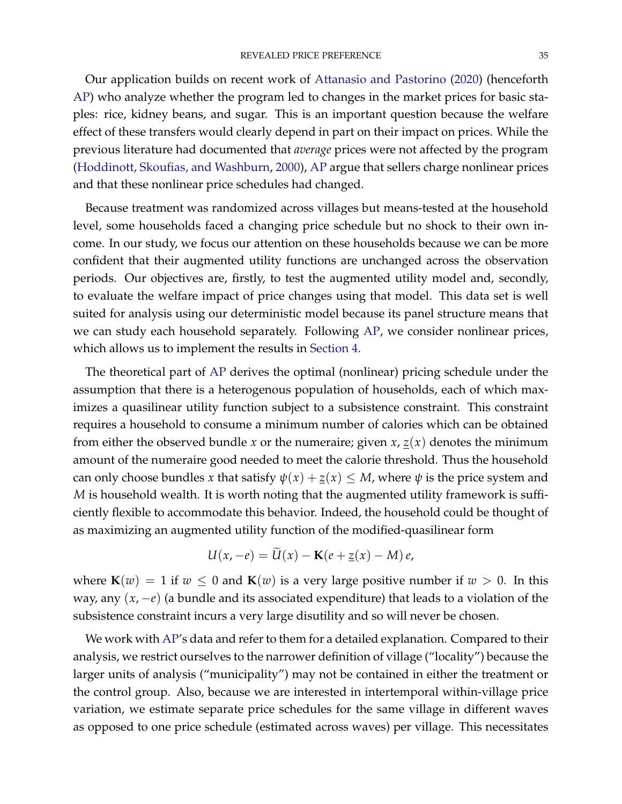Our application builds on recent work of [Attanasio and Pastorino](#page-41-16) [\(2020\)](#page-41-16) (henceforth [AP\)](#page-41-16) who analyze whether the program led to changes in the market prices for basic staples: rice, kidney beans, and sugar. This is an important question because the welfare effect of these transfers would clearly depend in part on their impact on prices. While the previous literature had documented that *average* prices were not affected by the program [\(Hoddinott, Skoufias, and Washburn,](#page-42-12) [2000\)](#page-42-12), [AP](#page-41-16) argue that sellers charge nonlinear prices and that these nonlinear price schedules had changed.

Because treatment was randomized across villages but means-tested at the household level, some households faced a changing price schedule but no shock to their own income. In our study, we focus our attention on these households because we can be more confident that their augmented utility functions are unchanged across the observation periods. Our objectives are, firstly, to test the augmented utility model and, secondly, to evaluate the welfare impact of price changes using that model. This data set is well suited for analysis using our deterministic model because its panel structure means that we can study each household separately. Following [AP,](#page-41-16) we consider nonlinear prices, which allows us to implement the results in [Section](#page-19-0) [4.](#page-19-0)

The theoretical part of [AP](#page-41-16) derives the optimal (nonlinear) pricing schedule under the assumption that there is a heterogenous population of households, each of which maximizes a quasilinear utility function subject to a subsistence constraint. This constraint requires a household to consume a minimum number of calories which can be obtained from either the observed bundle *x* or the numeraire; given *x*,  $\underline{z}(x)$  denotes the minimum amount of the numeraire good needed to meet the calorie threshold. Thus the household can only choose bundles *x* that satisfy  $\psi(x) + \underline{z}(x) \leq M$ , where  $\psi$  is the price system and *M* is household wealth. It is worth noting that the augmented utility framework is sufficiently flexible to accommodate this behavior. Indeed, the household could be thought of as maximizing an augmented utility function of the modified-quasilinear form

$$
U(x,-e) = U(x) - K(e + \underline{z}(x) - M)e,
$$

where  $\mathbf{K}(w) = 1$  if  $w \leq 0$  and  $\mathbf{K}(w)$  is a very large positive number if  $w > 0$ . In this way, any (*x*, −*e*) (a bundle and its associated expenditure) that leads to a violation of the subsistence constraint incurs a very large disutility and so will never be chosen.

We work with [AP'](#page-41-16)s data and refer to them for a detailed explanation. Compared to their analysis, we restrict ourselves to the narrower definition of village ("locality") because the larger units of analysis ("municipality") may not be contained in either the treatment or the control group. Also, because we are interested in intertemporal within-village price variation, we estimate separate price schedules for the same village in different waves as opposed to one price schedule (estimated across waves) per village. This necessitates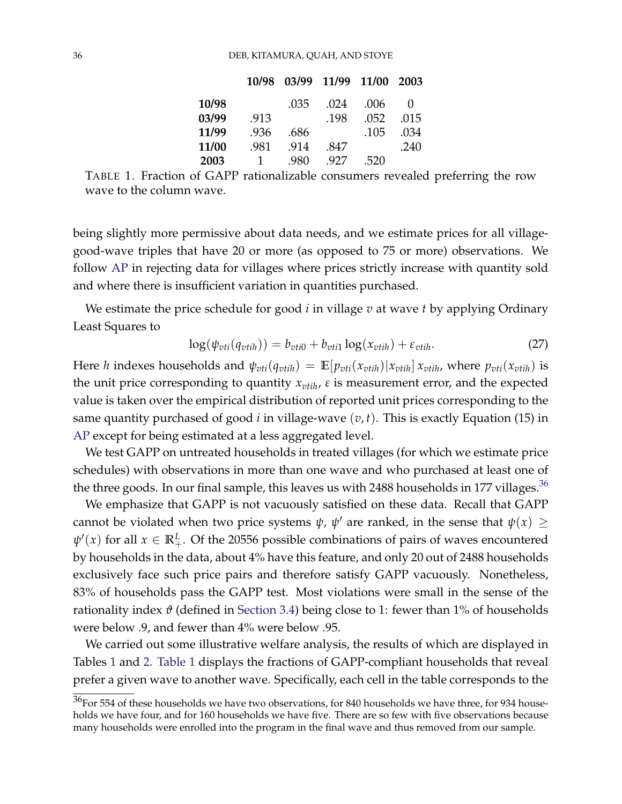|       |                | 10/98 03/99 11/99 11/00 2003 |      |      |              |
|-------|----------------|------------------------------|------|------|--------------|
| 10/98 |                | .035                         | .024 | .006 | $\mathbf{0}$ |
| 03/99 | .913           |                              | .198 | .052 | .015         |
| 11/99 | .936           | .686                         |      | .105 | .034         |
| 11/00 | .981           | .914                         | .847 |      | .240         |
| 2003  | $\overline{1}$ | .980                         | .927 | .520 |              |

<span id="page-35-0"></span>TABLE 1. Fraction of GAPP rationalizable consumers revealed preferring the row wave to the column wave.

being slightly more permissive about data needs, and we estimate prices for all villagegood-wave triples that have 20 or more (as opposed to 75 or more) observations. We follow [AP](#page-41-16) in rejecting data for villages where prices strictly increase with quantity sold and where there is insufficient variation in quantities purchased.

We estimate the price schedule for good *i* in village *v* at wave *t* by applying Ordinary Least Squares to

$$
\log(\psi_{\text{vti}}(q_{\text{vtih}})) = b_{\text{vti0}} + b_{\text{vti1}} \log(x_{\text{vtih}}) + \varepsilon_{\text{vtih}}.\tag{27}
$$

Here *h* indexes households and  $\psi_{vti}(q_{vtih}) = \mathbb{E}[p_{vti}(x_{vtih})|x_{vtih}]x_{vtih}$ , where  $p_{vti}(x_{vtih})$  is the unit price corresponding to quantity  $x_{v}$ *tih*,  $\varepsilon$  is measurement error, and the expected value is taken over the empirical distribution of reported unit prices corresponding to the same quantity purchased of good *i* in village-wave  $(v, t)$ . This is exactly Equation (15) in [AP](#page-41-16) except for being estimated at a less aggregated level.

We test GAPP on untreated households in treated villages (for which we estimate price schedules) with observations in more than one wave and who purchased at least one of the three goods. In our final sample, this leaves us with 2488 households in 177 villages.<sup>[36](#page-0-0)</sup>

We emphasize that GAPP is not vacuously satisfied on these data. Recall that GAPP cannot be violated when two price systems  $\psi$ ,  $\psi'$  are ranked, in the sense that  $\psi(x) \geq$  $\psi'(x)$  for all  $x \in \mathbb{R}^L_+$ . Of the 20556 possible combinations of pairs of waves encountered by households in the data, about 4% have this feature, and only 20 out of 2488 households exclusively face such price pairs and therefore satisfy GAPP vacuously. Nonetheless, 83% of households pass the GAPP test. Most violations were small in the sense of the rationality index  $\vartheta$  (defined in [Section](#page-18-2) [3.4\)](#page-18-2) being close to 1: fewer than 1% of households were below .9, and fewer than 4% were below .95.

We carried out some illustrative welfare analysis, the results of which are displayed in Tables [1](#page-35-0) and [2.](#page-36-1) [Table](#page-35-0) [1](#page-35-0) displays the fractions of GAPP-compliant households that reveal prefer a given wave to another wave. Specifically, each cell in the table corresponds to the

 $36$  For 554 of these households we have two observations, for 840 households we have three, for 934 households we have four, and for 160 households we have five. There are so few with five observations because many households were enrolled into the program in the final wave and thus removed from our sample.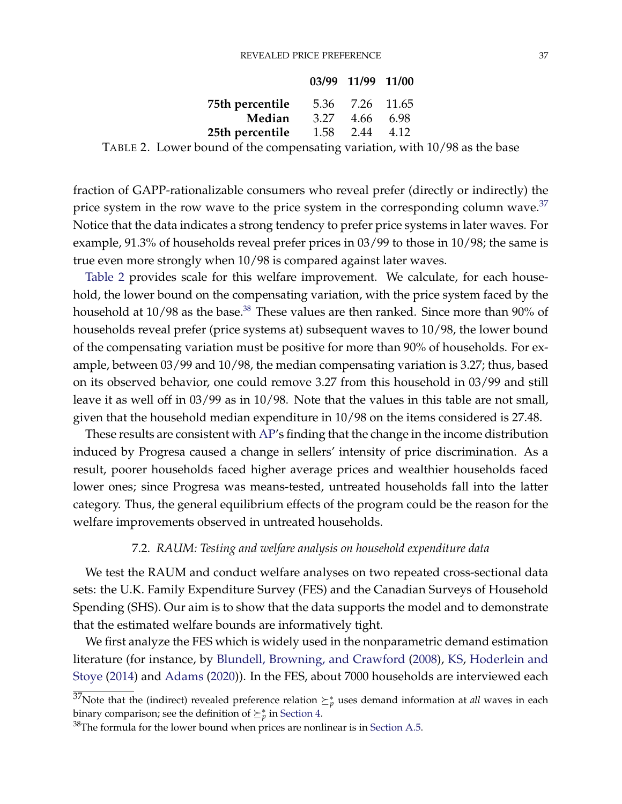#### REVEALED PRICE PREFERENCE 37

|                                                     |      | 03/99 11/99 11/00 |  |
|-----------------------------------------------------|------|-------------------|--|
| 75th percentile                                     |      | 5.36 7.26 11.65   |  |
| Median                                              | 3.27 | 4.66 6.98         |  |
| 25th percentile                                     |      | 1.58 2.44 4.12    |  |
| $\mathbf{1}$ $\mathbf{1}$ $\mathbf{1}$ $\mathbf{1}$ |      |                   |  |

<span id="page-36-1"></span>TABLE 2. Lower bound of the compensating variation, with 10/98 as the base

fraction of GAPP-rationalizable consumers who reveal prefer (directly or indirectly) the price system in the row wave to the price system in the corresponding column wave.<sup>[37](#page-0-0)</sup> Notice that the data indicates a strong tendency to prefer price systems in later waves. For example, 91.3% of households reveal prefer prices in 03/99 to those in 10/98; the same is true even more strongly when 10/98 is compared against later waves.

[Table](#page-36-1) [2](#page-36-1) provides scale for this welfare improvement. We calculate, for each household, the lower bound on the compensating variation, with the price system faced by the household at 10/98 as the base.<sup>[38](#page-0-0)</sup> These values are then ranked. Since more than 90% of households reveal prefer (price systems at) subsequent waves to 10/98, the lower bound of the compensating variation must be positive for more than 90% of households. For example, between 03/99 and 10/98, the median compensating variation is 3.27; thus, based on its observed behavior, one could remove 3.27 from this household in 03/99 and still leave it as well off in 03/99 as in 10/98. Note that the values in this table are not small, given that the household median expenditure in 10/98 on the items considered is 27.48.

These results are consistent with [AP'](#page-41-16)s finding that the change in the income distribution induced by Progresa caused a change in sellers' intensity of price discrimination. As a result, poorer households faced higher average prices and wealthier households faced lower ones; since Progresa was means-tested, untreated households fall into the latter category. Thus, the general equilibrium effects of the program could be the reason for the welfare improvements observed in untreated households.

### 7.2. *RAUM: Testing and welfare analysis on household expenditure data*

<span id="page-36-0"></span>We test the RAUM and conduct welfare analyses on two repeated cross-sectional data sets: the U.K. Family Expenditure Survey (FES) and the Canadian Surveys of Household Spending (SHS). Our aim is to show that the data supports the model and to demonstrate that the estimated welfare bounds are informatively tight.

We first analyze the FES which is widely used in the nonparametric demand estimation literature (for instance, by [Blundell, Browning, and Crawford](#page-41-17) [\(2008\)](#page-41-17), [KS,](#page-42-5) [Hoderlein and](#page-42-13) [Stoye](#page-42-13) [\(2014\)](#page-42-13) and [Adams](#page-40-1) [\(2020\)](#page-40-1)). In the FES, about 7000 households are interviewed each

<sup>&</sup>lt;sup>37</sup>Note that the (indirect) revealed preference relation  $\succeq^*_p$  uses demand information at *all* waves in each binary comparison; see the definition of  $\succeq^*_p$  in [Section](#page-19-0) [4.](#page-19-0)

 $38$ The formula for the lower bound when prices are nonlinear is in [Section](#page-61-0) [A.5.](#page-61-0)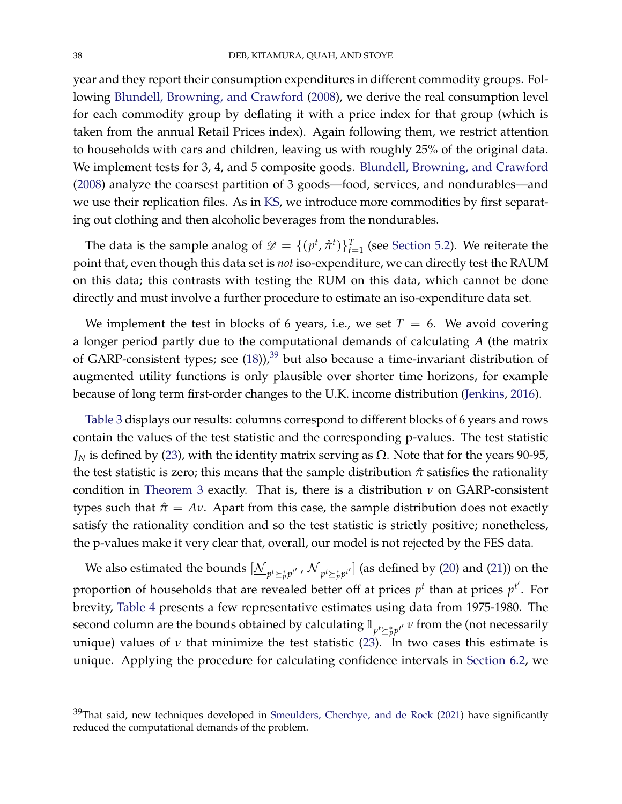year and they report their consumption expenditures in different commodity groups. Following [Blundell, Browning, and Crawford](#page-41-17) [\(2008\)](#page-41-17), we derive the real consumption level for each commodity group by deflating it with a price index for that group (which is taken from the annual Retail Prices index). Again following them, we restrict attention to households with cars and children, leaving us with roughly 25% of the original data. We implement tests for 3, 4, and 5 composite goods. [Blundell, Browning, and Crawford](#page-41-17) [\(2008\)](#page-41-17) analyze the coarsest partition of 3 goods—food, services, and nondurables—and we use their replication files. As in [KS,](#page-42-5) we introduce more commodities by first separating out clothing and then alcoholic beverages from the nondurables.

The data is the sample analog of  $\mathscr{D} = \{(p^t, \hat{\pi}^t)\}_{t=1}^T$  (see [Section](#page-25-2) [5.2\)](#page-25-2). We reiterate the point that, even though this data set is *not* iso-expenditure, we can directly test the RAUM on this data; this contrasts with testing the RUM on this data, which cannot be done directly and must involve a further procedure to estimate an iso-expenditure data set.

We implement the test in blocks of 6 years, i.e., we set  $T = 6$ . We avoid covering a longer period partly due to the computational demands of calculating *A* (the matrix of GARP-consistent types; see  $(18)$ ,<sup>[39](#page-0-0)</sup> but also because a time-invariant distribution of augmented utility functions is only plausible over shorter time horizons, for example because of long term first-order changes to the U.K. income distribution [\(Jenkins,](#page-42-14) [2016\)](#page-42-14).

[Table](#page-38-0) [3](#page-38-0) displays our results: columns correspond to different blocks of 6 years and rows contain the values of the test statistic and the corresponding p-values. The test statistic  $J_N$  is defined by [\(23\)](#page-30-2), with the identity matrix serving as  $\Omega$ . Note that for the years 90-95, the test statistic is zero; this means that the sample distribution *π*ˆ satisfies the rationality condition in [Theorem](#page-28-1) [3](#page-28-1) exactly. That is, there is a distribution *ν* on GARP-consistent types such that  $\hat{\pi} = Av$ . Apart from this case, the sample distribution does not exactly satisfy the rationality condition and so the test statistic is strictly positive; nonetheless, the p-values make it very clear that, overall, our model is not rejected by the FES data.

We also estimated the bounds  $[\underline{\mathcal{N}}_{p^t\succeq_p^*p^{t'}}$  ,  $\mathcal{N}_{p^t\succeq_p^*p^{t'}}]$  (as defined by [\(20\)](#page-29-0) and [\(21\)](#page-29-1)) on the proportion of households that are revealed better off at prices  $p^t$  than at prices  $p^{t'}$ . For brevity, [Table](#page-38-1) [4](#page-38-1) presents a few representative estimates using data from 1975-1980. The second column are the bounds obtained by calculating  $1\!\!1_{p^t \succeq^*_p p^{t'}}\nu$  from the (not necessarily unique) values of  $\nu$  that minimize the test statistic [\(23\)](#page-30-2). In two cases this estimate is unique. Applying the procedure for calculating confidence intervals in [Section](#page-30-1) [6.2,](#page-30-1) we

 $39$ That said, new techniques developed in [Smeulders, Cherchye, and de Rock](#page-43-3) [\(2021\)](#page-43-3) have significantly reduced the computational demands of the problem.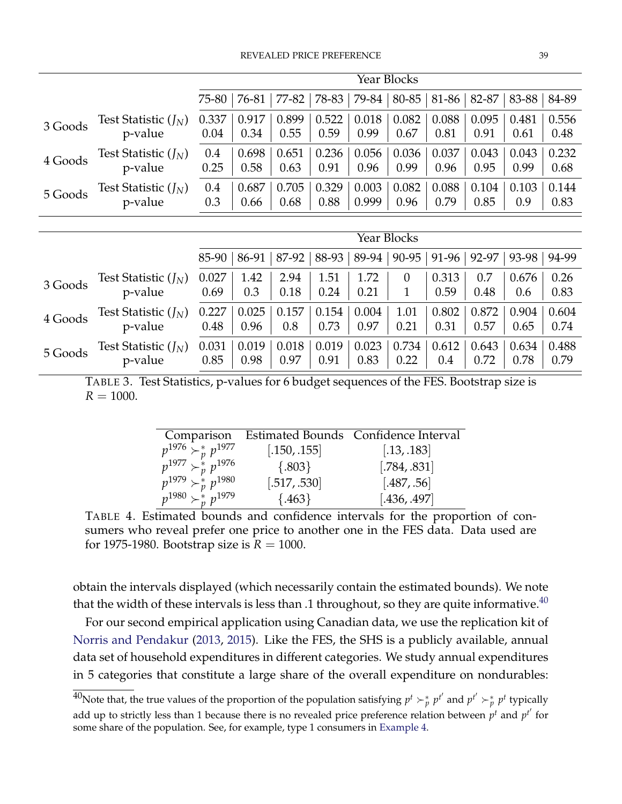<span id="page-38-0"></span>

|         |                        | Year Blocks        |       |         |       |       |                |       |       |       |       |
|---------|------------------------|--------------------|-------|---------|-------|-------|----------------|-------|-------|-------|-------|
|         |                        | 75-80              | 76-81 | 77-82   | 78-83 | 79-84 | 80-85          | 81-86 | 82-87 | 83-88 | 84-89 |
| 3 Goods | Test Statistic $(J_N)$ | 0.337              | 0.917 | 0.899   | 0.522 | 0.018 | 0.082          | 0.088 | 0.095 | 0.481 | 0.556 |
|         | p-value                | 0.04               | 0.34  | 0.55    | 0.59  | 0.99  | 0.67           | 0.81  | 0.91  | 0.61  | 0.48  |
| 4 Goods | Test Statistic $(J_N)$ | 0.4                | 0.698 | 0.651   | 0.236 | 0.056 | 0.036          | 0.037 | 0.043 | 0.043 | 0.232 |
|         | p-value                | 0.25               | 0.58  | 0.63    | 0.91  | 0.96  | 0.99           | 0.96  | 0.95  | 0.99  | 0.68  |
| 5 Goods | Test Statistic $(J_N)$ | 0.4                | 0.687 | 0.705   | 0.329 | 0.003 | 0.082          | 0.088 | 0.104 | 0.103 | 0.144 |
|         | p-value                | 0.3                | 0.66  | 0.68    | 0.88  | 0.999 | 0.96           | 0.79  | 0.85  | 0.9   | 0.83  |
|         |                        |                    |       |         |       |       |                |       |       |       |       |
|         |                        | <b>Year Blocks</b> |       |         |       |       |                |       |       |       |       |
|         |                        | 85-90              | 86-91 | $87-92$ | 88-93 | 89-94 | 90-95          | 91-96 | 92-97 | 93-98 | 94-99 |
| 3 Goods | Test Statistic $(J_N)$ | 0.027              | 1.42  | 2.94    | 1.51  | 1.72  | $\overline{0}$ | 0.313 | 0.7   | 0.676 | 0.26  |
|         | p-value                | 0.69               | 0.3   | 0.18    | 0.24  | 0.21  | $\mathbf{1}$   | 0.59  | 0.48  | 0.6   | 0.83  |
| 4 Goods | Test Statistic $(J_N)$ | 0.227              | 0.025 | 0.157   | 0.154 | 0.004 | 1.01           | 0.802 | 0.872 | 0.904 | 0.604 |
|         | p-value                | 0.48               | 0.96  | 0.8     | 0.73  | 0.97  | 0.21           | 0.31  | 0.57  | 0.65  | 0.74  |
| 5 Goods | Test Statistic $(J_N)$ | 0.031              | 0.019 | 0.018   | 0.019 | 0.023 | 0.734          | 0.612 | 0.643 | 0.634 | 0.488 |
|         | p-value                | 0.85               | 0.98  | 0.97    | 0.91  | 0.83  | 0.22           | 0.4   | 0.72  | 0.78  | 0.79  |

<span id="page-38-1"></span>TABLE 3. Test Statistics, p-values for 6 budget sequences of the FES. Bootstrap size is  $R = 1000$ .

|                               |              | Comparison Estimated Bounds Confidence Interval |
|-------------------------------|--------------|-------------------------------------------------|
| $p^{1976} > p^{1977}$         | [.150, .155] | [.13, .183]                                     |
| $p^{1977} \succ_p^* p^{1976}$ | ${.803}$     | [.784, .831]                                    |
| $p^{1979} \succ_n^* p^{1980}$ | [.517, .530] | [.487, .56]                                     |
| $p^{1980} \succ_n^k p^{1979}$ | ${463}$      | [.436, .497]                                    |

TABLE 4. Estimated bounds and confidence intervals for the proportion of consumers who reveal prefer one price to another one in the FES data. Data used are for 1975-1980. Bootstrap size is  $R = 1000$ .

obtain the intervals displayed (which necessarily contain the estimated bounds). We note that the width of these intervals is less than .1 throughout, so they are quite informative. $^{40}$  $^{40}$  $^{40}$ 

For our second empirical application using Canadian data, we use the replication kit of [Norris and Pendakur](#page-42-15) [\(2013,](#page-42-15) [2015\)](#page-42-16). Like the FES, the SHS is a publicly available, annual data set of household expenditures in different categories. We study annual expenditures in 5 categories that constitute a large share of the overall expenditure on nondurables:

 $^{40}$ Note that, the true values of the proportion of the population satisfying  $p^t \succ^*_p p^{t'}$  and  $p^{t'} \succ^*_p p^t$  typically add up to strictly less than 1 because there is no revealed price preference relation between  $p^t$  and  $p^{t'}$  for some share of the population. See, for example, type 1 consumers in [Example](#page-23-1) [4.](#page-23-1)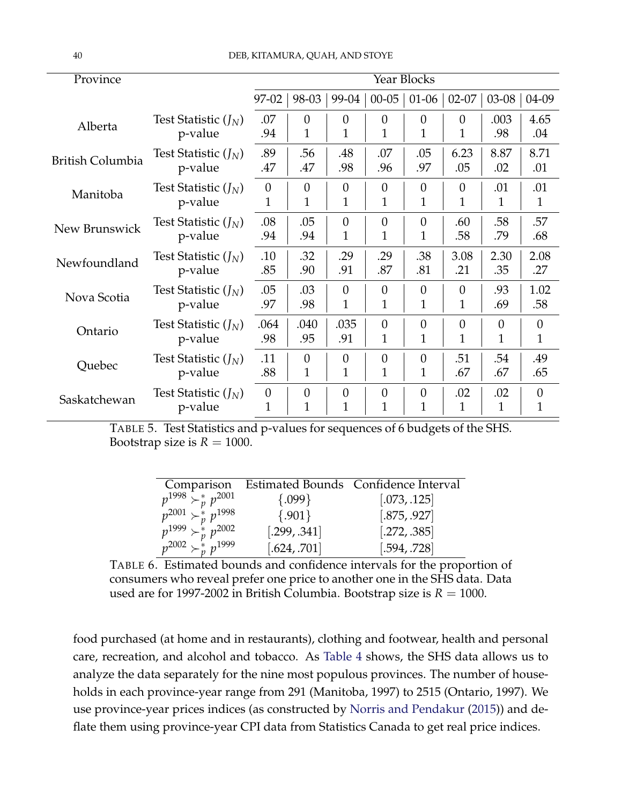| Province                |                        | Year Blocks  |                |                |                |                |                |          |                |
|-------------------------|------------------------|--------------|----------------|----------------|----------------|----------------|----------------|----------|----------------|
|                         |                        | 97-02        | 98-03          | 99-04          | $00 - 05$      | $01-06$        | $02 - 07$      | $03-08$  | 04-09          |
| Alberta                 | Test Statistic $(J_N)$ | .07          | $\theta$       | $\theta$       | $\theta$       | $\theta$       | $\theta$       | .003     | 4.65           |
|                         | p-value                | .94          | 1              | 1              | $\mathbf 1$    | $\mathbf{1}$   | 1              | .98      | .04            |
| <b>British Columbia</b> | Test Statistic $(J_N)$ | .89          | .56            | .48            | .07            | .05            | 6.23           | 8.87     | 8.71           |
|                         | p-value                | .47          | .47            | .98            | .96            | .97            | .05            | .02      | .01            |
| Manitoba                | Test Statistic $(J_N)$ | $\theta$     | $\overline{0}$ | $\theta$       | $\theta$       | $\theta$       | $\overline{0}$ | .01      | .01            |
|                         | p-value                | 1            | 1              | 1              | $\mathbf 1$    | $\mathbf{1}$   | 1              | 1        | 1              |
| New Brunswick           | Test Statistic $(J_N)$ | .08          | .05            | $\theta$       | $\theta$       | $\theta$       | .60            | .58      | .57            |
|                         | p-value                | .94          | .94            | 1              | 1              | 1              | .58            | .79      | .68            |
| Newfoundland            | Test Statistic $(J_N)$ | .10          | .32            | .29            | .29            | .38            | 3.08           | 2.30     | 2.08           |
|                         | p-value                | .85          | .90            | .91            | .87            | .81            | .21            | .35      | .27            |
| Nova Scotia             | Test Statistic $(J_N)$ | .05          | .03            | $\theta$       | $\theta$       | $\overline{0}$ | $\overline{0}$ | .93      | 1.02           |
|                         | p-value                | .97          | .98            | 1              | 1              | 1              | 1              | .69      | .58            |
| Ontario                 | Test Statistic $(I_N)$ | .064         | .040           | .035           | $\theta$       | $\theta$       | 0              | $\theta$ | $\overline{0}$ |
|                         | p-value                | .98          | .95            | .91            | 1              | 1              | 1              | 1        | 1              |
| Quebec                  | Test Statistic $(J_N)$ | .11          | $\overline{0}$ | $\theta$       | $\overline{0}$ | $\theta$       | .51            | .54      | .49            |
|                         | p-value                | .88          | $\mathbf{1}$   | 1              | $\mathbf{1}$   | 1              | .67            | .67      | .65            |
| Saskatchewan            | Test Statistic $(J_N)$ | $\theta$     | 0              | $\overline{0}$ | $\overline{0}$ | $\overline{0}$ | .02            | .02      | $\overline{0}$ |
|                         | p-value                | $\mathbf{1}$ | $\mathbf{1}$   | $\overline{1}$ | $\overline{1}$ | $\mathbf{1}$   | 1              | 1        | $\mathbf 1$    |

<span id="page-39-0"></span>TABLE 5. Test Statistics and p-values for sequences of 6 budgets of the SHS. Bootstrap size is  $R = 1000$ .

|                                 |              | Comparison Estimated Bounds Confidence Interval |
|---------------------------------|--------------|-------------------------------------------------|
| $p^{1998} \rightarrow p^{2001}$ | $\{.099\}$   | [.073, .125]                                    |
| $p^{2001} \succ_p^* p^{1998}$   | $\{.901\}$   | [.875, .927]                                    |
| $p^{1999} \succ_n^* p^{2002}$   | [.299, .341] | [.272, .385]                                    |
| $p^{2002} \succ_n^k p^{1999}$   | [.624, .701] | [.594, .728]                                    |

TABLE 6. Estimated bounds and confidence intervals for the proportion of consumers who reveal prefer one price to another one in the SHS data. Data used are for 1997-2002 in British Columbia. Bootstrap size is  $R = 1000$ .

food purchased (at home and in restaurants), clothing and footwear, health and personal care, recreation, and alcohol and tobacco. As [Table](#page-38-1) [4](#page-38-1) shows, the SHS data allows us to analyze the data separately for the nine most populous provinces. The number of households in each province-year range from 291 (Manitoba, 1997) to 2515 (Ontario, 1997). We use province-year prices indices (as constructed by [Norris and Pendakur](#page-42-16) [\(2015\)](#page-42-16)) and deflate them using province-year CPI data from Statistics Canada to get real price indices.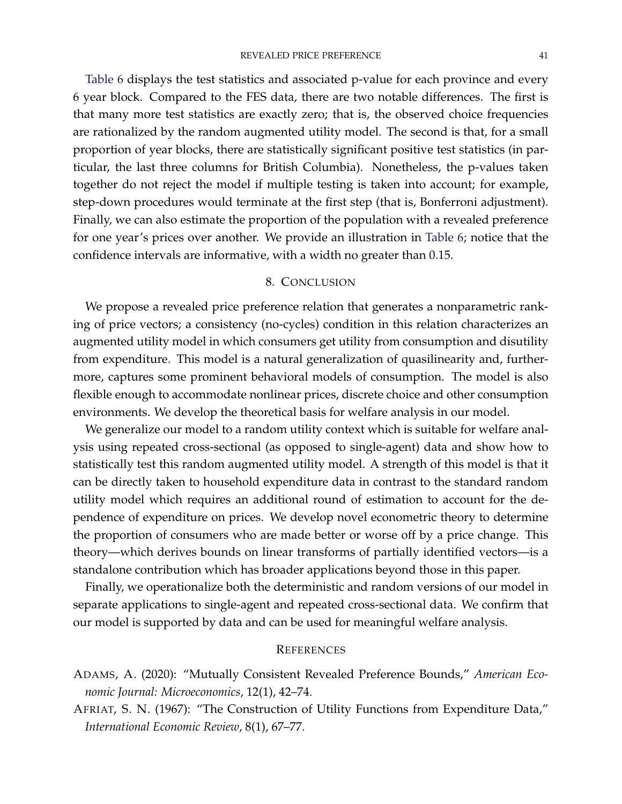[Table](#page-39-0) [6](#page-39-0) displays the test statistics and associated p-value for each province and every 6 year block. Compared to the FES data, there are two notable differences. The first is that many more test statistics are exactly zero; that is, the observed choice frequencies are rationalized by the random augmented utility model. The second is that, for a small proportion of year blocks, there are statistically significant positive test statistics (in particular, the last three columns for British Columbia). Nonetheless, the p-values taken together do not reject the model if multiple testing is taken into account; for example, step-down procedures would terminate at the first step (that is, Bonferroni adjustment). Finally, we can also estimate the proportion of the population with a revealed preference for one year's prices over another. We provide an illustration in [Table](#page-39-0) [6;](#page-39-0) notice that the confidence intervals are informative, with a width no greater than 0.15.

### 8. CONCLUSION

We propose a revealed price preference relation that generates a nonparametric ranking of price vectors; a consistency (no-cycles) condition in this relation characterizes an augmented utility model in which consumers get utility from consumption and disutility from expenditure. This model is a natural generalization of quasilinearity and, furthermore, captures some prominent behavioral models of consumption. The model is also flexible enough to accommodate nonlinear prices, discrete choice and other consumption environments. We develop the theoretical basis for welfare analysis in our model.

We generalize our model to a random utility context which is suitable for welfare analysis using repeated cross-sectional (as opposed to single-agent) data and show how to statistically test this random augmented utility model. A strength of this model is that it can be directly taken to household expenditure data in contrast to the standard random utility model which requires an additional round of estimation to account for the dependence of expenditure on prices. We develop novel econometric theory to determine the proportion of consumers who are made better or worse off by a price change. This theory—which derives bounds on linear transforms of partially identified vectors—is a standalone contribution which has broader applications beyond those in this paper.

Finally, we operationalize both the deterministic and random versions of our model in separate applications to single-agent and repeated cross-sectional data. We confirm that our model is supported by data and can be used for meaningful welfare analysis.

#### **REFERENCES**

- <span id="page-40-1"></span>ADAMS, A. (2020): "Mutually Consistent Revealed Preference Bounds," *American Economic Journal: Microeconomics*, 12(1), 42–74.
- <span id="page-40-0"></span>AFRIAT, S. N. (1967): "The Construction of Utility Functions from Expenditure Data," *International Economic Review*, 8(1), 67–77.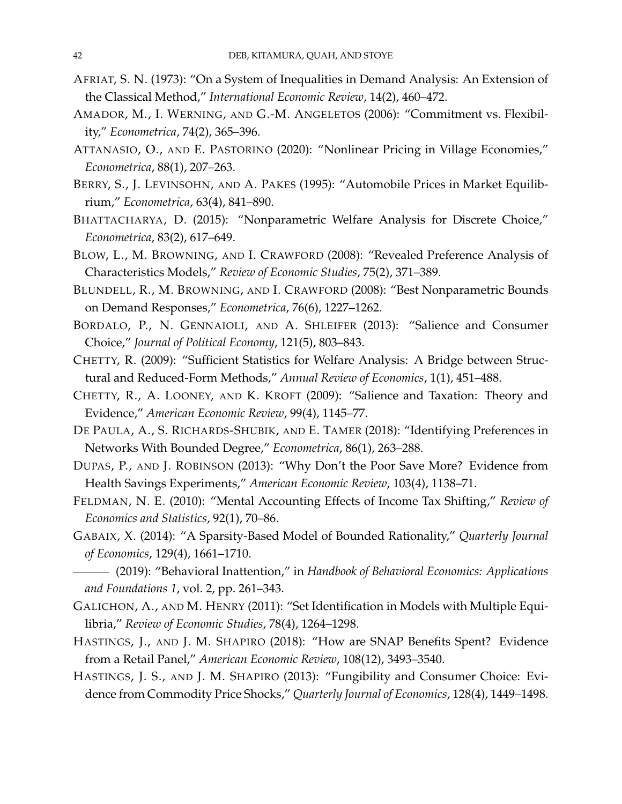- <span id="page-41-12"></span>AFRIAT, S. N. (1973): "On a System of Inequalities in Demand Analysis: An Extension of the Classical Method," *International Economic Review*, 14(2), 460–472.
- <span id="page-41-9"></span>AMADOR, M., I. WERNING, AND G.-M. ANGELETOS (2006): "Commitment vs. Flexibility," *Econometrica*, 74(2), 365–396.
- <span id="page-41-16"></span>ATTANASIO, O., AND E. PASTORINO (2020): "Nonlinear Pricing in Village Economies," *Econometrica*, 88(1), 207–263.
- <span id="page-41-1"></span>BERRY, S., J. LEVINSOHN, AND A. PAKES (1995): "Automobile Prices in Market Equilibrium," *Econometrica*, 63(4), 841–890.
- <span id="page-41-2"></span>BHATTACHARYA, D. (2015): "Nonparametric Welfare Analysis for Discrete Choice," *Econometrica*, 83(2), 617–649.
- <span id="page-41-13"></span>BLOW, L., M. BROWNING, AND I. CRAWFORD (2008): "Revealed Preference Analysis of Characteristics Models," *Review of Economic Studies*, 75(2), 371–389.
- <span id="page-41-17"></span>BLUNDELL, R., M. BROWNING, AND I. CRAWFORD (2008): "Best Nonparametric Bounds on Demand Responses," *Econometrica*, 76(6), 1227–1262.
- <span id="page-41-5"></span>BORDALO, P., N. GENNAIOLI, AND A. SHLEIFER (2013): "Salience and Consumer Choice," *Journal of Political Economy*, 121(5), 803–843.
- <span id="page-41-0"></span>CHETTY, R. (2009): "Sufficient Statistics for Welfare Analysis: A Bridge between Structural and Reduced-Form Methods," *Annual Review of Economics*, 1(1), 451–488.
- <span id="page-41-3"></span>CHETTY, R., A. LOONEY, AND K. KROFT (2009): "Salience and Taxation: Theory and Evidence," *American Economic Review*, 99(4), 1145–77.
- <span id="page-41-15"></span>DE PAULA, A., S. RICHARDS-SHUBIK, AND E. TAMER (2018): "Identifying Preferences in Networks With Bounded Degree," *Econometrica*, 86(1), 263–288.
- <span id="page-41-11"></span>DUPAS, P., AND J. ROBINSON (2013): "Why Don't the Poor Save More? Evidence from Health Savings Experiments," *American Economic Review*, 103(4), 1138–71.
- <span id="page-41-10"></span>FELDMAN, N. E. (2010): "Mental Accounting Effects of Income Tax Shifting," *Review of Economics and Statistics*, 92(1), 70–86.
- <span id="page-41-6"></span>GABAIX, X. (2014): "A Sparsity-Based Model of Bounded Rationality," *Quarterly Journal of Economics*, 129(4), 1661–1710.
- <span id="page-41-4"></span>(2019): "Behavioral Inattention," in *Handbook of Behavioral Economics: Applications and Foundations 1*, vol. 2, pp. 261–343.
- <span id="page-41-14"></span>GALICHON, A., AND M. HENRY (2011): "Set Identification in Models with Multiple Equilibria," *Review of Economic Studies*, 78(4), 1264–1298.
- <span id="page-41-8"></span>HASTINGS, J., AND J. M. SHAPIRO (2018): "How are SNAP Benefits Spent? Evidence from a Retail Panel," *American Economic Review*, 108(12), 3493–3540.
- <span id="page-41-7"></span>HASTINGS, J. S., AND J. M. SHAPIRO (2013): "Fungibility and Consumer Choice: Evidence from Commodity Price Shocks," *Quarterly Journal of Economics*, 128(4), 1449–1498.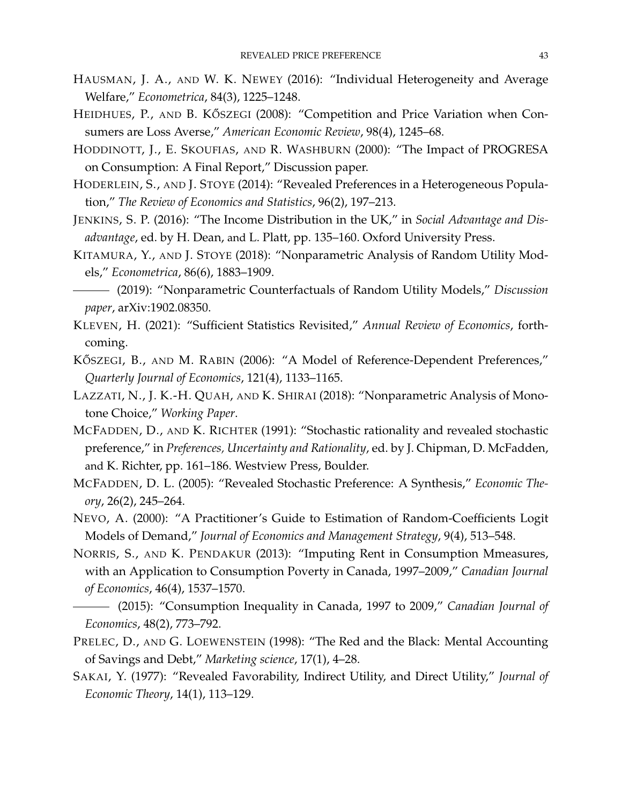- <span id="page-42-3"></span>HAUSMAN, J. A., AND W. K. NEWEY (2016): "Individual Heterogeneity and Average Welfare," *Econometrica*, 84(3), 1225–1248.
- <span id="page-42-2"></span>HEIDHUES, P., AND B. KŐSZEGI (2008): "Competition and Price Variation when Consumers are Loss Averse," *American Economic Review*, 98(4), 1245–68.
- <span id="page-42-12"></span>HODDINOTT, J., E. SKOUFIAS, AND R. WASHBURN (2000): "The Impact of PROGRESA on Consumption: A Final Report," Discussion paper.
- <span id="page-42-13"></span>HODERLEIN, S., AND J. STOYE (2014): "Revealed Preferences in a Heterogeneous Population," *The Review of Economics and Statistics*, 96(2), 197–213.
- <span id="page-42-14"></span>JENKINS, S. P. (2016): "The Income Distribution in the UK," in *Social Advantage and Disadvantage*, ed. by H. Dean, and L. Platt, pp. 135–160. Oxford University Press.
- <span id="page-42-5"></span>KITAMURA, Y., AND J. STOYE (2018): "Nonparametric Analysis of Random Utility Models," *Econometrica*, 86(6), 1883–1909.
- <span id="page-42-11"></span>(2019): "Nonparametric Counterfactuals of Random Utility Models," *Discussion paper*, arXiv:1902.08350.
- <span id="page-42-0"></span>KLEVEN, H. (2021): "Sufficient Statistics Revisited," *Annual Review of Economics*, forthcoming.
- <span id="page-42-1"></span>KŐSZEGI, B., AND M. RABIN (2006): "A Model of Reference-Dependent Preferences," *Quarterly Journal of Economics*, 121(4), 1133–1165.
- <span id="page-42-6"></span>LAZZATI, N., J. K.-H. QUAH, AND K. SHIRAI (2018): "Nonparametric Analysis of Monotone Choice," *Working Paper*.
- <span id="page-42-4"></span>MCFADDEN, D., AND K. RICHTER (1991): "Stochastic rationality and revealed stochastic preference," in *Preferences, Uncertainty and Rationality*, ed. by J. Chipman, D. McFadden, and K. Richter, pp. 161–186. Westview Press, Boulder.
- <span id="page-42-10"></span>MCFADDEN, D. L. (2005): "Revealed Stochastic Preference: A Synthesis," *Economic Theory*, 26(2), 245–264.
- <span id="page-42-8"></span>NEVO, A. (2000): "A Practitioner's Guide to Estimation of Random-Coefficients Logit Models of Demand," *Journal of Economics and Management Strategy*, 9(4), 513–548.
- <span id="page-42-15"></span>NORRIS, S., AND K. PENDAKUR (2013): "Imputing Rent in Consumption Mmeasures, with an Application to Consumption Poverty in Canada, 1997–2009," *Canadian Journal of Economics*, 46(4), 1537–1570.
- <span id="page-42-16"></span>(2015): "Consumption Inequality in Canada, 1997 to 2009," *Canadian Journal of Economics*, 48(2), 773–792.
- <span id="page-42-7"></span>PRELEC, D., AND G. LOEWENSTEIN (1998): "The Red and the Black: Mental Accounting of Savings and Debt," *Marketing science*, 17(1), 4–28.
- <span id="page-42-9"></span>SAKAI, Y. (1977): "Revealed Favorability, Indirect Utility, and Direct Utility," *Journal of Economic Theory*, 14(1), 113–129.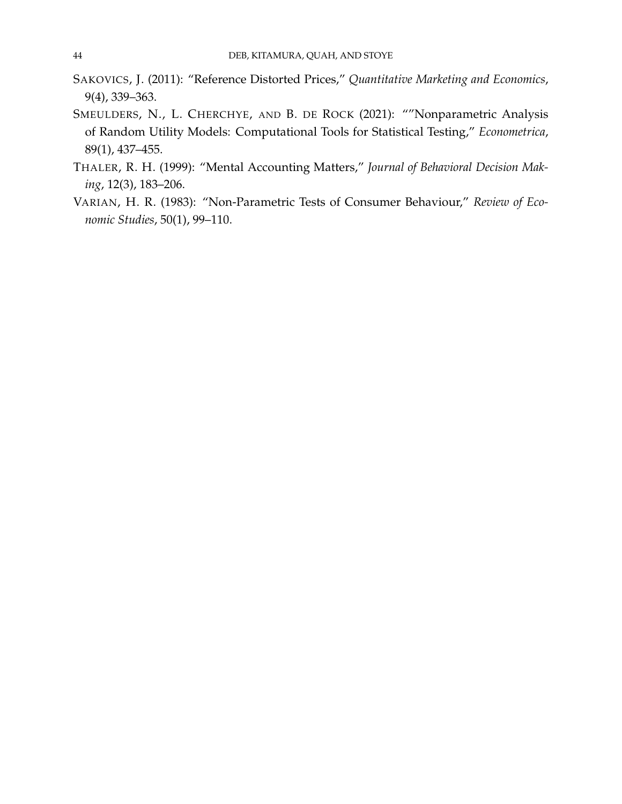- <span id="page-43-0"></span>SAKOVICS, J. (2011): "Reference Distorted Prices," *Quantitative Marketing and Economics*, 9(4), 339–363.
- <span id="page-43-3"></span>SMEULDERS, N., L. CHERCHYE, AND B. DE ROCK (2021): ""Nonparametric Analysis of Random Utility Models: Computational Tools for Statistical Testing," *Econometrica*, 89(1), 437–455.
- <span id="page-43-1"></span>THALER, R. H. (1999): "Mental Accounting Matters," *Journal of Behavioral Decision Making*, 12(3), 183–206.
- <span id="page-43-2"></span>VARIAN, H. R. (1983): "Non-Parametric Tests of Consumer Behaviour," *Review of Economic Studies*, 50(1), 99–110.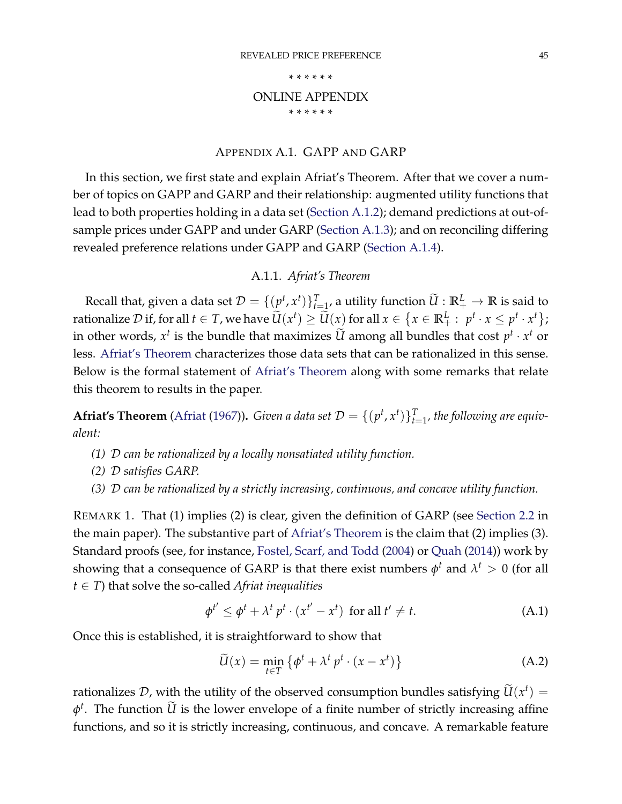#### \* \* \* \* \* \*

# ONLINE APPENDIX

\* \* \* \* \* \*

### APPENDIX A.1. GAPP AND GARP

<span id="page-44-2"></span>In this section, we first state and explain Afriat's Theorem. After that we cover a number of topics on GAPP and GARP and their relationship: augmented utility functions that lead to both properties holding in a data set [\(Section](#page-45-0) [A.1.2\)](#page-45-0); demand predictions at out-ofsample prices under GAPP and under GARP [\(Section](#page-46-0) [A.1.3\)](#page-46-0); and on reconciling differing revealed preference relations under GAPP and GARP [\(Section](#page-48-0) [A.1.4\)](#page-48-0).

### A.1.1. *Afriat's Theorem*

<span id="page-44-1"></span>Recall that, given a data set  $\mathcal{D} = \{(p^t,x^t)\}_{t=1}^T$ , a utility function  $\widetilde{U}:\mathbb{R}_+^L\to\mathbb{R}$  is said to rationalize  $\mathcal D$  if, for all  $t\in T$ , we have  $\widetilde U(x^t)\geq \widetilde U(x)$  for all  $x\in \{x\in {\mathbb R}^L_+:\ p^t\cdot x\leq p^t\cdot x^t\};$ in other words,  $x^t$  is the bundle that maximizes  $\widetilde{U}$  among all bundles that cost  $p^t \cdot x^t$  or less. [Afriat's Theorem](#page-44-0) characterizes those data sets that can be rationalized in this sense. Below is the formal statement of [Afriat's Theorem](#page-44-0) along with some remarks that relate this theorem to results in the paper.

<span id="page-44-0"></span>**Afriat's Theorem** [\(Afriat](#page-40-0) [\(1967\)](#page-40-0)). *Given a data set*  $\mathcal{D} = \{(p^t, x^t)\}_{t=1}^T$ , the following are equiv*alent:*

- *(1)* D *can be rationalized by a locally nonsatiated utility function.*
- *(2)* D *satisfies GARP.*
- *(3)* D *can be rationalized by a strictly increasing, continuous, and concave utility function.*

REMARK 1. That (1) implies (2) is clear, given the definition of GARP (see [Section](#page-6-0) [2.2](#page-6-0) in the main paper). The substantive part of [Afriat's Theorem](#page-44-0) is the claim that (2) implies (3). Standard proofs (see, for instance, [Fostel, Scarf, and Todd](#page-70-0) [\(2004\)](#page-70-0) or [Quah](#page-70-1) [\(2014\)](#page-70-1)) work by showing that a consequence of GARP is that there exist numbers  $\phi^t$  and  $\lambda^t > 0$  (for all *t* ∈ *T*) that solve the so-called *Afriat inequalities*

$$
\phi^{t'} \le \phi^t + \lambda^t p^t \cdot (x^{t'} - x^t) \text{ for all } t' \ne t. \tag{A.1}
$$

Once this is established, it is straightforward to show that

<span id="page-44-3"></span>
$$
\widetilde{U}(x) = \min_{t \in T} \left\{ \phi^t + \lambda^t p^t \cdot (x - x^t) \right\}
$$
\n(A.2)

rationalizes D, with the utility of the observed consumption bundles satisfying  $\widetilde{U}(x^t) =$  $\phi^t$ . The function  $\widetilde{U}$  is the lower envelope of a finite number of strictly increasing affine functions, and so it is strictly increasing, continuous, and concave. A remarkable feature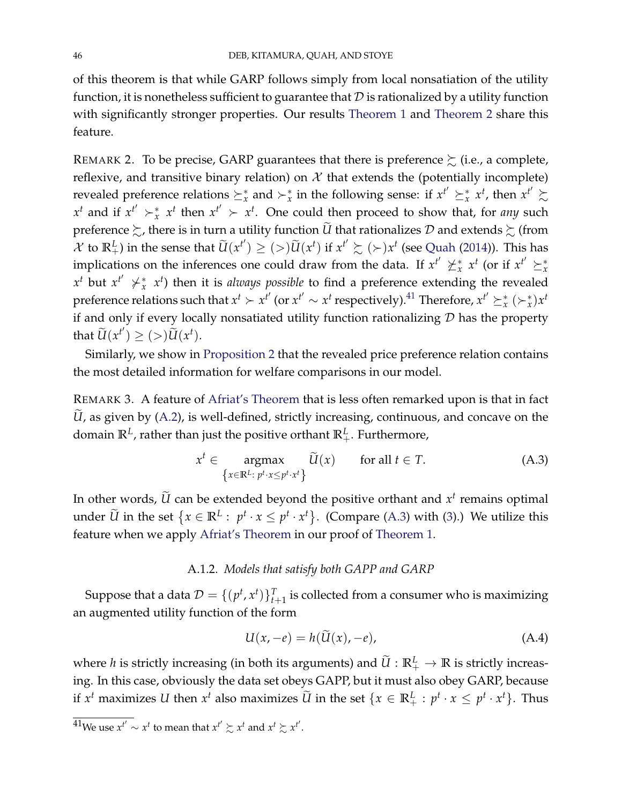of this theorem is that while GARP follows simply from local nonsatiation of the utility function, it is nonetheless sufficient to guarantee that  $D$  is rationalized by a utility function with significantly stronger properties. Our results [Theorem](#page-6-1) [1](#page-6-1) and [Theorem](#page-20-1) [2](#page-20-1) share this feature.

REMARK 2. To be precise, GARP guarantees that there is preference  $\succsim$  (i.e., a complete, reflexive, and transitive binary relation) on  $X$  that extends the (potentially incomplete) revealed preference relations  $\succeq_x^*$  and  $\succ_x^*$  in the following sense: if  $x^{t'} \succeq_x^* x^t$ , then  $x^{t'} \succsim_x^* x^t$  $x^t$  and if  $x^{t'} \succ x^t$  then  $x^{t'} \succ x^t$ . One could then proceed to show that, for *any* such preference  $\succsim$ , there is in turn a utility function  $\widetilde{U}$  that rationalizes  ${\cal D}$  and extends  $\succsim$  (from  $\mathcal{X}$  to  $\mathbb{R}^L_+$ ) in the sense that  $\widetilde{U}(x^{t'}) \geq (>)\widetilde{U}(x^t)$  if  $x^{t'} \succsim (>)x^t$  (see [Quah](#page-70-1) [\(2014\)](#page-70-1)). This has implications on the inferences one could draw from the data. If  $x^{t'} \nucceq_{x}^{*} x^{t}$  (or if  $x^{t'} \succeq_{x}^{*} x^{t}$  $x^t$  but  $x^{t'}$   $\nearrow x^t$  then it is *always possible* to find a preference extending the revealed preference relations such that  $x^t > x^{t'}$  (or  $x^{t'} \sim x^t$  respectively).<sup>[41](#page-0-0)</sup> Therefore,  $x^{t'} \geq x^*$  ( $\succ x$ ) $x^t$ if and only if every locally nonsatiated utility function rationalizing  $D$  has the property that  $\widetilde{U}(x^{t'}) \geq (>)\widetilde{U}(x^{t}).$ 

Similarly, we show in [Proposition](#page-16-2) [2](#page-16-2) that the revealed price preference relation contains the most detailed information for welfare comparisons in our model.

REMARK 3. A feature of [Afriat's Theorem](#page-44-0) that is less often remarked upon is that in fact  $\tilde{U}$ , as given by [\(A.2\)](#page-44-3), is well-defined, strictly increasing, continuous, and concave on the domain **R***<sup>L</sup>* , rather than just the positive orthant **R***<sup>L</sup>* <sup>+</sup>. Furthermore,

<span id="page-45-1"></span>
$$
x^{t} \in \underset{\{x \in \mathbb{R}^{L}: \ p^{t} \cdot x \le p^{t} \cdot x^{t}\}}{\operatorname{argmax}} \widetilde{U}(x) \quad \text{for all } t \in T. \tag{A.3}
$$

In other words,  $\widetilde{U}$  can be extended beyond the positive orthant and  $x^t$  remains optimal under  $\widetilde{U}$  in the set  $\{x \in \mathbb{R}^L : p^t \cdot x \leq p^t \cdot x^t\}$ . (Compare [\(A.3\)](#page-45-1) with [\(3\)](#page-7-0).) We utilize this feature when we apply [Afriat's Theorem](#page-44-0) in our proof of [Theorem](#page-6-1) [1.](#page-6-1)

### A.1.2. *Models that satisfy both GAPP and GARP*

<span id="page-45-0"></span>Suppose that a data  $\mathcal{D} = \{(p^t, x^t)\}_{t+1}^T$  is collected from a consumer who is maximizing an augmented utility function of the form

<span id="page-45-2"></span>
$$
U(x, -e) = h(\dot{U}(x), -e), \tag{A.4}
$$

where *h* is strictly increasing (in both its arguments) and  $\widetilde{U}:\mathbb{R}^L_+\to\mathbb{R}$  is strictly increasing. In this case, obviously the data set obeys GAPP, but it must also obey GARP, because if  $x^t$  maximizes *U* then  $x^t$  also maximizes  $\widetilde{U}$  in the set  $\{x \in \mathbb{R}^L_+ : p^t \cdot x \leq p^t \cdot x^t\}$ . Thus

 $41$ We use  $x^{t'} \sim x^t$  to mean that  $x^{t'} \succsim x^t$  and  $x^t \succsim x^{t'}$ .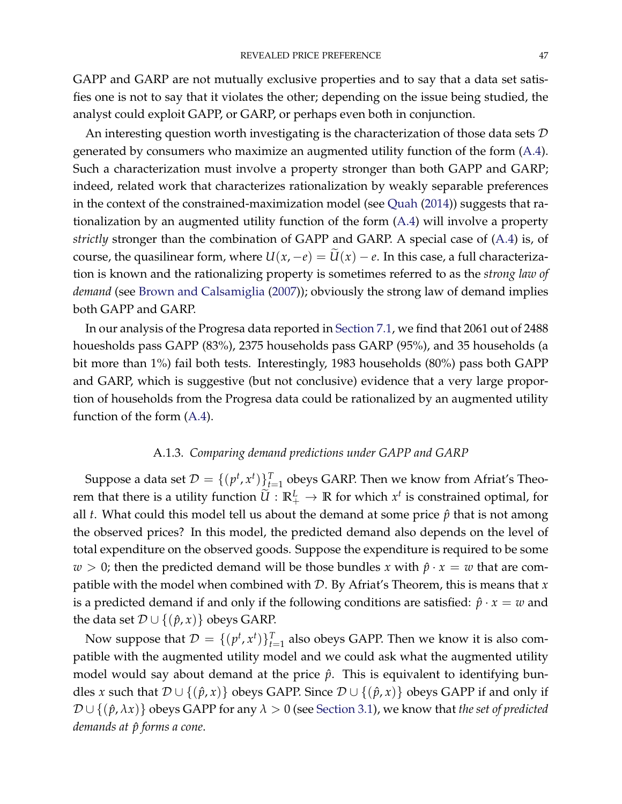GAPP and GARP are not mutually exclusive properties and to say that a data set satisfies one is not to say that it violates the other; depending on the issue being studied, the analyst could exploit GAPP, or GARP, or perhaps even both in conjunction.

An interesting question worth investigating is the characterization of those data sets  $\mathcal D$ generated by consumers who maximize an augmented utility function of the form [\(A.4\)](#page-45-2). Such a characterization must involve a property stronger than both GAPP and GARP; indeed, related work that characterizes rationalization by weakly separable preferences in the context of the constrained-maximization model (see [Quah](#page-70-1) [\(2014\)](#page-70-1)) suggests that rationalization by an augmented utility function of the form [\(A.4\)](#page-45-2) will involve a property *strictly* stronger than the combination of GAPP and GARP. A special case of [\(A.4\)](#page-45-2) is, of course, the quasilinear form, where  $U(x, -e) = \widetilde{U}(x) - e$ . In this case, a full characterization is known and the rationalizing property is sometimes referred to as the *strong law of demand* (see [Brown and Calsamiglia](#page-70-2) [\(2007\)](#page-70-2)); obviously the strong law of demand implies both GAPP and GARP.

In our analysis of the Progresa data reported in [Section](#page-33-0) [7.1,](#page-33-0) we find that 2061 out of 2488 houesholds pass GAPP (83%), 2375 households pass GARP (95%), and 35 households (a bit more than 1%) fail both tests. Interestingly, 1983 households (80%) pass both GAPP and GARP, which is suggestive (but not conclusive) evidence that a very large proportion of households from the Progresa data could be rationalized by an augmented utility function of the form [\(A.4\)](#page-45-2).

# A.1.3. *Comparing demand predictions under GAPP and GARP*

<span id="page-46-0"></span>Suppose a data set  $\mathcal{D} = \{ (p^t, x^t) \}_{t=1}^T$  obeys GARP. Then we know from Afriat's Theorem that there is a utility function  $\widetilde{U}:\mathbb{R}^L_+ \to \mathbb{R}$  for which  $x^t$  is constrained optimal, for all *t*. What could this model tell us about the demand at some price  $\hat{p}$  that is not among the observed prices? In this model, the predicted demand also depends on the level of total expenditure on the observed goods. Suppose the expenditure is required to be some *w* > 0; then the predicted demand will be those bundles *x* with  $\hat{p} \cdot x = w$  that are compatible with the model when combined with D. By Afriat's Theorem, this is means that *x* is a predicted demand if and only if the following conditions are satisfied:  $\hat{p} \cdot x = w$  and the data set  $\mathcal{D} \cup \{(\hat{p}, x)\}\$ obeys GARP.

Now suppose that  $\mathcal{D} = \{ (p^t, x^t) \}_{t=1}^T$  also obeys GAPP. Then we know it is also compatible with the augmented utility model and we could ask what the augmented utility model would say about demand at the price  $\hat{p}$ . This is equivalent to identifying bundles *x* such that  $\mathcal{D} \cup \{(\hat{p}, x)\}$  obeys GAPP. Since  $\mathcal{D} \cup \{(\hat{p}, x)\}$  obeys GAPP if and only if  $\mathcal{D} \cup \{(\hat{p}, \lambda x)\}\)$  obeys GAPP for any  $\lambda > 0$  (see [Section](#page-13-0) [3.1\)](#page-13-0), we know that *the set of predicted demands at*  $\hat{p}$  *forms a cone.*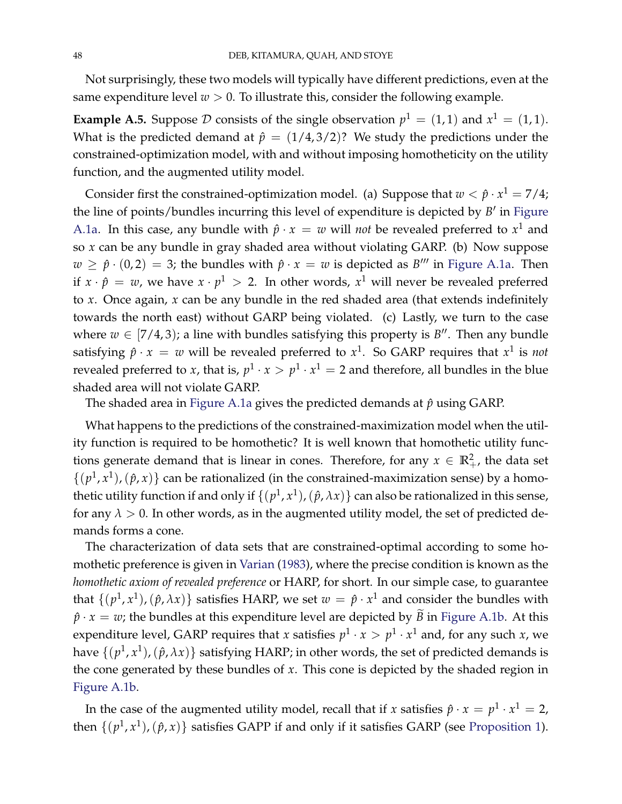Not surprisingly, these two models will typically have different predictions, even at the same expenditure level  $w > 0$ . To illustrate this, consider the following example.

<span id="page-47-0"></span>**Example A.5.** Suppose  $D$  consists of the single observation  $p^1 = (1, 1)$  and  $x^1 = (1, 1)$ . What is the predicted demand at  $\hat{p} = (1/4, 3/2)$ ? We study the predictions under the constrained-optimization model, with and without imposing homotheticity on the utility function, and the augmented utility model.

Consider first the constrained-optimization model. (a) Suppose that  $w < \hat{p} \cdot x^1 = 7/4$ ; the line of points/bundles incurring this level of expenditure is depicted by *B'* in [Figure](#page-48-1) [A.1a.](#page-48-1) In this case, any bundle with  $\hat{p} \cdot x = w$  will *not* be revealed preferred to  $x^1$  and so *x* can be any bundle in gray shaded area without violating GARP. (b) Now suppose  $w \ge \hat{p} \cdot (0, 2) = 3$ ; the bundles with  $\hat{p} \cdot x = w$  is depicted as  $B'''$  in [Figure](#page-48-1) [A.1a.](#page-48-1) Then if  $x \cdot \hat{p} = w$ , we have  $x \cdot p^1 > 2$ . In other words,  $x^1$  will never be revealed preferred to *x*. Once again, *x* can be any bundle in the red shaded area (that extends indefinitely towards the north east) without GARP being violated. (c) Lastly, we turn to the case where  $w \in [7/4, 3)$ ; a line with bundles satisfying this property is  $B''$ . Then any bundle satisfying  $\hat{p} \cdot x = w$  will be revealed preferred to  $x^1$ . So GARP requires that  $x^1$  is *not* revealed preferred to *x*, that is,  $p^1 \cdot x > p^1 \cdot x^1 = 2$  and therefore, all bundles in the blue shaded area will not violate GARP.

The shaded area in [Figure](#page-48-1) [A.1a](#page-48-1) gives the predicted demands at  $\hat{p}$  using GARP.

What happens to the predictions of the constrained-maximization model when the utility function is required to be homothetic? It is well known that homothetic utility functions generate demand that is linear in cones. Therefore, for any  $x \in \mathbb{R}^2_+$ , the data set  $\{(p^1, x^1), (\hat{p}, x)\}\)$  can be rationalized (in the constrained-maximization sense) by a homothetic utility function if and only if  $\{(p^1, x^1), (\hat{p}, \lambda x)\}$  can also be rationalized in this sense, for any  $\lambda > 0$ . In other words, as in the augmented utility model, the set of predicted demands forms a cone.

The characterization of data sets that are constrained-optimal according to some homothetic preference is given in [Varian](#page-43-2) [\(1983\)](#page-43-2), where the precise condition is known as the *homothetic axiom of revealed preference* or HARP, for short. In our simple case, to guarantee that  $\{(p^1, x^1), (\hat{p}, \lambda x)\}\$  satisfies HARP, we set  $w = \hat{p} \cdot x^1$  and consider the bundles with  $\hat{p} \cdot x = w$ ; the bundles at this expenditure level are depicted by  $\tilde{B}$  in [Figure](#page-48-1) [A.1b.](#page-48-1) At this expenditure level, GARP requires that *x* satisfies  $p^1 \cdot x > p^1 \cdot x^1$  and, for any such *x*, we have  $\{(p^1, x^1),(\hat{p}, \lambda x)\}$  satisfying HARP; in other words, the set of predicted demands is the cone generated by these bundles of *x*. This cone is depicted by the shaded region in [Figure](#page-48-1) [A.1b.](#page-48-1)

In the case of the augmented utility model, recall that if *x* satisfies  $\hat{p} \cdot x = p^1 \cdot x^1 = 2$ , then  $\{(p^1, x^1), (\hat{p}, x)\}$  $\{(p^1, x^1), (\hat{p}, x)\}$  $\{(p^1, x^1), (\hat{p}, x)\}$  satisfies GAPP if and only if it satisfies GARP (see [Proposition](#page-14-0) 1).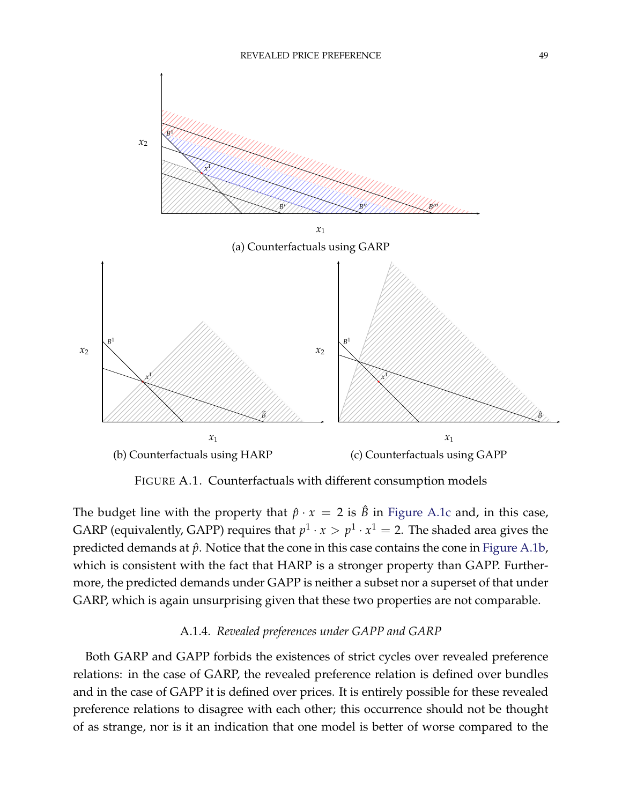<span id="page-48-1"></span>

FIGURE A.1. Counterfactuals with different consumption models

2 3 more, the predicted demands under GAPP is neither a subset nor a superset of that under The budget line with the property that  $\hat{p} \cdot x = 2$  is  $\hat{B}$  in [Figure](#page-48-1) [A.1c](#page-48-1) and, in this case, GARP (equivalently, GAPP) requires that  $p^1 \cdot x > p^1 \cdot x^1 = 2$ . The shaded area gives the predicted demands at  $\hat{p}$ . Notice that the cone in this case contains the cone in [Figure](#page-48-1) [A.1b,](#page-48-1) which is consistent with the fact that HARP is a stronger property than GAPP. Further-GARP, which is again unsurprising given that these two properties are not comparable.

# A.1.4. *Revealed preferences under GAPP and GARP*

<span id="page-48-0"></span>Both GARP and GAPP forbids the existences of strict cycles over revealed preference relations: in the case of GARP, the revealed preference relation is defined over bundles and in the case of GAPP it is defined over prices. It is entirely possible for these revealed preference relations to disagree with each other; this occurrence should not be thought of as strange, nor is it an indication that one model is better of worse compared to the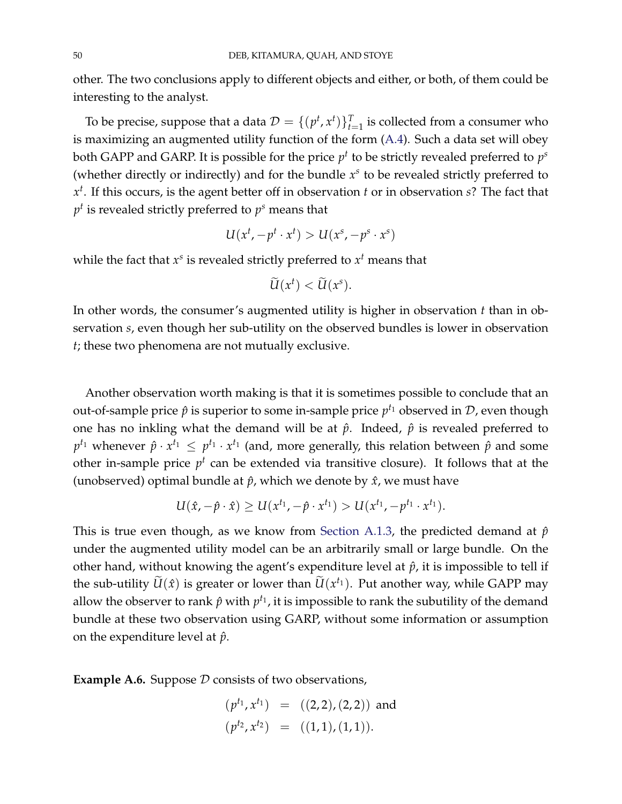other. The two conclusions apply to different objects and either, or both, of them could be interesting to the analyst.

To be precise, suppose that a data  $\mathcal{D} = \{ (p^t, x^t) \}_{t=1}^T$  is collected from a consumer who is maximizing an augmented utility function of the form [\(A.4\)](#page-45-2). Such a data set will obey both GAPP and GARP. It is possible for the price  $p^t$  to be strictly revealed preferred to  $p^s$ (whether directly or indirectly) and for the bundle *x s* to be revealed strictly preferred to *x t* . If this occurs, is the agent better off in observation *t* or in observation *s*? The fact that  $p^t$  is revealed strictly preferred to  $p^s$  means that

$$
U(x^t, -p^t \cdot x^t) > U(x^s, -p^s \cdot x^s)
$$

while the fact that  $x^s$  is revealed strictly preferred to  $x^t$  means that

$$
\widetilde{U}(x^t) < \widetilde{U}(x^s).
$$

In other words, the consumer's augmented utility is higher in observation *t* than in observation *s*, even though her sub-utility on the observed bundles is lower in observation *t*; these two phenomena are not mutually exclusive.

Another observation worth making is that it is sometimes possible to conclude that an out-of-sample price  $\hat{p}$  is superior to some in-sample price  $p^{t_1}$  observed in  $\mathcal{D}$ , even though one has no inkling what the demand will be at  $\hat{p}$ . Indeed,  $\hat{p}$  is revealed preferred to  $p^{t_1}$  whenever  $\hat{p} \cdot x^{t_1} \leq p^{t_1} \cdot x^{t_1}$  (and, more generally, this relation between  $\hat{p}$  and some other in-sample price  $p^t$  can be extended via transitive closure). It follows that at the (unobserved) optimal bundle at  $\hat{p}$ , which we denote by  $\hat{x}$ , we must have

$$
U(\hat{x}, -\hat{p} \cdot \hat{x}) \ge U(x^{t_1}, -\hat{p} \cdot x^{t_1}) > U(x^{t_1}, -p^{t_1} \cdot x^{t_1}).
$$

This is true even though, as we know from [Section](#page-46-0) [A.1.3,](#page-46-0) the predicted demand at  $\hat{p}$ under the augmented utility model can be an arbitrarily small or large bundle. On the other hand, without knowing the agent's expenditure level at  $\hat{p}$ , it is impossible to tell if the sub-utility  $\widetilde{U}(\hat{x})$  is greater or lower than  $\widetilde{U}(x^{t_1})$ . Put another way, while GAPP may allow the observer to rank  $\hat{p}$  with  $p^{t_1}$ , it is impossible to rank the subutility of the demand bundle at these two observation using GARP, without some information or assumption on the expenditure level at  $\hat{p}$ .

**Example A.6.** Suppose  $D$  consists of two observations,

$$
(p^{t_1}, x^{t_1}) = ((2,2), (2,2))
$$
 and  
 $(p^{t_2}, x^{t_2}) = ((1,1), (1,1)).$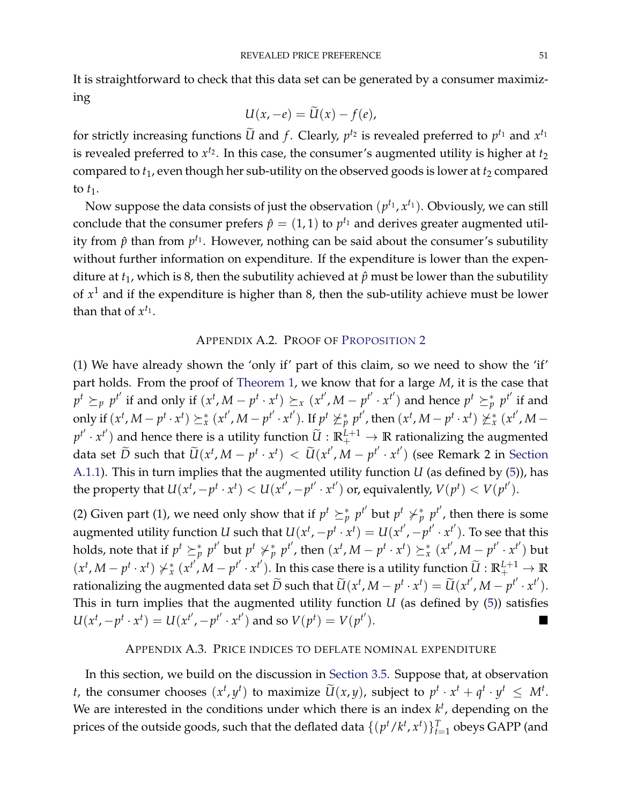It is straightforward to check that this data set can be generated by a consumer maximizing

$$
U(x,-e)=\widetilde{U}(x)-f(e),
$$

for strictly increasing functions  $\widetilde{U}$  and  $f$ . Clearly,  $p^{t_2}$  is revealed preferred to  $p^{t_1}$  and  $x^{t_1}$ is revealed preferred to  $x^{t_2}$ . In this case, the consumer's augmented utility is higher at  $t_2$ compared to  $t_1$ , even though her sub-utility on the observed goods is lower at  $t_2$  compared to  $t_1$ .

Now suppose the data consists of just the observation  $(p^{t_1}, x^{t_1})$ . Obviously, we can still conclude that the consumer prefers  $\hat{p} = (1,1)$  to  $p^{t_1}$  and derives greater augmented utility from  $\hat{p}$  than from  $p^{t_1}$ . However, nothing can be said about the consumer's subutility without further information on expenditure. If the expenditure is lower than the expenditure at  $t_1$ , which is 8, then the subutility achieved at  $\hat{p}$  must be lower than the subutility of *x* <sup>1</sup> and if the expenditure is higher than 8, then the sub-utility achieve must be lower than that of  $x^{t_1}$ .

### APPENDIX A.2. PROOF OF P[ROPOSITION](#page-16-2) [2](#page-16-2)

<span id="page-50-0"></span>(1) We have already shown the 'only if' part of this claim, so we need to show the 'if' part holds. From the proof of [Theorem](#page-6-1) [1,](#page-6-1) we know that for a large *M*, it is the case that  $p^t \succeq_p p^{t'}$  if and only if  $(x^t, M-p^t \cdot x^t) \succeq_x (x^{t'}, M-p^{t'} \cdot x^{t'})$  and hence  $p^t \succeq_p^* p^{t'}$  if and only if  $(x^t, M-p^t\cdot x^t) \succeq_x^* (x^{t'}, M-p^{t'}\cdot x^{t'})$ . If  $p^t \not\succeq_p^* p^{t'}$ , then  $(x^t, M-p^t\cdot x^t) \not\succeq_x^* (x^{t'}, M-p^t\cdot x^t)$  $p^{t'} \cdot x^{t'}$  and hence there is a utility function  $\widetilde{U}: \mathbb{R}^{L+1}_+ \to \mathbb{R}$  rationalizing the augmented data set  $\widetilde{D}$  such that  $\widetilde{U}(x^t, M-p^t\cdot x^t) < \widetilde{U}(x^{t'}, M-p^{t'}\cdot x^{t'})$  (see Remark 2 in [Section](#page-44-1) [A.1.1\)](#page-44-1). This in turn implies that the augmented utility function *U* (as defined by [\(5\)](#page-8-0)), has the property that  $U(x^t, -p^t \cdot x^t) < U(x^{t'}, -p^{t'} \cdot x^{t'})$  or, equivalently,  $V(p^t) < V(p^{t'})$ .

(2) Given part (1), we need only show that if  $p^t \succeq^*_{p} p^{t'}$  but  $p^t \not\succ^*_{p} p^{t'}$ , then there is some augmented utility function *U* such that  $U(x^t, -p^t \cdot x^t) = U(x^{t'}, -p^{t'} \cdot x^{t'})$ . To see that this holds, note that if  $p^t \succeq^*_p p^{t'}$  but  $p^t \not\succ^*_p p^{t'}$ , then  $(x^t, M-p^t\cdot x^t) \succeq^*_x (x^{t'}, M-p^{t'}\cdot x^{t'})$  but  $(x^t, M-p^t \cdot x^t) \not\succ_x^* (x^{t'}, M-p^{t'} \cdot x^{t'})$ . In this case there is a utility function  $\widetilde{U}: \mathbb{R}^{L+1}_+ \to \mathbb{R}$ rationalizing the augmented data set  $\widetilde{D}$  such that  $\widetilde{U}(x^t, M-p^t\cdot x^t)=\widetilde{U}(x^{t'}, M-p^{t'}\cdot x^{t'}).$ This in turn implies that the augmented utility function *U* (as defined by [\(5\)](#page-8-0)) satisfies  $U(x^{t}, -p^{t} \cdot x^{t}) = U(x^{t'}, -p^{t'} \cdot x^{t'})$  and so  $V(p^{t}) = V(p^{t'} \cdot x^{t'})$  $\Box$ 

### APPENDIX A.3. PRICE INDICES TO DEFLATE NOMINAL EXPENDITURE

<span id="page-50-1"></span>In this section, we build on the discussion in [Section](#page-18-0) [3.5.](#page-18-0) Suppose that, at observation *t*, the consumer chooses  $(x^t, y^t)$  to maximize  $\widetilde{U}(x, y)$ , subject to  $p^t \cdot x^t + q^t \cdot y^t \leq M^t$ . We are interested in the conditions under which there is an index  $k^t$ , depending on the prices of the outside goods, such that the deflated data  $\{(p^t/k^t,x^t)\}_{t=1}^T$  obeys GAPP (and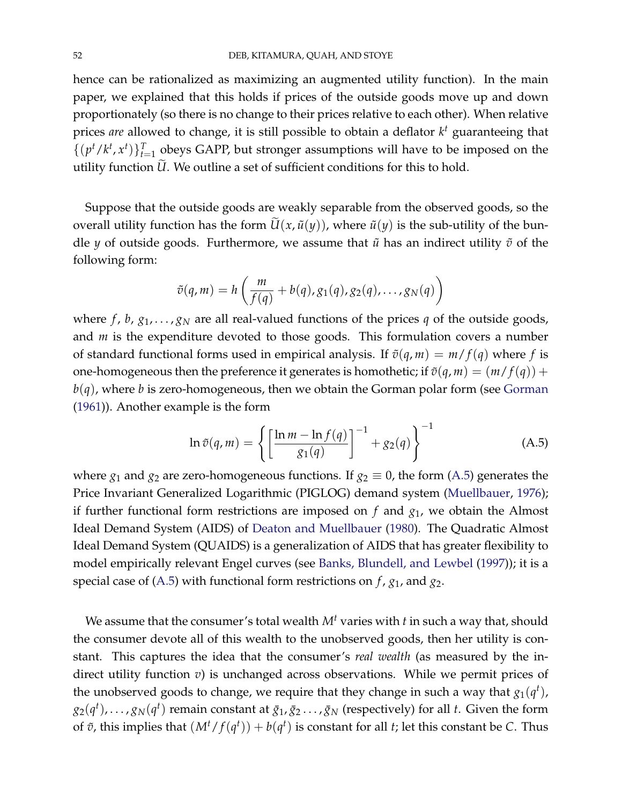hence can be rationalized as maximizing an augmented utility function). In the main paper, we explained that this holds if prices of the outside goods move up and down proportionately (so there is no change to their prices relative to each other). When relative prices *are* allowed to change, it is still possible to obtain a deflator *k <sup>t</sup>* guaranteeing that  $\{(p^t/k^t, x^t)\}_{t=1}^T$  obeys GAPP, but stronger assumptions will have to be imposed on the utility function *U*. We outline a set of sufficient conditions for this to hold.

Suppose that the outside goods are weakly separable from the observed goods, so the overall utility function has the form  $\tilde{U}(x, \tilde{u}(y))$ , where  $\tilde{u}(y)$  is the sub-utility of the bundle *y* of outside goods. Furthermore, we assume that  $\tilde{u}$  has an indirect utility  $\tilde{v}$  of the following form:

$$
\tilde{v}(q,m) = h\left(\frac{m}{f(q)} + b(q), g_1(q), g_2(q), \ldots, g_N(q)\right)
$$

where  $f$ ,  $b$ ,  $g_1$ , ...,  $g_N$  are all real-valued functions of the prices  $q$  of the outside goods, and *m* is the expenditure devoted to those goods. This formulation covers a number of standard functional forms used in empirical analysis. If  $\tilde{v}(q, m) = m/f(q)$  where *f* is one-homogeneous then the preference it generates is homothetic; if  $\tilde{v}(q, m) = (m/f(q)) +$  $b(q)$ , where *b* is zero-homogeneous, then we obtain the [Gorman](#page-70-3) polar form (see Gorman [\(1961\)](#page-70-3)). Another example is the form

<span id="page-51-0"></span>
$$
\ln \tilde{v}(q,m) = \left\{ \left[ \frac{\ln m - \ln f(q)}{g_1(q)} \right]^{-1} + g_2(q) \right\}^{-1}
$$
 (A.5)

where  $g_1$  and  $g_2$  are zero-homogeneous functions. If  $g_2 \equiv 0$ , the form [\(A.5\)](#page-51-0) generates the Price Invariant Generalized Logarithmic (PIGLOG) demand system [\(Muellbauer,](#page-70-4) [1976\)](#page-70-4); if further functional form restrictions are imposed on *f* and *g*1, we obtain the Almost Ideal Demand System (AIDS) of [Deaton and Muellbauer](#page-70-5) [\(1980\)](#page-70-5). The Quadratic Almost Ideal Demand System (QUAIDS) is a generalization of AIDS that has greater flexibility to model empirically relevant Engel curves (see [Banks, Blundell, and Lewbel](#page-70-6) [\(1997\)](#page-70-6)); it is a special case of [\(A.5\)](#page-51-0) with functional form restrictions on *f* , *g*1, and *g*2.

We assume that the consumer's total wealth *M<sup>t</sup>* varies with *t* in such a way that, should the consumer devote all of this wealth to the unobserved goods, then her utility is constant. This captures the idea that the consumer's *real wealth* (as measured by the indirect utility function *v*) is unchanged across observations. While we permit prices of the unobserved goods to change, we require that they change in such a way that  $g_1(q^t)$ ,  $g_2(q^t), \ldots, g_N(q^t)$  remain constant at  $\bar{g}_1, \bar{g}_2 \ldots, \bar{g}_N$  (respectively) for all *t*. Given the form of  $\tilde{v}$ , this implies that  $(M<sup>t</sup>/f(q<sup>t</sup>)) + b(q<sup>t</sup>)$  is constant for all *t*; let this constant be *C*. Thus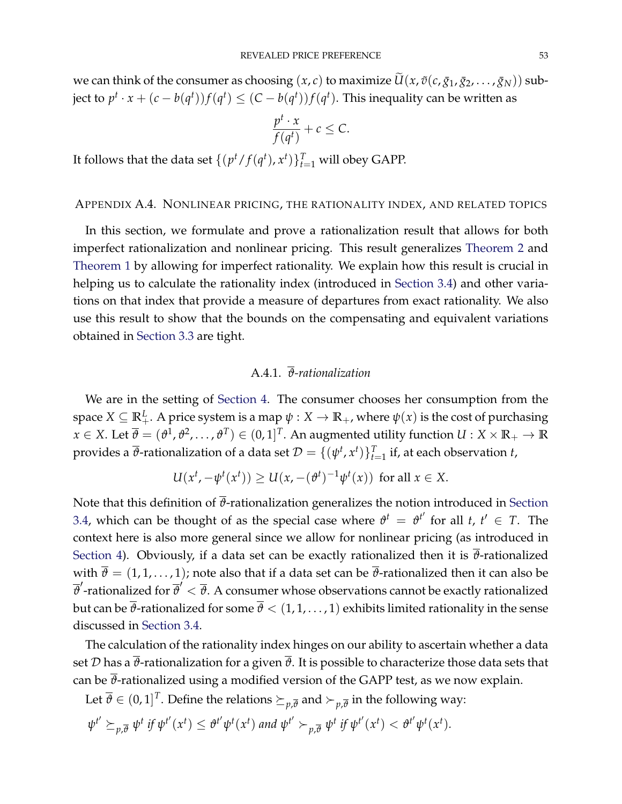we can think of the consumer as choosing  $(x, c)$  to maximize  $\tilde{U}(x, \tilde{v}(c, \bar{g}_1, \bar{g}_2, \ldots, \bar{g}_N))$  subject to  $p^t \cdot x + (c - b(q^t)) f(q^t) \leq (C - b(q^t)) f(q^t)$ . This inequality can be written as

$$
\frac{p^t \cdot x}{f(q^t)} + c \le C.
$$

It follows that the data set  $\{(p^t/f(q^t), x^t)\}_{t=1}^T$  will obey GAPP.

#### APPENDIX A.4. NONLINEAR PRICING, THE RATIONALITY INDEX, AND RELATED TOPICS

In this section, we formulate and prove a rationalization result that allows for both imperfect rationalization and nonlinear pricing. This result generalizes [Theorem](#page-20-1) [2](#page-20-1) and [Theorem](#page-6-1) [1](#page-6-1) by allowing for imperfect rationality. We explain how this result is crucial in helping us to calculate the rationality index (introduced in [Section](#page-18-2) [3.4\)](#page-18-2) and other variations on that index that provide a measure of departures from exact rationality. We also use this result to show that the bounds on the compensating and equivalent variations obtained in [Section](#page-16-0) [3.3](#page-16-0) are tight.

# A.4.1. *ϑ-rationalization*

<span id="page-52-0"></span>We are in the setting of [Section](#page-19-0) [4.](#page-19-0) The consumer chooses her consumption from the space  $X \subseteq \mathbb{R}^L_+$ . A price system is a map  $\psi: X \to \mathbb{R}_+$ , where  $\psi(x)$  is the cost of purchasing  $x \in X$ . Let  $\overline{\theta} = (\theta^1, \theta^2, \dots, \theta^T) \in (0, 1]^T$ . An augmented utility function  $U: X \times \mathbb{R}_+ \to \mathbb{R}$ provides a  $\overline{\vartheta}$ -rationalization of a data set  $\mathcal{D} = \{(\psi^t,x^t)\}_{t=1}^T$  if, at each observation  $t$ ,

$$
U(x^t, -\psi^t(x^t)) \ge U(x, -(\vartheta^t)^{-1}\psi^t(x)) \text{ for all } x \in X.
$$

Note that this definition of  $\overline{\theta}$ -rationalization generalizes the notion introduced in [Section](#page-18-2) [3.4,](#page-18-2) which can be thought of as the special case where  $\vartheta^t = \vartheta^{t'}$  for all  $t, t' \in T$ . The context here is also more general since we allow for nonlinear pricing (as introduced in [Section](#page-19-0) [4\)](#page-19-0). Obviously, if a data set can be exactly rationalized then it is  $\overline{\theta}$ -rationalized with  $\bar{\theta} = (1, 1, \dots, 1)$ ; note also that if a data set can be  $\bar{\theta}$ -rationalized then it can also be  $\overline{\vartheta}'$ -rationalized for  $\overline{\vartheta}'<\overline{\vartheta}$ . A consumer whose observations cannot be exactly rationalized but can be  $\bar{\theta}$ -rationalized for some  $\bar{\theta} < (1, 1, ..., 1)$  exhibits limited rationality in the sense discussed in [Section](#page-18-2) [3.4.](#page-18-2)

The calculation of the rationality index hinges on our ability to ascertain whether a data set  $D$  has a  $\overline{\theta}$ -rationalization for a given  $\overline{\theta}$ . It is possible to characterize those data sets that can be  $\bar{\theta}$ -rationalized using a modified version of the GAPP test, as we now explain.

Let  $\overline{\vartheta}\in (0,1]^T$ . Define the relations  $\succeq_{p,\overline{\vartheta}}$  and  $\succ_{p,\overline{\vartheta}}$  in the following way:

$$
\psi^{t'} \succeq_{p,\overline{\theta}} \psi^t \text{ if } \psi^{t'}(x^t) \leq \theta^{t'} \psi^t(x^t) \text{ and } \psi^{t'} \succ_{p,\overline{\theta}} \psi^t \text{ if } \psi^{t'}(x^t) < \theta^{t'} \psi^t(x^t).
$$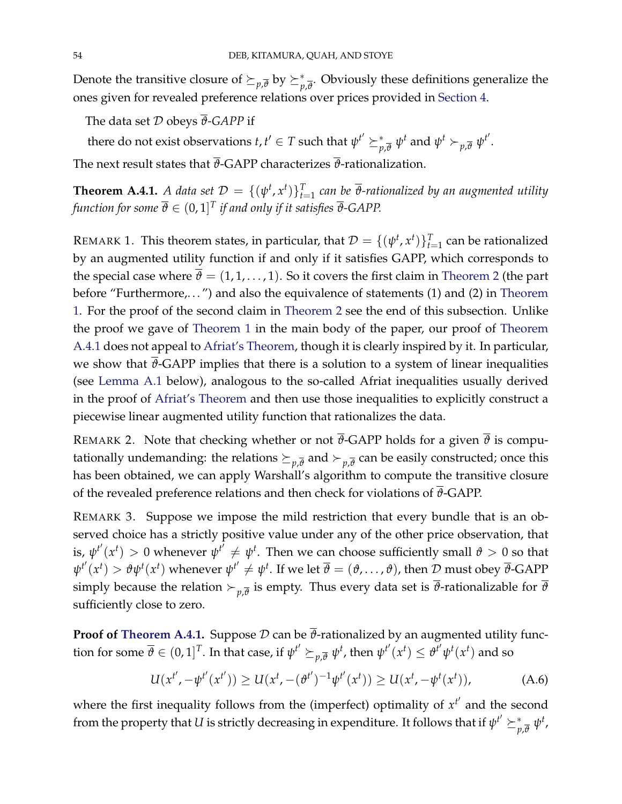Denote the transitive closure of  $\succeq_{p,\overline{\theta}}$  by  $\succeq^*_{p,\overline{\theta}}.$  Obviously these definitions generalize the ones given for revealed preference relations over prices provided in [Section](#page-19-0) [4.](#page-19-0)

The data set D obeys *ϑ-GAPP* if

there do not exist observations  $t, t' \in T$  such that  $\psi^{t'} \succeq^*_{p,\overline{\theta}} \psi^t$  and  $\psi^t \succ_{p,\overline{\theta}} \psi^{t'}$ .

The next result states that  $\overline{\theta}$ -GAPP characterizes  $\overline{\theta}$ -rationalization.

<span id="page-53-0"></span>**Theorem A.4.1.** A data set  $\mathcal{D} = \{(\psi^t, x^t)\}_{t=1}^T$  can be  $\overline{\vartheta}$ -rationalized by an augmented utility function for some  $\overline{\vartheta} \in (0,1]^T$  if and only if it satisfies  $\overline{\vartheta}$ -GAPP.

REMARK 1. This theorem states, in particular, that  $\mathcal{D} = \{(\psi^t, x^t)\}_{t=1}^T$  can be rationalized by an augmented utility function if and only if it satisfies GAPP, which corresponds to the special case where  $\bar{\theta} = (1, 1, \dots, 1)$ . So it covers the first claim in [Theorem](#page-20-1) [2](#page-20-1) (the part before "Furthermore,. . . ") and also the equivalence of statements (1) and (2) in [Theorem](#page-6-1) [1.](#page-6-1) For the proof of the second claim in [Theorem](#page-20-1) [2](#page-20-1) see the end of this subsection. Unlike the proof we gave of [Theorem](#page-6-1) [1](#page-6-1) in the main body of the paper, our proof of [Theorem](#page-53-0) [A.4.1](#page-53-0) does not appeal to [Afriat's Theorem,](#page-44-0) though it is clearly inspired by it. In particular, we show that  $\bar{\theta}$ -GAPP implies that there is a solution to a system of linear inequalities (see [Lemma](#page-54-0) [A.1](#page-54-0) below), analogous to the so-called Afriat inequalities usually derived in the proof of [Afriat's Theorem](#page-44-0) and then use those inequalities to explicitly construct a piecewise linear augmented utility function that rationalizes the data.

REMARK 2. Note that checking whether or not  $\overline{\theta}$ -GAPP holds for a given  $\overline{\theta}$  is computationally undemanding: the relations  $\succeq_{p,\overline{\theta}}$  and  $\succ_{p,\overline{\theta}}$  can be easily constructed; once this has been obtained, we can apply Warshall's algorithm to compute the transitive closure of the revealed preference relations and then check for violations of  $\overline{\vartheta}$ -GAPP.

REMARK 3. Suppose we impose the mild restriction that every bundle that is an observed choice has a strictly positive value under any of the other price observation, that is,  $\psi^{t'}(x^t) > 0$  whenever  $\psi^{t'} \neq \psi^t$ . Then we can choose sufficiently small  $\vartheta > 0$  so that  $\psi^{t'}(x^t) > \vartheta \psi^t(x^t)$  whenever  $\psi^{t'} \neq \psi^t$ . If we let  $\overline{\vartheta} = (\vartheta, \dots, \vartheta)$ , then D must obey  $\overline{\vartheta}$ -GAPP simply because the relation  $\succ_{p,\overline{\theta}}$  is empty. Thus every data set is  $\vartheta$ -rationalizable for  $\vartheta$ sufficiently close to zero.

**Proof of [Theorem](#page-53-0) [A.4.1.](#page-53-0)** Suppose  $D$  can be  $\overline{\theta}$ -rationalized by an augmented utility function for some  $\overline{\vartheta}\in (0,1]^T.$  In that case, if  $\psi^{t'}\succeq_{p,\overline{\vartheta}}\psi^t$ , then  $\psi^{t'}(x^t)\leq \vartheta^{t'}\psi^t(x^t)$  and so

<span id="page-53-1"></span>
$$
U(x^{t'}, -\psi^{t'}(x^{t'})) \ge U(x^{t}, -(\vartheta^{t'})^{-1}\psi^{t'}(x^{t})) \ge U(x^{t}, -\psi^{t}(x^{t})), \tag{A.6}
$$

where the first inequality follows from the (imperfect) optimality of  $x^{t'}$  and the second from the property that  $U$  is strictly decreasing in expenditure. It follows that if  $\psi^{t'}\succeq_{p,\overline{\theta}}^*\psi^t$ ,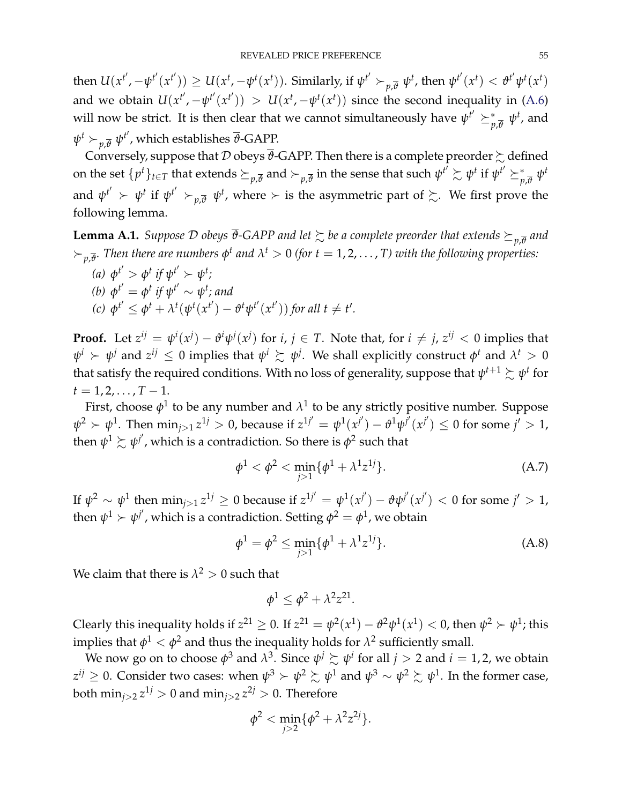then  $U(x^{t'}, -\psi^{t'}(x^{t'})) \geq U(x^{t}, -\psi^{t}(x^{t})).$  Similarly, if  $\psi^{t'} \succ_{p,\overline{\theta}} \psi^{t}$ , then  $\psi^{t'}(x^{t}) < \theta^{t'} \psi^{t}(x^{t})$ and we obtain  $U(x^{t'}, -\psi^{t'}(x^{t'})) > U(x^{t}, -\psi^{t}(x^{t}))$  since the second inequality in [\(A.6\)](#page-53-1) will now be strict. It is then clear that we cannot simultaneously have  $\psi^{t'}\succeq^*_{p,\overline{\theta}}\psi^t$ , and  $\psi^t \succ_{p,\overline{\vartheta}} \psi^{t'}$ , which establishes  $\overline{\vartheta}$ -GAPP.

Conversely, suppose that  $\mathcal D$  obeys  $\overline{\vartheta}$ -GAPP. Then there is a complete preorder  $\succsim$  defined on the set  $\{p^t\}_{t\in T}$  that extends  $\succeq_{p,\overline{\theta}}$  and  $\succ_{p,\overline{\theta}}$  in the sense that such  $\psi^{t'}\succsim\psi^t$  if  $\psi^{t'}\succeq_{p,\overline{\theta}}^*\psi^t$ and  $\psi^{t'} \succ \psi^t$  if  $\psi^{t'} \succ_{p,\overline{\vartheta}} \psi^t$ , where  $\succ$  is the asymmetric part of  $\succsim$ . We first prove the following lemma.

<span id="page-54-0"></span> $\bf{l. emma~A.1.}$  *Suppose*  $\cal{D}$  *obeys*  $\overline{\vartheta}$ *-GAPP and let*  $\succsim$  *be a complete preorder that extends*  $\succeq_{p,\overline{\vartheta}}$  *and*  $\succ_{p,\overline{\vartheta}}$ . Then there are numbers  $\phi^t$  and  $\lambda^t>0$  (for  $t=1,2,\ldots$  , T) with the following properties:

(a) 
$$
\phi^{t'} > \phi^t
$$
 if  $\psi^{t'} > \psi^t$ ;  
\n(b)  $\phi^{t'} = \phi^t$  if  $\psi^{t'} \sim \psi^t$ ; and  
\n(c)  $\phi^{t'} \leq \phi^t + \lambda^t(\psi^t(x^{t'}) - \vartheta^t\psi^{t'}(x^{t'}))$  for all  $t \neq t'$ .

**Proof.** Let  $z^{ij} = \psi^i(x^j) - \theta^i \psi^j(x^j)$  for  $i, j \in T$ . Note that, for  $i \neq j$ ,  $z^{ij} < 0$  implies that  $\psi^i \succ \psi^j$  and  $z^{ij} \leq 0$  implies that  $\psi^i \succsim \psi^j$ . We shall explicitly construct  $\phi^t$  and  $\lambda^t > 0$ that satisfy the required conditions. With no loss of generality, suppose that  $\psi^{t+1} \succsim \psi^t$  for  $t = 1, 2, \ldots, T-1.$ 

First, choose  $\phi^1$  to be any number and  $\lambda^1$  to be any strictly positive number. Suppose  $\psi^2 \succ \psi^1$ . Then  $\min_{j>1} z^{1j} > 0$ , because if  $z^{1j'} = \psi^1(x^{j'}) - \vartheta^1 \psi^{j'}(x^{j'}) \leq 0$  for some  $j' > 1$ , then  $\psi^1 \succsim \psi^{j'}$ , which is a contradiction. So there is  $\phi^2$  such that

<span id="page-54-1"></span>
$$
\phi^1 < \phi^2 < \min_{j > 1} \{ \phi^1 + \lambda^1 z^{1j} \}. \tag{A.7}
$$

If  $\psi^2 \sim \psi^1$  then  $\min_{j>1} z^{1j} \geq 0$  because if  $z^{1j'} = \psi^1(x^{j'}) - \vartheta \psi^{j'}(x^{j'}) < 0$  for some  $j' > 1$ , then  $\psi^1 \succ \psi^{j'}$ , which is a contradiction. Setting  $\phi^2 = \phi^1$ , we obtain

<span id="page-54-2"></span>
$$
\phi^1 = \phi^2 \le \min_{j>1} \{ \phi^1 + \lambda^1 z^{1j} \}.
$$
 (A.8)

We claim that there is  $\lambda^2 > 0$  such that

$$
\phi^1 \leq \phi^2 + \lambda^2 z^{21}.
$$

Clearly this inequality holds if  $z^{21} \ge 0$ . If  $z^{21} = \psi^2(x^1) - \psi^2\psi^1(x^1) < 0$ , then  $\psi^2 > \psi^1$ ; this implies that  $\phi^1<\phi^2$  and thus the inequality holds for  $\lambda^2$  sufficiently small.

We now go on to choose  $\phi^3$  and  $\lambda^3$ . Since  $\psi^j \succsim \psi^i$  for all  $j > 2$  and  $i = 1, 2$ , we obtain  $z^{ij}\geq 0.$  Consider two cases: when  $\psi^3\succ \psi^2\succsim \psi^1$  and  $\psi^3\sim \psi^2\succsim \psi^1.$  In the former case, both  $\min_{j>2} z^{1j} > 0$  and  $\min_{j>2} z^{2j} > 0$ . Therefore

$$
\phi^2 < \min_{j>2} \{ \phi^2 + \lambda^2 z^{2j} \}.
$$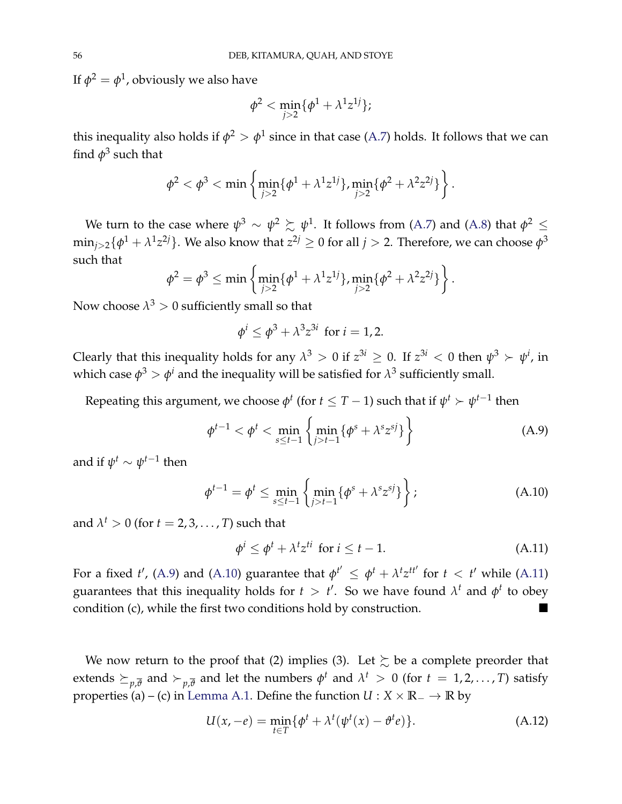If  $\phi^2=\phi^1$ , obviously we also have

$$
\phi^2<\min_{j>2}\{\phi^1+\lambda^1 z^{1j}\};
$$

this inequality also holds if  $\phi^2>\phi^1$  since in that case [\(A.7\)](#page-54-1) holds. It follows that we can find  $\phi^3$  such that

$$
\phi^2 < \phi^3 < \min\left\{\min_{j>2} \{\phi^1 + \lambda^1 z^{1j}\}, \min_{j>2} \{\phi^2 + \lambda^2 z^{2j}\}\right\}.
$$

We turn to the case where  $\psi^3 \sim \psi^2 \succsim \psi^1$ . It follows from [\(A.7\)](#page-54-1) and [\(A.8\)](#page-54-2) that  $\phi^2 \leq$  $\min_{j>2}\{\phi^1+\lambda^1 z^{2j}\}.$  We also know that  $z^{2j}\geq 0$  for all  $j>2.$  Therefore, we can choose  $\phi^3$ such that

$$
\phi^2 = \phi^3 \le \min \left\{ \min_{j>2} \{ \phi^1 + \lambda^1 z^{1j} \}, \min_{j>2} \{ \phi^2 + \lambda^2 z^{2j} \} \right\}.
$$

Now choose  $\lambda^3>0$  sufficiently small so that

$$
\phi^i \leq \phi^3 + \lambda^3 z^{3i} \text{ for } i = 1, 2.
$$

Clearly that this inequality holds for any  $\lambda^3 > 0$  if  $z^{3i} \ge 0$ . If  $z^{3i} < 0$  then  $\psi^3 > \psi^i$ , in which case  $\phi^3 > \phi^i$  and the inequality will be satisfied for  $\lambda^3$  sufficiently small.

Repeating this argument, we choose  $\phi^t$  (for  $t \leq T-1$ ) such that if  $\psi^t \succ \psi^{t-1}$  then

<span id="page-55-0"></span>
$$
\phi^{t-1} < \phi^t < \min_{s \le t-1} \left\{ \min_{j > t-1} \{ \phi^s + \lambda^s z^{sj} \} \right\} \tag{A.9}
$$

and if  $\psi^t \sim \psi^{t-1}$  then

<span id="page-55-1"></span>
$$
\phi^{t-1} = \phi^t \le \min_{s \le t-1} \left\{ \min_{j > t-1} \{ \phi^s + \lambda^s z^{sj} \} \right\};
$$
\n(A.10)

and  $\lambda^t > 0$  (for  $t = 2, 3, \ldots, T$ ) such that

<span id="page-55-2"></span>
$$
\phi^i \le \phi^t + \lambda^t z^{ti} \text{ for } i \le t - 1. \tag{A.11}
$$

For a fixed *t'*, [\(A.9\)](#page-55-0) and [\(A.10\)](#page-55-1) guarantee that  $\phi^{t'} \leq \phi^{t} + \lambda^{t} z^{t t'}$  for  $t < t'$  while [\(A.11\)](#page-55-2) guarantees that this inequality holds for  $t > t'$ . So we have found  $\lambda^t$  and  $\phi^t$  to obey condition (c), while the first two conditions hold by construction.

We now return to the proof that (2) implies (3). Let  $\succeq$  be a complete preorder that extends  $\succeq_{p,\overline{\theta}}$  and  $\succ_{p,\overline{\theta}}$  and let the numbers  $\phi^t$  and  $\lambda^t$   $>$  0 (for  $t$  = 1,2,..., *T*) satisfy properties (a) – (c) in [Lemma](#page-54-0) [A.1.](#page-54-0) Define the function  $U : X \times \mathbb{R}^- \to \mathbb{R}$  by

<span id="page-55-3"></span>
$$
U(x, -e) = \min_{t \in T} \{ \phi^t + \lambda^t (\psi^t(x) - \vartheta^t e) \}.
$$
 (A.12)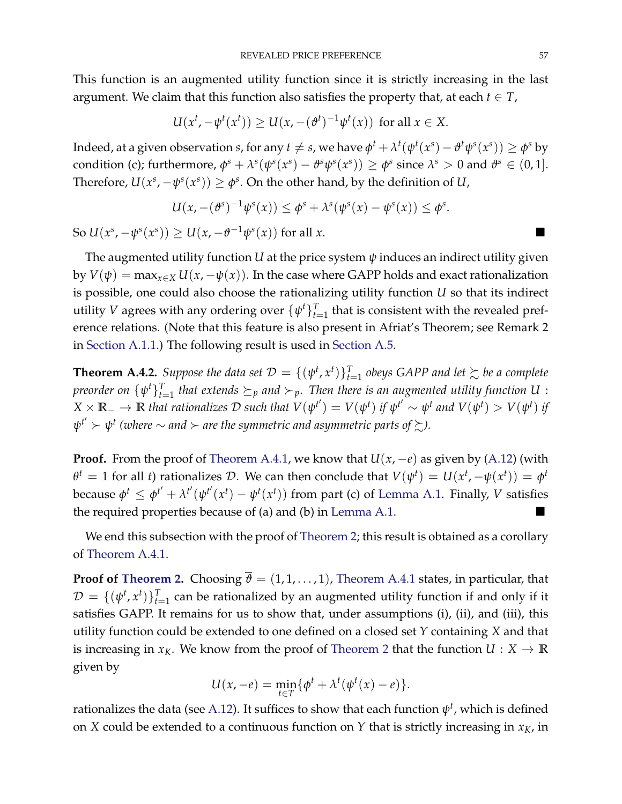This function is an augmented utility function since it is strictly increasing in the last argument. We claim that this function also satisfies the property that, at each  $t \in T$ ,

$$
U(x^t, -\psi^t(x^t)) \ge U(x, -(\vartheta^t)^{-1}\psi^t(x)) \text{ for all } x \in X.
$$

Indeed, at a given observation s, for any  $t \neq s$ , we have  $\phi^t + \lambda^t(\psi^t(x^s) - \theta^t\psi^s(x^s)) \geq \phi^s$  by condition (c); furthermore,  $\phi^s + \lambda^s(\psi^s(x^s) - \theta^s \psi^s(x^s)) \ge \phi^s$  since  $\lambda^s > 0$  and  $\theta^s \in (0,1]$ . Therefore,  $U(x^s, -\psi^s(x^s)) \ge \phi^s$ . On the other hand, by the definition of *U*,

$$
U(x,-(\vartheta^s)^{-1}\psi^s(x)) \leq \varphi^s + \lambda^s(\psi^s(x) - \psi^s(x)) \leq \varphi^s.
$$

So  $U(x^s, -\psi^s(x^s)) \ge U(x, -\vartheta^{-1}\psi^s(x))$  for all *x*. ■

The augmented utility function *U* at the price system *ψ* induces an indirect utility given by  $V(\psi) = \max_{x \in X} U(x, -\psi(x))$ . In the case where GAPP holds and exact rationalization is possible, one could also choose the rationalizing utility function *U* so that its indirect utility *V* agrees with any ordering over  $\{\psi^t\}_{t=1}^T$  that is consistent with the revealed preference relations. (Note that this feature is also present in Afriat's Theorem; see Remark 2 in [Section](#page-44-1) [A.1.1.](#page-44-1)) The following result is used in [Section](#page-61-0) [A.5.](#page-61-0)

<span id="page-56-0"></span>**Theorem A.4.2.** Suppose the data set  $\mathcal{D} = \{(\psi^t, x^t)\}_{t=1}^T$  obeys GAPP and let  $\succsim$  be a complete *preorder on*  $\{\psi^t\}_{t=1}^T$  that extends  $\succeq_p$  and  $\succ_p$ . Then there is an augmented utility function  $U$  :  $X \times \mathbb{R}_+ \to \mathbb{R}$  that rationalizes D such that  $V(\psi^{t'}) = V(\psi^t)$  if  $\psi^{t'} \sim \psi^t$  and  $V(\psi^t) > V(\psi^t)$  if  $\psi^{t'} \succ \psi^{t}$  (where  $\sim$  and  $\succ$  are the symmetric and asymmetric parts of  $\succsim$ ).

**Proof.** From the proof of [Theorem](#page-53-0) [A.4.1,](#page-53-0) we know that  $U(x, -e)$  as given by [\(A.12\)](#page-55-3) (with  $\theta^t = 1$  for all *t*) rationalizes D. We can then conclude that  $V(\psi^t) = U(x^t, -\psi(x^t)) = \phi^t$ because  $\phi^t \leq \phi^{t'} + \lambda^{t'}(\psi^{t'}(x^t) - \psi^t(x^t))$  from part (c) of [Lemma](#page-54-0) [A.1.](#page-54-0) Finally, *V* satisfies the required properties because of (a) and (b) in [Lemma](#page-54-0) [A.1.](#page-54-0)

We end this subsection with the proof of [Theorem](#page-20-1) [2;](#page-20-1) this result is obtained as a corollary of [Theorem](#page-53-0) [A.4.1.](#page-53-0)

**Proof of [Theorem](#page-53-0) [2.](#page-20-1)** Choosing  $\overline{\theta} = (1, 1, \dots, 1)$ , Theorem [A.4.1](#page-53-0) states, in particular, that  $\mathcal{D} = \{(\psi^t, x^t)\}_{t=1}^T$  can be rationalized by an augmented utility function if and only if it satisfies GAPP. It remains for us to show that, under assumptions (i), (ii), and (iii), this utility function could be extended to one defined on a closed set *Y* containing *X* and that is increasing in  $x_K$ . We know from the proof of [Theorem](#page-20-1) [2](#page-20-1) that the function  $U: X \to \mathbb{R}$ given by

$$
U(x,-e) = \min_{t \in T} \{ \phi^t + \lambda^t (\psi^t(x) - e) \}.
$$

rationalizes the data (see [A.12\)](#page-55-3). It suffices to show that each function  $\psi^t$ , which is defined on *X* could be extended to a continuous function on *Y* that is strictly increasing in *xK*, in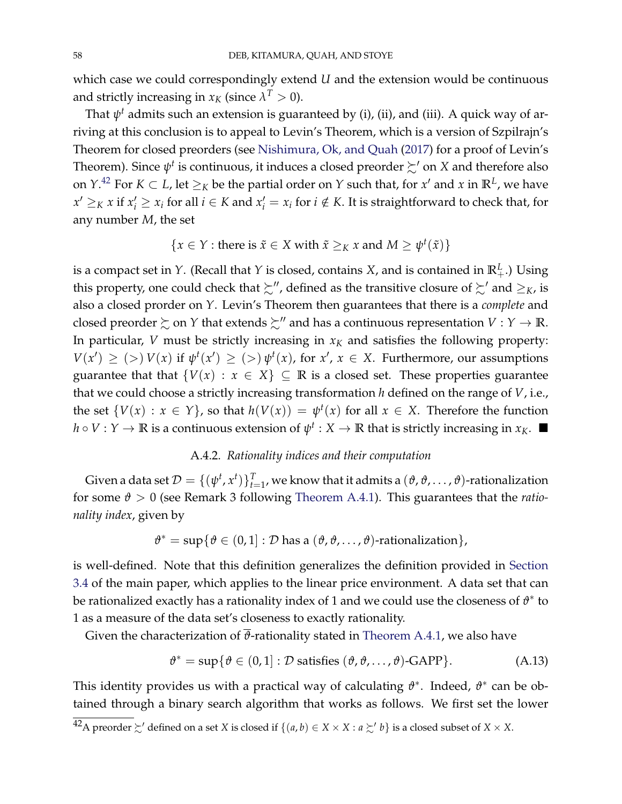which case we could correspondingly extend *U* and the extension would be continuous and strictly increasing in  $x_K$  (since  $\lambda^T > 0$ ).

That *ψ <sup>t</sup>* admits such an extension is guaranteed by (i), (ii), and (iii). A quick way of arriving at this conclusion is to appeal to Levin's Theorem, which is a version of Szpilrajn's Theorem for closed preorders (see [Nishimura, Ok, and Quah](#page-70-7) [\(2017\)](#page-70-7) for a proof of Levin's Theorem). Since  $\psi^t$  is continuous, it induces a closed preorder  $\succsim'$  on  $X$  and therefore also on  $Y^{42}$  $Y^{42}$  $Y^{42}$  For  $K \subset L$ , let  $\geq_K$  be the partial order on  $Y$  such that, for  $x'$  and  $x$  in  $\mathbb{R}^L$ , we have  $x' \geq_K x$  if  $x'_i \geq x_i$  for all  $i \in K$  and  $x'_i = x_i$  for  $i \notin K$ . It is straightforward to check that, for any number *M*, the set

{
$$
x \in Y
$$
: there is  $\tilde{x} \in X$  with  $\tilde{x} \geq_K x$  and  $M \geq \psi^t(\tilde{x})$ }

is a compact set in *Y*. (Recall that *Y* is closed, contains *X*, and is contained in  $\mathbb{R}_{+}^{L}$ .) Using this property, one could check that  $\succsim''$ , defined as the transitive closure of  $\succsim'$  and  $\geq_K$ , is also a closed prorder on *Y*. Levin's Theorem then guarantees that there is a *complete* and closed preorder  $\succsim$  on *Y* that extends  $\succsim$ <sup>*''*</sup> and has a continuous representation *V* : *Y*  $\rightarrow$  **R**. In particular, *V* must be strictly increasing in  $x_K$  and satisfies the following property:  $V(x') \ge (>) V(x)$  if  $\psi^t(x') \ge (>) \psi^t(x)$ , for  $x', x \in X$ . Furthermore, our assumptions guarantee that that  $\{V(x) : x \in X\} \subseteq \mathbb{R}$  is a closed set. These properties guarantee that we could choose a strictly increasing transformation *h* defined on the range of *V*, i.e., the set  $\{V(x) : x \in Y\}$ , so that  $h(V(x)) = \psi^t(x)$  for all  $x \in X$ . Therefore the function  $h \circ V : Y \to \mathbb{R}$  is a continuous extension of  $\psi^t : X \to \mathbb{R}$  that is strictly increasing in  $x_K$ .

### A.4.2. *Rationality indices and their computation*

<span id="page-57-0"></span>Given a data set  $\mathcal{D} = \{(\psi^t, x^t)\}_{t=1}^T$ , we know that it admits a  $(\vartheta, \vartheta, \ldots, \vartheta)$ -rationalization for some *ϑ* > 0 (see Remark 3 following [Theorem](#page-53-0) [A.4.1\)](#page-53-0). This guarantees that the *rationality index*, given by

$$
\vartheta^* = \sup \{ \vartheta \in (0,1] : \mathcal{D} \text{ has a } (\vartheta, \vartheta, \ldots, \vartheta) \text{-rationalization} \},
$$

is well-defined. Note that this definition generalizes the definition provided in [Section](#page-18-2) [3.4](#page-18-2) of the main paper, which applies to the linear price environment. A data set that can be rationalized exactly has a rationality index of 1 and we could use the closeness of  $\vartheta^*$  to 1 as a measure of the data set's closeness to exactly rationality.

Given the characterization of  $\overline{\theta}$ -rationality stated in [Theorem](#page-53-0) [A.4.1,](#page-53-0) we also have

<span id="page-57-1"></span>
$$
\vartheta^* = \sup \{ \vartheta \in (0,1] : \mathcal{D} \text{ satisfies } (\vartheta, \vartheta, \dots, \vartheta) \text{-GAPP} \}. \tag{A.13}
$$

This identity provides us with a practical way of calculating *ϑ* ∗ . Indeed, *ϑ* ∗ can be obtained through a binary search algorithm that works as follows. We first set the lower

 $^{42}$ A preorder  $\succsim'$  defined on a set *X* is closed if  $\{(a, b) \in X \times X : a \succsim' b\}$  is a closed subset of  $X \times X$ .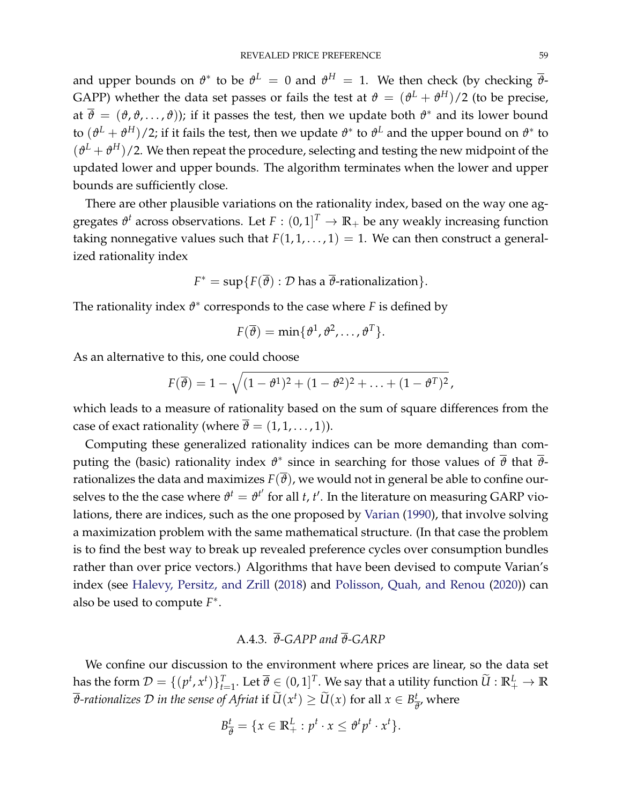and upper bounds on  $\vartheta^*$  to be  $\vartheta^L\,=\,0$  and  $\vartheta^H\,=\,1.$  We then check (by checking  $\overline{\vartheta}$ -GAPP) whether the data set passes or fails the test at  $\vartheta = (\vartheta^L + \vartheta^H)/2$  (to be precise, at *ϑ* = (*ϑ*, *ϑ*, . . . , *ϑ*)); if it passes the test, then we update both *ϑ* ∗ and its lower bound to  $(\vartheta^L + \vartheta^H)/2$ ; if it fails the test, then we update  $\vartheta^*$  to  $\vartheta^L$  and the upper bound on  $\vartheta^*$  to  $(\vartheta^L + \vartheta^H)/2$ . We then repeat the procedure, selecting and testing the new midpoint of the updated lower and upper bounds. The algorithm terminates when the lower and upper bounds are sufficiently close.

There are other plausible variations on the rationality index, based on the way one aggregates  $\vartheta^t$  across observations. Let  $F : (0,1]^T \to \mathbb{R}_+$  be any weakly increasing function taking nonnegative values such that  $F(1, 1, \ldots, 1) = 1$ . We can then construct a generalized rationality index

$$
F^* = \sup \{ F(\overline{\vartheta}) : \mathcal{D} \text{ has a } \overline{\vartheta} \text{-rationalization} \}.
$$

The rationality index *ϑ* ∗ corresponds to the case where *F* is defined by

$$
F(\overline{\theta}) = \min\{\theta^1, \theta^2, \ldots, \theta^T\}.
$$

As an alternative to this, one could choose

$$
F(\overline{\vartheta}) = 1 - \sqrt{(1 - \vartheta^1)^2 + (1 - \vartheta^2)^2 + \ldots + (1 - \vartheta^T)^2},
$$

which leads to a measure of rationality based on the sum of square differences from the case of exact rationality (where  $\overline{\theta} = (1, 1, \dots, 1)$ ).

Computing these generalized rationality indices can be more demanding than computing the (basic) rationality index *ϑ* ∗ since in searching for those values of *ϑ* that *ϑ*rationalizes the data and maximizes  $F(\overline{\theta})$ , we would not in general be able to confine ourselves to the the case where  $\vartheta^t = \vartheta^{t'}$  for all *t, t'*. In the literature on measuring GARP violations, there are indices, such as the one proposed by [Varian](#page-70-8) [\(1990\)](#page-70-8), that involve solving a maximization problem with the same mathematical structure. (In that case the problem is to find the best way to break up revealed preference cycles over consumption bundles rather than over price vectors.) Algorithms that have been devised to compute Varian's index (see [Halevy, Persitz, and Zrill](#page-70-9) [\(2018\)](#page-70-9) and [Polisson, Quah, and Renou](#page-70-10) [\(2020\)](#page-70-10)) can also be used to compute *F* ∗ .

# A.4.3. *ϑ-GAPP and ϑ-GARP*

<span id="page-58-0"></span>We confine our discussion to the environment where prices are linear, so the data set has the form  $\mathcal{D} = \{(p^t,x^t)\}_{t=1}^T.$  Let  $\overline{\vartheta}\in (0,1]^T.$  We say that a utility function  $\widetilde{U}:\mathbb{R}_+^L\to\mathbb{R}$  $\overline{\vartheta}$ -rationalizes  $\cal D$  *in the sense of Afriat if*  $\widetilde{U}(x^t) \geq \widetilde{U}(x)$  *for all*  $x \in B^t_{\vec{t}}$  $\frac{t}{\vartheta}$ , where

$$
B_{\overline{\vartheta}}^t = \{ x \in \mathbb{R}_+^L : p^t \cdot x \leq \vartheta^t p^t \cdot x^t \}.
$$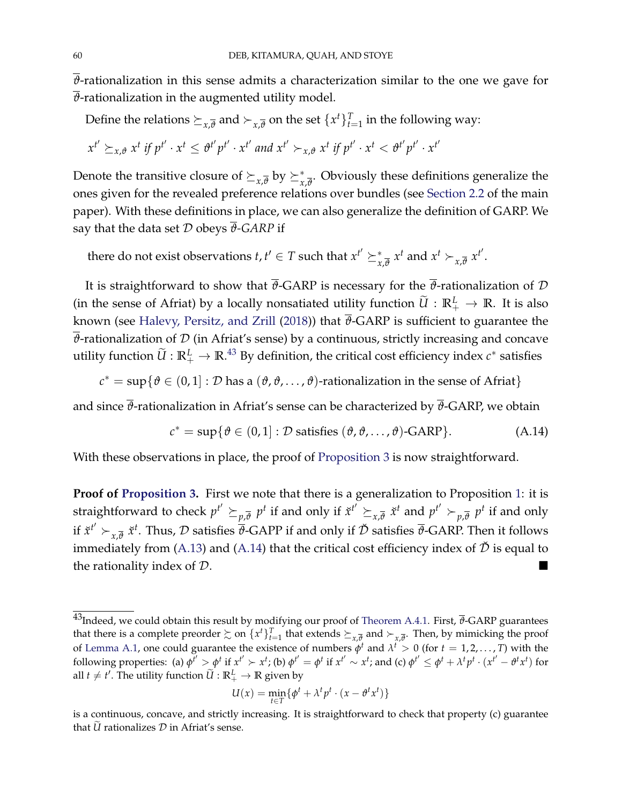*ϑ*-rationalization in this sense admits a characterization similar to the one we gave for  $\overline{\theta}$ -rationalization in the augmented utility model.

Define the relations  $\succeq_{x,\overline{\theta}}$  and  $\succ_{x,\overline{\theta}}$  on the set  $\{x^t\}_{t=1}^T$  in the following way:

$$
x^{t'} \succeq_{x,\vartheta} x^t \text{ if } p^{t'} \cdot x^t \leq \vartheta^{t'} p^{t'} \cdot x^{t'} \text{ and } x^{t'} \succ_{x,\vartheta} x^t \text{ if } p^{t'} \cdot x^t < \vartheta^{t'} p^{t'} \cdot x^{t'}
$$

Denote the transitive closure of  $\succeq_{x,\overline{\theta}}$  by  $\succeq^*_{x,\overline{\theta}}.$  Obviously these definitions generalize the ones given for the revealed preference relations over bundles (see [Section](#page-6-0) [2.2](#page-6-0) of the main paper). With these definitions in place, we can also generalize the definition of GARP. We say that the data set  $D$  obeys  $\overline{\theta}$ -GARP if

there do not exist observations  $t, t' \in T$  such that  $x^{t'} \succeq_{x,\overline{\theta}}^* x^t$  and  $x^t \succ_{x,\overline{\theta}} x^{t'}$ .

It is straightforward to show that  $\bar{\theta}$ -GARP is necessary for the  $\bar{\theta}$ -rationalization of  $\mathcal D$ (in the sense of Afriat) by a locally nonsatiated utility function  $\widetilde{U} : \mathbb{R}_+^L \to \mathbb{R}$ . It is also known (see [Halevy, Persitz, and Zrill](#page-70-9) [\(2018\)](#page-70-9)) that  $\overline{\theta}$ -GARP is sufficient to guarantee the  $\overline{\theta}$ -rationalization of  $D$  (in Afriat's sense) by a continuous, strictly increasing and concave utility function  $\widetilde{U}:\mathbb{R}^L_+\to\mathbb{R}^{A3}$  By definition, the critical cost efficiency index  $c^*$  satisfies

 $c^* = \sup\{\theta \in (0,1]: \mathcal{D}$  has a  $(\vartheta,\vartheta,\ldots,\vartheta)$ -rationalization in the sense of Afriat}

and since  $\overline{\theta}$ -rationalization in Afriat's sense can be characterized by  $\overline{\theta}$ -GARP, we obtain

<span id="page-59-0"></span>
$$
c^* = \sup \{ \vartheta \in (0,1] : \mathcal{D} \text{ satisfies } (\vartheta, \vartheta, \dots, \vartheta) \text{-GARP} \}. \tag{A.14}
$$

With these observations in place, the proof of [Proposition](#page-18-1) [3](#page-18-1) is now straightforward.

**Proof of [Proposition](#page-18-1) [3.](#page-18-1)** First we note that there is a generalization to Proposition [1:](#page-14-0) it is straightforward to check  $p^{t'}\succeq_{p,\overline{\theta}} p^t$  if and only if  $\check{x}^{t'}\succeq_{x,\overline{\theta}} \check{x}^t$  and  $p^{t'}\succ_{p,\overline{\theta}} p^t$  if and only if  $\check x^{t'}\succ_{x,\overline \theta}\check x^t$ . Thus,  ${\cal D}$  satisfies  $\overline\vartheta$ -GAPP if and only if  $\check {\cal D}$  satisfies  $\overline\vartheta$ -GARP. Then it follows immediately from [\(A.13\)](#page-57-1) and [\(A.14\)](#page-59-0) that the critical cost efficiency index of  $\check{\mathcal{D}}$  is equal to the rationality index of  $D$ .

$$
U(x) = \min_{t \in T} \{ \phi^t + \lambda^t p^t \cdot (x - \theta^t x^t) \}
$$

 $^{43}$ Indeed, we could obtain this result by modifying our proof of [Theorem](#page-53-0) [A.4.1.](#page-53-0) First,  $\overline{\theta}$ -GARP guarantees that there is a complete preorder  $\succsim$  on  $\{x^t\}_{t=1}^T$  that extends  $\succeq_{x,\overline{\theta}}$  and  $\succ_{x,\overline{\theta}}$ . Then, by mimicking the proof of [Lemma](#page-54-0) [A.1,](#page-54-0) one could guarantee the existence of numbers  $\phi^t$  and  $\lambda^t > 0$  (for  $t = 1, 2, ..., T$ ) with the following properties: (a)  $\phi^{t'} > \phi^t$  if  $x^{t'} > x^t$ ; (b)  $\phi^{t'} = \phi^t$  if  $x^{t'} \sim x^t$ ; and (c)  $\phi^{t'} \leq \phi^t + \lambda^t p^t \cdot (x^{t'} - \theta^t x^t)$  for all  $t \neq t'$ . The utility function  $\widetilde{U}:\mathbb{R}^L_+ \to \mathbb{R}$  given by

is a continuous, concave, and strictly increasing. It is straightforward to check that property (c) guarantee that  $\tilde{U}$  rationalizes  $D$  in Afriat's sense.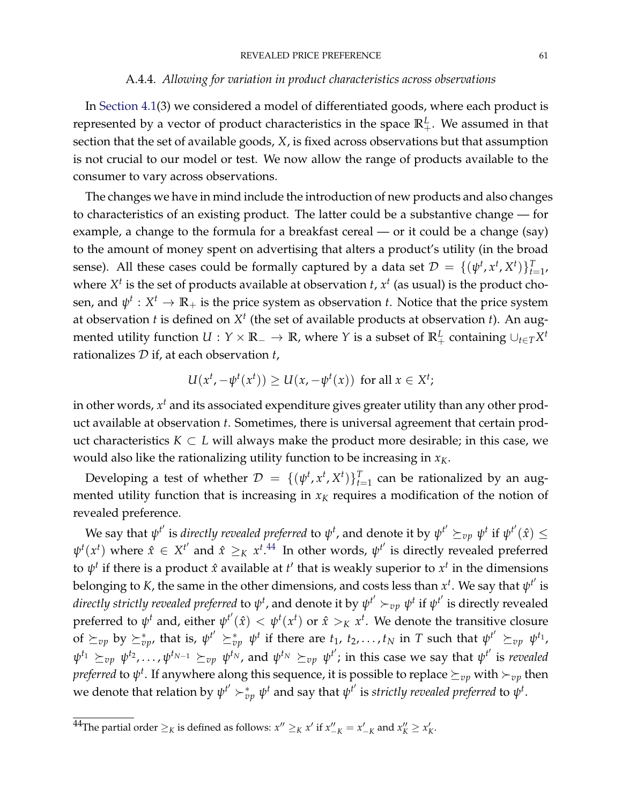### A.4.4. *Allowing for variation in product characteristics across observations*

<span id="page-60-0"></span>In [Section](#page-21-0) [4.1\(](#page-21-0)3) we considered a model of differentiated goods, where each product is represented by a vector of product characteristics in the space  $\mathbb{R}^L_+$ . We assumed in that section that the set of available goods, *X*, is fixed across observations but that assumption is not crucial to our model or test. We now allow the range of products available to the consumer to vary across observations.

The changes we have in mind include the introduction of new products and also changes to characteristics of an existing product. The latter could be a substantive change — for example, a change to the formula for a breakfast cereal — or it could be a change (say) to the amount of money spent on advertising that alters a product's utility (in the broad sense). All these cases could be formally captured by a data set  $\mathcal{D} = \{(\psi^t, x^t, X^t)\}_{t=1}^T$ where  $X^t$  is the set of products available at observation  $t$ ,  $x^t$  (as usual) is the product chosen, and  $\psi^t: X^t \to \mathbb{R}_+$  is the price system as observation *t*. Notice that the price system at observation *t* is defined on *X t* (the set of available products at observation *t*). An augmented utility function  $U: Y \times \mathbb{R}_- \to \mathbb{R}$ , where  $Y$  is a subset of  $\mathbb{R}_+^L$  containing  $\cup_{t \in T} X^t$ rationalizes D if, at each observation *t*,

$$
U(xt, -\psit(xt)) \ge U(x, -\psit(x)) \text{ for all } x \in Xt;
$$

in other words*,*  $x^t$  and its associated expenditure gives greater utility than any other product available at observation *t*. Sometimes, there is universal agreement that certain product characteristics  $K \subset L$  will always make the product more desirable; in this case, we would also like the rationalizing utility function to be increasing in *xK*.

Developing a test of whether  $\mathcal{D} = \{(\psi^t, x^t, X^t)\}_{t=1}^T$  can be rationalized by an augmented utility function that is increasing in  $x_K$  requires a modification of the notion of revealed preference.

We say that  $\psi^{t'}$  is *directly revealed preferred* to  $\psi^t$ , and denote it by  $\psi^{t'}\succeq_{vp} \psi^t$  if  $\psi^{t'}(\hat{x})\leq$  $\psi^t(x^t)$  where  $\hat{x} \in X^{t'}$  and  $\hat{x} \geq_K x^{t.44}$  $\hat{x} \geq_K x^{t.44}$  $\hat{x} \geq_K x^{t.44}$  In other words,  $\psi^{t'}$  is directly revealed preferred to  $ψ$ <sup>t</sup> if there is a product *x*̂ available at *t'* that is weakly superior to  $x$ <sup>t</sup> in the dimensions belonging to  $K$ , the same in the other dimensions, and costs less than  $x^t$ . We say that  $\psi^{t'}$  is *directly strictly revealed preferred to*  $\psi^t$ *,* and denote it by  $\psi^{t'}\succ_{vp} \psi^t$  if  $\psi^{t'}$  is directly revealed preferred to  $\psi^t$  and, either  $\psi^{t'}(\hat{x}) < \psi^t(x^t)$  or  $\hat{x} >_K x^t$ . We denote the transitive closure of  $\succeq_{vp}$  by  $\succeq^*_{vp}$ , that is,  $\psi^{t'} \succeq^*_{vp} \psi^t$  if there are  $t_1, t_2, \ldots, t_N$  in  $T$  such that  $\psi^{t'} \succeq_{vp} \psi^{t_1}$ ,  $\psi^{t_1}\succeq_{vp} \psi^{t_2},\ldots,\psi^{t_{N-1}}\succeq_{vp} \psi^{t_N}$ , and  $\psi^{t_N}\succeq_{vp} \psi^{t'}$ ; in this case we say that  $\psi^{t'}$  is *revealed*  $\emph{preferred}$  to  $\psi^t.$  If anywhere along this sequence, it is possible to replace  $\succeq_{vp}$  with  $\succ_{vp}$  then we denote that relation by  $\psi^{t'} \succ_{vp}^* \psi^t$  and say that  $\psi^{t'}$  is *strictly revealed preferred* to  $\psi^t.$ 

 $^{44}$ The partial order  $\geq_K$  is defined as follows:  $x'' \geq_K x'$  if  $x''_{-K} = x'_{-K}$  and  $x''_K \geq x'_K$ .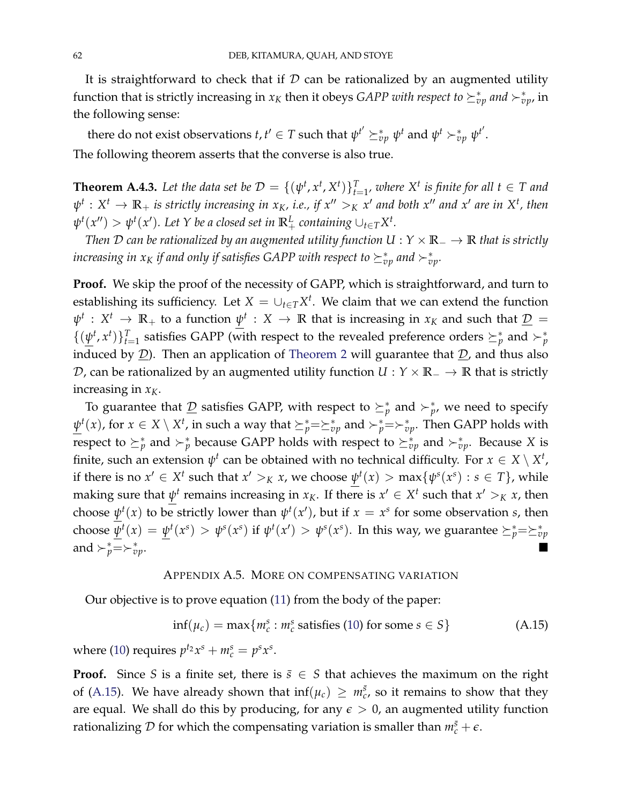It is straightforward to check that if  $D$  can be rationalized by an augmented utility function that is strictly increasing in  $x_K$  then it obeys *GAPP with respect to*  $\succeq^*_{vp}$  *and*  $\succ^*_{vp}$ *,* in the following sense:

there do not exist observations  $t, t' \in T$  such that  $\psi^{t'} \succeq_{vp}^* \psi^t$  and  $\psi^t \succ_{vp}^* \psi^{t'}$ . The following theorem asserts that the converse is also true.

**Theorem A.4.3.** Let the data set be  $\mathcal{D} = \{(\psi^t, x^t, X^t)\}_{t=1}^T$ , where  $X^t$  is finite for all  $t \in T$  and  $\psi^t: X^t \to \mathbb{R}_+$  *is strictly increasing in x<sub>K</sub>, i.e., if*  $x'' >_K x'$  *and both*  $x''$  *and*  $x'$  *are in*  $X^t$ *, then*  $\psi^t(x'') > \psi^t(x')$ . Let Y be a closed set in  $\mathbb{R}^L_+$  containing ∪<sub>t∈</sub>*TX*<sup>*t*</sup>.

*Then* D *can be rationalized by an augmented utility function U* : *Y* × **R**<sup>−</sup> → **R** *that is strictly* increasing in  $x_K$  if and only if satisfies GAPP with respect to  $\succeq_{vp}^*$  and  $\succ_{vp}^*$ .

**Proof.** We skip the proof of the necessity of GAPP, which is straightforward, and turn to establishing its sufficiency. Let  $X = \cup_{t \in T} X^t$ . We claim that we can extend the function  $\psi^t$  :  $X^t$   $\rightarrow$   $\mathbb{R}_+$  to a function  $\underline{\psi}^t$  :  $X$   $\rightarrow$   $\mathbb{R}$  that is increasing in  $x_K$  and such that  $\underline{\mathcal{D}}$  =  $\{(\underline{\psi}^t, x^t)\}_{t=1}^T$  satisfies GAPP (with respect to the revealed preference orders  $\succeq_p^*$  and  $\succ_p^*$ induced by  $D$ ). Then an application of [Theorem](#page-20-1) [2](#page-20-1) will guarantee that  $D$ , and thus also D, can be rationalized by an augmented utility function *U* : *Y* × **R**<sup>−</sup> → **R** that is strictly increasing in  $x_K$ .

To guarantee that  $\underline{\mathcal{D}}$  satisfies GAPP, with respect to  $\succeq^*_p$  and  $\succ^*_{p'}$ , we need to specify  $\underline{\psi}^t(x)$ , for  $x \in X \setminus X^t$ , in such a way that  $\succeq_p^* = \succeq_{vp}^*$  and  $\succ_p^* = \succ_{vp}^*$ . Then GAPP holds with respect to  $\succeq^*_p$  and  $\succ^*_p$  because GAPP holds with respect to  $\succeq^*_{vp}$  and  $\succ^*_{vp}.$  Because X is finite, such an extension  $\psi^t$  can be obtained with no technical difficulty. For  $x \in X \setminus X^t$ , if there is no  $x' \in X^t$  such that  $x' >_K x$ , we choose  $\underline{\psi}^t(x) > \max\{\psi^s(x^s) : s \in T\}$ , while making sure that  $\underline{\psi}^t$  remains increasing in  $x_K$ . If there is  $x' \in X^t$  such that  $x' >_K x$ , then choose  $\psi^t(x)$  to be strictly lower than  $\psi^t(x')$ , but if  $x = x^s$  for some observation *s*, then choose  $\underline{\psi}^t(x)=\underline{\psi}^t(x^s)>\psi^s(x^s)$  if  $\psi^t(x')>\psi^s(x^s).$  In this way, we guarantee  $\succeq^*_p=\succeq^*_{vp}$ and  $\succ_p^*=\succ_p^*$ *vp*.

#### APPENDIX A.5. MORE ON COMPENSATING VARIATION

<span id="page-61-0"></span>Our objective is to prove equation [\(11\)](#page-17-1) from the body of the paper:

<span id="page-61-1"></span>
$$
\inf(\mu_c) = \max\{m_c^s : m_c^s \text{ satisfies (10) for some } s \in S\}
$$
 (A.15)

where [\(10\)](#page-17-0) requires  $p^{t_2}x^s + m_c^s = p^s x^s$ .

**Proof.** Since *S* is a finite set, there is  $\bar{s} \in S$  that achieves the maximum on the right of [\(A.15\)](#page-61-1). We have already shown that  $inf(\mu_c) \geq m_c^{\bar{s}}$ , so it remains to show that they are equal. We shall do this by producing, for any  $\epsilon > 0$ , an augmented utility function rationalizing  $\mathcal D$  for which the compensating variation is smaller than  $m_c^{\bar{s}}+\epsilon.$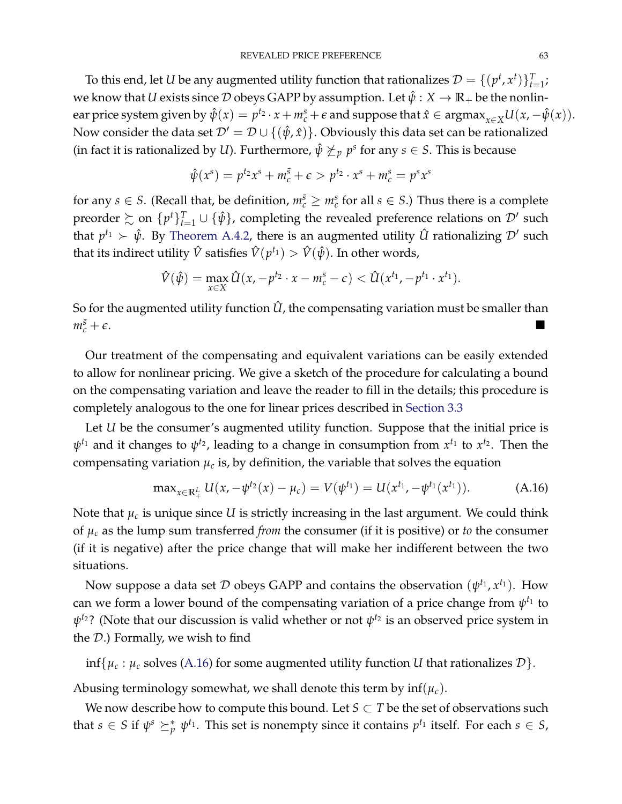To this end, let *U* be any augmented utility function that rationalizes  $\mathcal{D} = \{(p^t, x^t)\}_{t=1}^T$ ; we know that *U* exists since  $D$  obeys GAPP by assumption. Let  $\hat{\psi}: X \to \mathbb{R}_+$  be the nonlin- $\text{ear price system given by } \hat{\psi}(x) = p^{t_2} \cdot x + m_c^{\bar{s}} + \epsilon \text{ and suppose that } \hat{x} \in \text{argmax}_{x \in X} U(x, -\hat{\psi}(x)).$ Now consider the data set  $\mathcal{D}' = \mathcal{D} \cup \{(\hat{\psi}, \hat{x})\}$ . Obviously this data set can be rationalized (in fact it is rationalized by *U*). Furthermore,  $\hat{\psi} \not\geq_p p^s$  for any  $s \in S$ . This is because

$$
\hat{\psi}(x^s) = p^{t_2}x^s + m_c^{\bar{s}} + \epsilon > p^{t_2} \cdot x^s + m_c^s = p^s x^s
$$

for any  $s \in S$ . (Recall that, be definition,  $m_c^{\bar{s}} \ge m_c^s$  for all  $s \in S$ .) Thus there is a complete preorder  $\succsim$  on  $\{p^t\}_{t=1}^T \cup \{\hat{\psi}\}$ , completing the revealed preference relations on  $\mathcal{D}'$  such that  $p^{t_1} \succ \hat{\psi}$ . By [Theorem](#page-56-0) [A.4.2,](#page-56-0) there is an augmented utility  $\hat{U}$  rationalizing  $\mathcal{D}'$  such that its indirect utility  $\hat{V}$  satisfies  $\hat{V}(p^{t_1}) > \hat{V}(\hat{\psi}).$  In other words,

$$
\hat{V}(\hat{\psi}) = \max_{x \in X} \hat{U}(x, -p^{t_2} \cdot x - m_c^{\bar{s}} - \epsilon) < \hat{U}(x^{t_1}, -p^{t_1} \cdot x^{t_1}).
$$

So for the augmented utility function  $\hat{U}$ , the compensating variation must be smaller than  $m_c^{\bar{s}}+\epsilon$ .  $\frac{\bar{s}}{c} + \epsilon$ .

Our treatment of the compensating and equivalent variations can be easily extended to allow for nonlinear pricing. We give a sketch of the procedure for calculating a bound on the compensating variation and leave the reader to fill in the details; this procedure is completely analogous to the one for linear prices described in [Section](#page-16-0) [3.3](#page-16-0)

Let *U* be the consumer's augmented utility function. Suppose that the initial price is  $\psi^{t_1}$  and it changes to  $\psi^{t_2}$ , leading to a change in consumption from  $x^{t_1}$  to  $x^{t_2}$ . Then the compensating variation  $\mu_c$  is, by definition, the variable that solves the equation

<span id="page-62-0"></span>
$$
\max_{x \in \mathbb{R}_+^L} U(x, -\psi^{t_2}(x) - \mu_c) = V(\psi^{t_1}) = U(x^{t_1}, -\psi^{t_1}(x^{t_1})). \tag{A.16}
$$

Note that  $\mu_c$  is unique since  $U$  is strictly increasing in the last argument. We could think of *µ<sup>c</sup>* as the lump sum transferred *from* the consumer (if it is positive) or *to* the consumer (if it is negative) after the price change that will make her indifferent between the two situations.

Now suppose a data set  $D$  obeys GAPP and contains the observation  $(\psi^{t_1}, x^{t_1})$ . How can we form a lower bound of the compensating variation of a price change from  $\psi^{t_1}$  to  $ψ$ <sup>*t*2?</sup> (Note that our discussion is valid whether or not  $ψ$ <sup>*t*2</sup> is an observed price system in the D.) Formally, we wish to find

 $\inf\{\mu_c : \mu_c$  solves [\(A.16\)](#page-62-0) for some augmented utility function *U* that rationalizes  $\mathcal{D}\}$ .

Abusing terminology somewhat, we shall denote this term by  $\inf(\mu_c)$ .

We now describe how to compute this bound. Let  $S \subset T$  be the set of observations such that  $s \in S$  if  $\psi^s \succeq^*_{p} \psi^{t_1}$ . This set is nonempty since it contains  $p^{t_1}$  itself. For each  $s \in S$ ,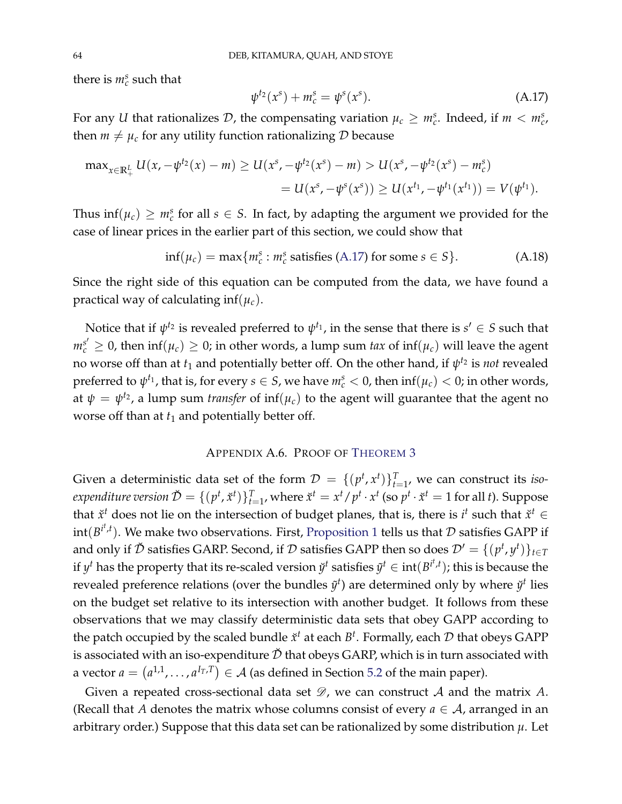there is  $m_c^s$  such that

<span id="page-63-0"></span>
$$
\psi^{t_2}(x^s) + m_c^s = \psi^s(x^s). \tag{A.17}
$$

For any *U* that rationalizes  $D$ , the compensating variation  $\mu_c \geq m_c^s$ . Indeed, if  $m < m_c^s$ , then  $m \neq \mu_c$  for any utility function rationalizing D because

$$
\max_{x \in \mathbb{R}_+^L} U(x, -\psi^{t_2}(x) - m) \ge U(x^s, -\psi^{t_2}(x^s) - m) > U(x^s, -\psi^{t_2}(x^s) - m_c^s)
$$
  
=  $U(x^s, -\psi^s(x^s)) \ge U(x^{t_1}, -\psi^{t_1}(x^{t_1})) = V(\psi^{t_1}).$ 

Thus  $\inf(\mu_c) \geq m_c^s$  for all  $s \in S$ . In fact, by adapting the argument we provided for the case of linear prices in the earlier part of this section, we could show that

$$
\inf(\mu_c) = \max\{m_c^s : m_c^s \text{ satisfies (A.17) for some } s \in S\}. \tag{A.18}
$$

Since the right side of this equation can be computed from the data, we have found a practical way of calculating inf(*µc*).

Notice that if  $\psi^{t_2}$  is revealed preferred to  $\psi^{t_1}$ , in the sense that there is  $s' \in S$  such that  $m_c^{s'} \geq 0$ , then  $\inf(\mu_c) \geq 0$ ; in other words, a lump sum *tax* of  $\inf(\mu_c)$  will leave the agent no worse off than at  $t_1$  and potentially better off. On the other hand, if  $\psi^{t_2}$  is *not* revealed preferred to  $\psi^{t_1}$ , that is, for every  $s \in S$ , we have  $m_c^s < 0$ , then  $\inf(\mu_c) < 0$ ; in other words, at  $\psi = \psi^{t_2}$ , a lump sum *transfer* of  $\inf(\mu_c)$  to the agent will guarantee that the agent no worse off than at  $t_1$  and potentially better off.

### APPENDIX A.6. PROOF OF T[HEOREM](#page-28-1) [3](#page-28-1)

Given a deterministic data set of the form  $\mathcal{D} = \{(p^t, x^t)\}_{t=1}^T$ , we can construct its *isoexpenditure version*  $\check{\mathcal{D}} = \{(p^t, \check{x}^t)\}_{t=1}^T$ *, where*  $\check{x}^t = x^t/p^t \cdot x^t$  *(so*  $p^t \cdot \check{x}^t = 1$  *for all t). Suppose* that  $\check{x}^t$  does not lie on the intersection of budget planes, that is, there is  $i^t$  such that  $\check{x}^t \in$  $int(B^{i^t,t})$ . We make two observations. First, [Proposition](#page-14-0) [1](#page-14-0) tells us that  $\mathcal D$  satisfies GAPP if and only if  $\check{\mathcal{D}}$  satisfies GARP. Second, if  $\mathcal{D}$  satisfies GAPP then so does  $\mathcal{D}' = \{(p^t, y^t)\}_{t \in T}$ if  $y^t$  has the property that its re-scaled version  $\ddot{y}^t$  satisfies  $\ddot{y}^t \in \text{int}(B^{i^t,t})$ ; this is because the revealed preference relations (over the bundles  $\tilde{y}^t$ ) are determined only by where  $\check{y}^t$  lies on the budget set relative to its intersection with another budget. It follows from these observations that we may classify deterministic data sets that obey GAPP according to the patch occupied by the scaled bundle  $\check{x}^t$  at each  $B^t$ . Formally, each  $\mathcal D$  that obeys GAPP is associated with an iso-expenditure  $\check{\mathcal{D}}$  that obeys GARP, which is in turn associated with a vector  $a = (a^{1,1}, \ldots, a^{I_T,T}) \in A$  (as defined in Section [5.2](#page-25-2) of the main paper).

Given a repeated cross-sectional data set  $\mathscr{D}$ , we can construct  $\mathcal A$  and the matrix  $A$ . (Recall that *A* denotes the matrix whose columns consist of every  $a \in A$ , arranged in an arbitrary order.) Suppose that this data set can be rationalized by some distribution *µ*. Let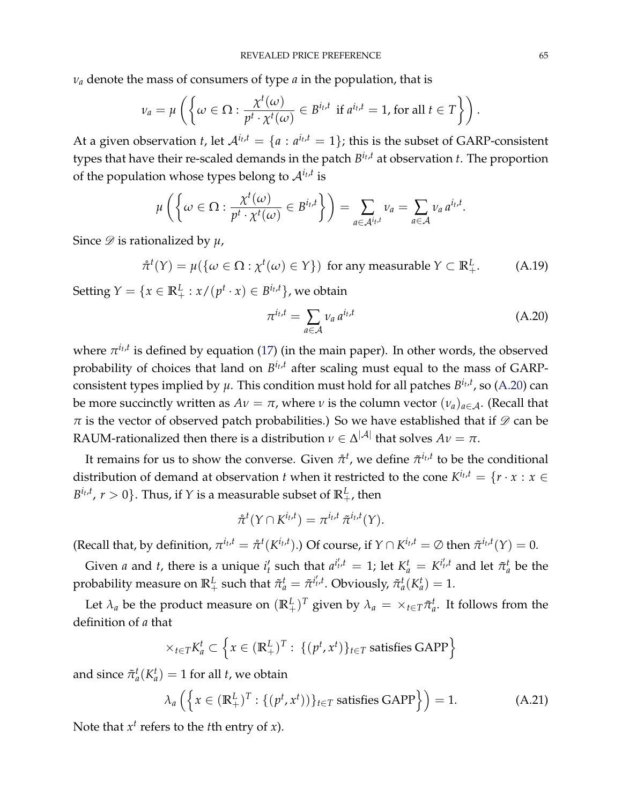$\nu_a$  denote the mass of consumers of type *a* in the population, that is

$$
\nu_a = \mu\left(\left\{\omega \in \Omega : \frac{\chi^t(\omega)}{p^t \cdot \chi^t(\omega)} \in B^{i_t,t} \text{ if } a^{i_t,t} = 1 \text{, for all } t \in T\right\}\right).
$$

At a given observation *t*, let  $A^{i_t,t} = \{a : a^{i_t,t} = 1\}$ ; this is the subset of GARP-consistent types that have their re-scaled demands in the patch *B it* ,*<sup>t</sup>* at observation *t*. The proportion of the population whose types belong to  $\mathcal{A}^{i_t,t}$  is

$$
\mu\left(\left\{\omega\in\Omega:\frac{\chi^t(\omega)}{p^t\cdot\chi^t(\omega)}\in B^{i_t,t}\right\}\right)=\sum_{a\in\mathcal{A}^{i_t,t}}\nu_a=\sum_{a\in\mathcal{A}}\nu_a a^{i_t,t}.
$$

Since  $\mathscr{D}$  is rationalized by  $\mu$ ,

<span id="page-64-2"></span>
$$
\hat{\pi}^t(Y) = \mu(\{\omega \in \Omega : \chi^t(\omega) \in Y\}) \text{ for any measurable } Y \subset \mathbb{R}_+^L. \tag{A.19}
$$

Setting  $Y = \{x \in \mathbb{R}^L_+ : x/(p^t \cdot x) \in B^{i_t, t}\}\)$ , we obtain

<span id="page-64-0"></span>
$$
\pi^{i_t,t} = \sum_{a \in \mathcal{A}} v_a a^{i_t,t} \tag{A.20}
$$

where  $\pi^{i_t,t}$  is defined by equation [\(17\)](#page-27-0) (in the main paper). In other words, the observed probability of choices that land on  $B^{i_t,t}$  after scaling must equal to the mass of GARPconsistent types implied by  $\mu$ . This condition must hold for all patches  $B^{i_t,t}$ , so [\(A.20\)](#page-64-0) can be more succinctly written as  $Av = \pi$ , where *ν* is the column vector  $(v_a)_{a \in \mathcal{A}}$ . (Recall that  $\pi$  is the vector of observed patch probabilities.) So we have established that if  $\mathscr{D}$  can be RAUM-rationalized then there is a distribution  $\nu \in \Delta^{|\mathcal{A}|}$  that solves  $A\nu = \pi$ .

It remains for us to show the converse. Given  $\mathring{\pi}^t$ , we define  $\tilde{\pi}^{i_t,t}$  to be the conditional distribution of demand at observation *t* when it restricted to the cone  $K^{i_t,t} = \{r \cdot x : x \in$  $B^{i_t,t}$ ,  $r > 0$ }. Thus, if *Y* is a measurable subset of  $\mathbb{R}^L_+$ , then

$$
\mathring{\pi}^t(Y \cap K^{i_t,t}) = \pi^{i_t,t} \, \tilde{\pi}^{i_t,t}(Y).
$$

(Recall that, by definition,  $\pi^{i_t,t} = \mathring{\pi}^t(K^{i_t,t})$ .) Of course, if  $Y \cap K^{i_t,t} = \emptyset$  then  $\tilde{\pi}^{i_t,t}(Y) = 0$ .

Given *a* and *t*, there is a unique  $i'_t$  such that  $a^{i'_t,t} = 1$ ; let  $K_a^t = K^{i'_t,t}$  and let  $\tilde{\pi}_a^t$  be the probability measure on  $\mathbb{R}^L_+$  such that  $\tilde{\pi}^t_a = \tilde{\pi}^{i'_t,t}$ . Obviously,  $\tilde{\pi}^t_a(K^t_a) = 1$ .

Let  $\lambda_a$  be the product measure on  $(\mathbb{R}^L_+)^T$  given by  $\lambda_a = \times_{t \in T} \tilde{\pi}_a^t$ . It follows from the definition of *a* that

$$
\times_{t \in T} K_a^t \subset \left\{ x \in (\mathbb{R}_+^L)^T : \{ (p^t, x^t) \}_{t \in T} \text{ satisfies GAPP} \right\}
$$

and since  $\tilde{\pi}_a^t(K_a^t) = 1$  for all *t*, we obtain

<span id="page-64-1"></span>
$$
\lambda_a\left(\left\{x \in (\mathbb{R}^L_+)^T : \left\{(p^t, x^t)\right\}\right\}_{t \in T} \text{ satisfies GAPP}\right\}\right) = 1. \tag{A.21}
$$

Note that  $x^t$  refers to the *t*th entry of *x*).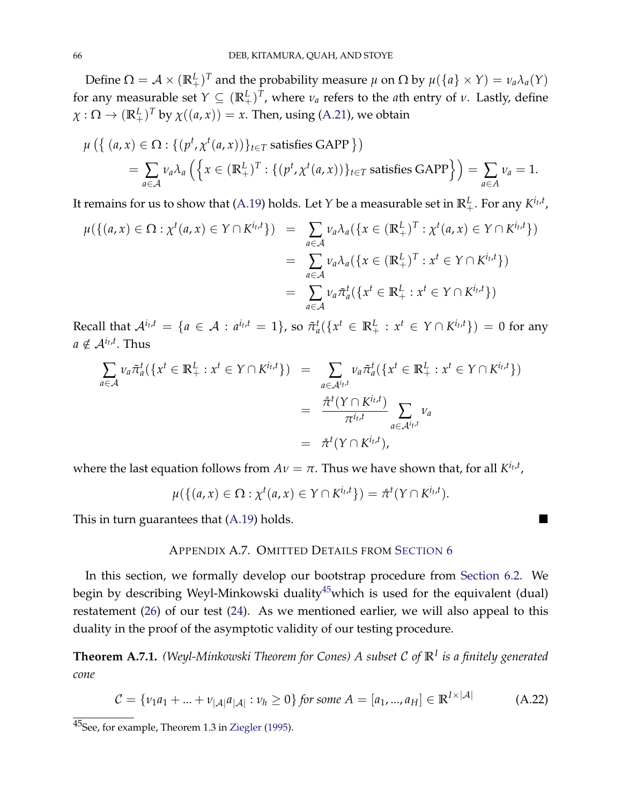Define  $\Omega = \mathcal{A} \times (\mathbb{R}^L_+)^T$  and the probability measure  $\mu$  on  $\Omega$  by  $\mu({a} \times Y) = \nu_a \lambda_a(Y)$ for any measurable set  $Y \subseteq (\mathbb{R}^L_+)^T$ , where  $\nu_a$  refers to the *a*th entry of  $\nu$ . Lastly, define  $\chi : \Omega \to (\mathbb{R}^L_+)^T$  by  $\chi((a, x)) = x$ . Then, using [\(A.21\)](#page-64-1), we obtain

$$
\mu\left(\left\{(a,x)\in\Omega:\left\{(p^t,\chi^t(a,x))\right\}_{t\in T} \text{ satisfies GAPP }\right\}\right)
$$
  
=  $\sum_{a\in A} \nu_a \lambda_a \left(\left\{x\in (\mathbb{R}_+^L)^T:\left\{(p^t,\chi^t(a,x))\right\}_{t\in T} \text{ satisfies GAPP }\right\}\right) = \sum_{a\in A} \nu_a = 1.$ 

It remains for us to show that [\(A.19\)](#page-64-2) holds. Let  $Y$  be a measurable set in  $\mathbb{R}^L_+$ . For any  $K^{i_t,t}$ ,

$$
\mu(\{(a,x)\in\Omega:\chi^t(a,x)\in\Upsilon\cap K^{i_t,t}\}) = \sum_{a\in\mathcal{A}} \nu_a \lambda_a(\{x\in(\mathbb{R}^L_+)^T:\chi^t(a,x)\in\Upsilon\cap K^{i_t,t}\})
$$
  

$$
= \sum_{a\in\mathcal{A}} \nu_a \lambda_a(\{x\in(\mathbb{R}^L_+)^T:x^t\in\Upsilon\cap K^{i_t,t}\})
$$
  

$$
= \sum_{a\in\mathcal{A}} \nu_a \tilde{\pi}_a^t(\{x^t\in\mathbb{R}^L_+ : x^t\in\Upsilon\cap K^{i_t,t}\})
$$

Recall that  $\mathcal{A}^{i_t,t} = \{a \in \mathcal{A} : a^{i_t,t} = 1\}$ , so  $\tilde{\pi}_a^t(\{x^t \in \mathbb{R}^L_+ : x^t \in Y \cap K^{i_t,t}\}) = 0$  for any  $a \notin \mathcal{A}^{i_t,t}$ . Thus

$$
\sum_{a \in \mathcal{A}} \nu_a \tilde{\pi}_a^t (\{x^t \in \mathbb{R}^L_+ : x^t \in Y \cap K^{i_t, t}\}) = \sum_{a \in \mathcal{A}^{i_t, t}} \nu_a \tilde{\pi}_a^t (\{x^t \in \mathbb{R}^L_+ : x^t \in Y \cap K^{i_t, t}\})
$$
\n
$$
= \frac{\tilde{\pi}^t (Y \cap K^{i_t, t})}{\pi^{i_t, t}} \sum_{a \in \mathcal{A}^{i_t, t}} \nu_a
$$
\n
$$
= \tilde{\pi}^t (Y \cap K^{i_t, t}),
$$

where the last equation follows from  $Av = \pi$ . Thus we have shown that, for all  $K^{i_t,t}$ ,

$$
\mu(\{(a,x)\in\Omega:\chi^t(a,x)\in\Upsilon\cap K^{i_t,t}\})=\mathring{\pi}^t(\Upsilon\cap K^{i_t,t}).
$$

<span id="page-65-0"></span>This in turn guarantees that [\(A.19\)](#page-64-2) holds.

### APPENDIX A.7. OMITTED DETAILS FROM S[ECTION](#page-30-3) [6](#page-30-3)

In this section, we formally develop our bootstrap procedure from [Section](#page-30-1) [6.2.](#page-30-1) We begin by describing Weyl-Minkowski duality<sup>[45](#page-0-0)</sup>which is used for the equivalent (dual) restatement [\(26\)](#page-31-2) of our test [\(24\)](#page-31-0). As we mentioned earlier, we will also appeal to this duality in the proof of the asymptotic validity of our testing procedure.

<span id="page-65-2"></span>**Theorem A.7.1.** *(Weyl-Minkowski Theorem for Cones) A subset* <sup>C</sup> *of* **<sup>R</sup>***<sup>I</sup> is a finitely generated cone*

<span id="page-65-1"></span>
$$
C = \{v_1 a_1 + \dots + v_{|\mathcal{A}|} a_{|\mathcal{A}|} : v_h \ge 0\} \text{ for some } A = [a_1, ..., a_H] \in \mathbb{R}^{I \times |\mathcal{A}|} \tag{A.22}
$$

<sup>45</sup>See, for example, Theorem 1.3 in [Ziegler](#page-70-11) [\(1995\)](#page-70-11).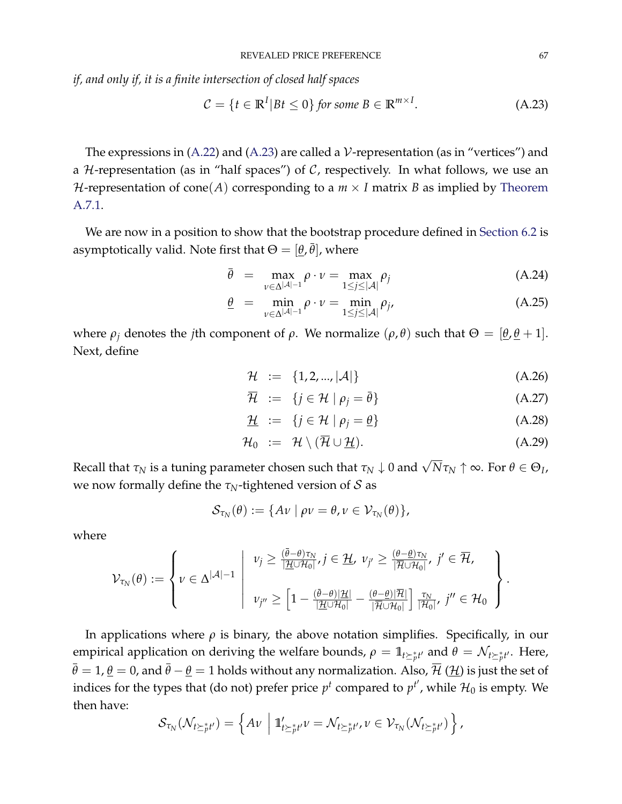*if, and only if, it is a finite intersection of closed half spaces*

<span id="page-66-0"></span>
$$
C = \{ t \in \mathbb{R}^I | Bt \le 0 \} \text{ for some } B \in \mathbb{R}^{m \times I}. \tag{A.23}
$$

The expressions in [\(A.22\)](#page-65-1) and [\(A.23\)](#page-66-0) are called a  $V$ -representation (as in "vertices") and a  $H$ -representation (as in "half spaces") of  $C$ , respectively. In what follows, we use an *H*-representation of cone(*A*) corresponding to a  $m \times I$  matrix *B* as implied by [Theorem](#page-65-2) [A.7.1.](#page-65-2)

We are now in a position to show that the bootstrap procedure defined in [Section](#page-30-1) [6.2](#page-30-1) is asymptotically valid. Note first that  $\Theta = [\underline{\theta}, \overline{\theta}]$ , where

$$
\bar{\theta} = \max_{\nu \in \Delta^{|\mathcal{A}|-1}} \rho \cdot \nu = \max_{1 \le j \le |\mathcal{A}|} \rho_j \tag{A.24}
$$

$$
\underline{\theta} = \min_{\nu \in \Delta^{|\mathcal{A}|-1}} \rho \cdot \nu = \min_{1 \le j \le |\mathcal{A}|} \rho_j,\tag{A.25}
$$

where *ρ*<sup>*j*</sup> denotes the *j*th component of *ρ*. We normalize (*ρ*, *θ*) such that  $Θ = [θ, θ + 1]$ . Next, define

<span id="page-66-1"></span>
$$
\mathcal{H} := \{1, 2, ..., |\mathcal{A}|\}\tag{A.26}
$$

$$
\overline{\mathcal{H}} := \{ j \in \mathcal{H} \mid \rho_j = \overline{\theta} \}
$$
 (A.27)

$$
\underline{\mathcal{H}} := \{ j \in \mathcal{H} \mid \rho_j = \underline{\theta} \} \tag{A.28}
$$

$$
\mathcal{H}_0 := \mathcal{H} \setminus (\overline{\mathcal{H}} \cup \underline{\mathcal{H}}). \tag{A.29}
$$

 $R$ ecall that  $\tau_N$  is a tuning parameter chosen such that  $\tau_N\downarrow 0$  and  $\sqrt{N}\tau_N\uparrow\infty.$  For  $\theta\in\Theta_I$ , we now formally define the *τN*-tightened version of S as

$$
\mathcal{S}_{\tau_N}(\theta) := \{ A \nu \mid \rho \nu = \theta, \nu \in \mathcal{V}_{\tau_N}(\theta) \},
$$

where

$$
\mathcal{V}_{\tau_N}(\theta) := \left\{ v \in \Delta^{|\mathcal{A}|-1} \; \left| \; \begin{array}{l} v_j \geq \frac{(\bar{\theta}-\theta)\tau_N}{|\mathcal{H} \cup \mathcal{H}_0|}, j \in \mathcal{H}, \; v_{j'} \geq \frac{(\theta-\theta)\tau_N}{|\mathcal{H} \cup \mathcal{H}_0|}, \; j' \in \mathcal{H}, \\ v_{j''} \geq \left[1 - \frac{(\bar{\theta}-\theta)|\mathcal{H}|}{|\mathcal{H} \cup \mathcal{H}_0|} - \frac{(\theta-\theta)|\mathcal{H}|}{|\mathcal{H} \cup \mathcal{H}_0|}\right] \frac{\tau_N}{|\mathcal{H}_0|}, \; j'' \in \mathcal{H}_0 \end{array} \right\}.
$$

In applications where *ρ* is binary, the above notation simplifies. Specifically, in our empirical application on deriving the welfare bounds,  $ρ = 1\!\!1_{t \succeq p t'}$  and  $θ = \mathcal{N}_{t \succeq p t'}$ . Here,  $\bar{\theta} = 1$ ,  $\underline{\theta} = 0$ , and  $\bar{\theta} - \underline{\theta} = 1$  holds without any normalization. Also,  $\bar{\mathcal{H}}$  ( $\underline{\mathcal{H}}$ ) is just the set of indices for the types that (do not) prefer price  $p^t$  compared to  $p^{t'}$ , while  $\mathcal{H}_0$  is empty. We then have:

$$
\mathcal{S}_{\tau_N}(\mathcal{N}_{t\geq p t'})=\left\{A\nu\ \left|\ \mathbb{1}'_{t\geq p t'}\nu=\mathcal{N}_{t\geq p t'},\nu\in\mathcal{V}_{\tau_N}(\mathcal{N}_{t\geq p t'})\right.\right\},\
$$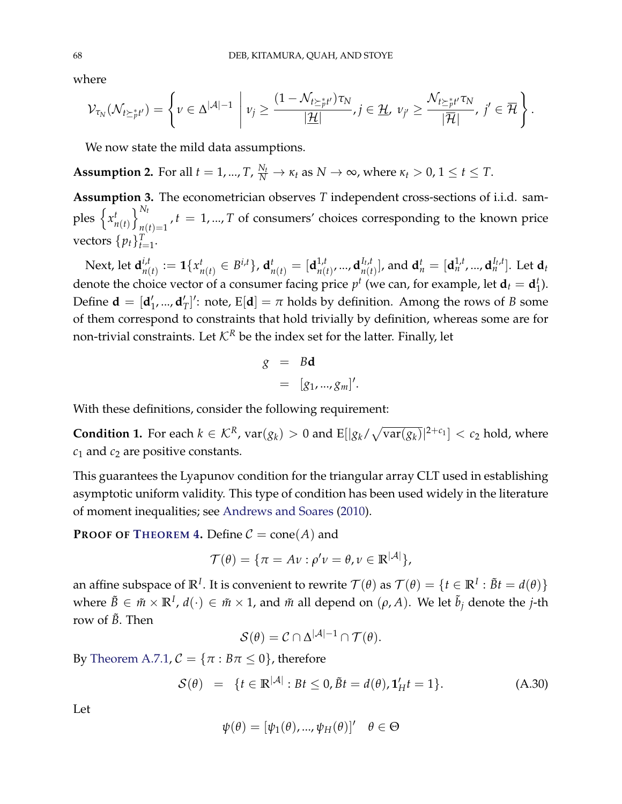where

$$
\mathcal{V}_{\tau_N}(\mathcal{N}_{t\geq_p^*t'})=\left\{\nu\in\Delta^{|\mathcal{A}|-1}\;\left|\; \nu_j\geq \frac{(1-\mathcal{N}_{t\geq_p^*t'})\tau_N}{|\mathcal{H}|},j\in\mathcal{H},\; \nu_{j'}\geq \frac{\mathcal{N}_{t\geq_p^*t'}\tau_N}{|\mathcal{H}|},\;j'\in\mathcal{\overline{H}}\right.\right\}.
$$

We now state the mild data assumptions.

<span id="page-67-1"></span>**Assumption 2.** For all  $t = 1, ..., T$ ,  $\frac{N_t}{N} \to \kappa_t$  as  $N \to \infty$ , where  $\kappa_t > 0$ ,  $1 \le t \le T$ .

<span id="page-67-2"></span>**Assumption 3.** The econometrician observes *T* independent cross-sections of i.i.d. samples  $\{x_i^t\}$ *n*(*t*)  $\bigcap_{t=1}^{N_t}$  $\hat{f}_{n(t)=1}$ ,  $t=1,...,T$  of consumers' choices corresponding to the known price vectors  $\{p_t\}_{t=1}^T$ .

Next, let **d** *i*,*t*  $\mathbf{1}_{n(t)}^{i,t} := \mathbf{1}\{x_r^t\}$  $\mathbf{d}_{n(t)}^{t} \in B^{i,t}\}$ ,  $\mathbf{d}_{n(t)}^{t} = [\mathbf{d}_{n(t)}^{1,t}]$  $\mathbf{d}_{n(t)}^{1,t}$ , ...,  $\mathbf{d}_{n(t)}^{I_t,t}$  $\mathbf{d}_{n(t)}^{I_t,t}$ ], and  $\mathbf{d}_{n}^{t} = [\mathbf{d}_{n}^{1,t},...,\mathbf{d}_{n}^{I_t,t}].$  Let  $\mathbf{d}_{t}$ denote the choice vector of a consumer facing price  $p^t$  (we can, for example, let  $\mathbf{d}_t = \mathbf{d}_1^t$  $_{1}^{t}$ ). Define  $\mathbf{d} = [\mathbf{d}'_1, ..., \mathbf{d}'_T]$ ': note, E $[\mathbf{d}] = \pi$  holds by definition. Among the rows of *B* some of them correspond to constraints that hold trivially by definition, whereas some are for non-trivial constraints. Let  $K^R$  be the index set for the latter. Finally, let

$$
g = Bd
$$
  
= [g<sub>1</sub>,...,g<sub>m</sub>]'

With these definitions, consider the following requirement:

<span id="page-67-0"></span>**Condition 1.** For each  $k \in \mathcal{K}^R$ ,  $var(g_k) > 0$  and  $E[|g_k/\sqrt{var(g_k)}|^{2+c_1}] < c_2$  hold, where  $c_1$  and  $c_2$  are positive constants.

This guarantees the Lyapunov condition for the triangular array CLT used in establishing asymptotic uniform validity. This type of condition has been used widely in the literature of moment inequalities; see [Andrews and Soares](#page-70-12) [\(2010\)](#page-70-12).

**PROOF OF T[HEOREM](#page-33-1) [4.](#page-33-1)** Define  $C = \text{cone}(A)$  and

$$
\mathcal{T}(\theta) = \{ \pi = A \nu : \rho' \nu = \theta, \nu \in \mathbb{R}^{|\mathcal{A}|} \},
$$

an affine subspace of  $\mathbb{R}^I$ . It is convenient to rewrite  $\mathcal{T}(\theta)$  as  $\mathcal{T}(\theta) = \{t \in \mathbb{R}^I : \tilde{B}t = d(\theta)\}$  $\forall x$  where  $\tilde{B} \in \tilde{m} \times \mathbb{R}^I$ ,  $d(\cdot) \in \tilde{m} \times 1$ , and  $\tilde{m}$  all depend on  $(\rho, A)$ . We let  $\tilde{b}_j$  denote the *j*-th row of  $\tilde{B}$ . Then

$$
\mathcal{S}(\theta) = \mathcal{C} \cap \Delta^{|\mathcal{A}| - 1} \cap \mathcal{T}(\theta).
$$

By [Theorem](#page-65-2) [A.7.1,](#page-65-2)  $C = {\pi : B\pi \le 0}$ , therefore

<span id="page-67-3"></span>
$$
\mathcal{S}(\theta) = \{t \in \mathbb{R}^{|\mathcal{A}|} : Bt \le 0, \tilde{B}t = d(\theta), \mathbf{1}'_{H}t = 1\}.
$$
 (A.30)

Let

$$
\psi(\theta) = [\psi_1(\theta), ..., \psi_H(\theta)]' \quad \theta \in \Theta
$$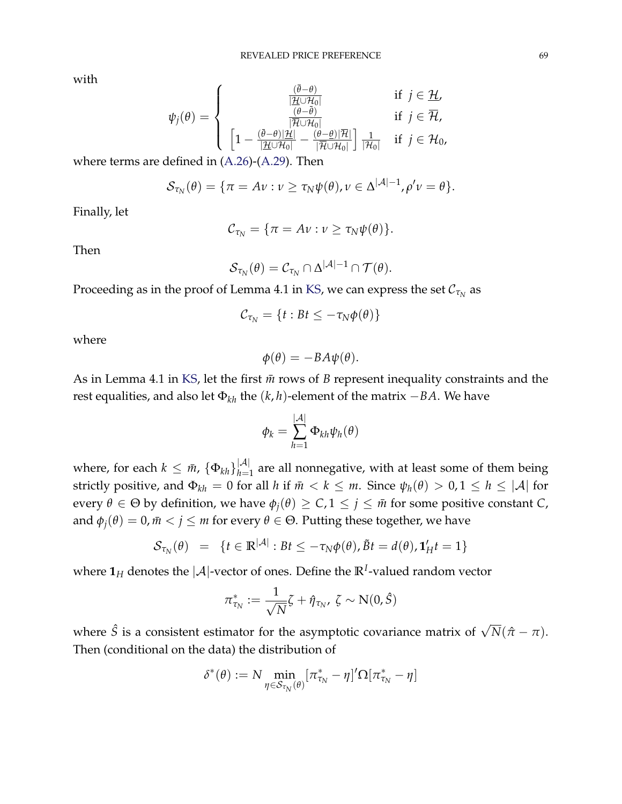with

$$
\psi_j(\theta) = \begin{cases}\n\frac{(\bar{\theta} - \theta)}{|\mathcal{H} \cup \mathcal{H}_0|} & \text{if } j \in \mathcal{H}, \\
\frac{(\bar{\theta} - \bar{\theta})}{|\mathcal{H} \cup \mathcal{H}_0|} & \text{if } j \in \mathcal{H}, \\
\left[1 - \frac{(\bar{\theta} - \theta)|\mathcal{H}|}{|\mathcal{H} \cup \mathcal{H}_0|} - \frac{(\theta - \theta)|\mathcal{H}|}{|\mathcal{H} \cup \mathcal{H}_0|}\right] \frac{1}{|\mathcal{H}_0|} & \text{if } j \in \mathcal{H}_0,\n\end{cases}
$$

where terms are defined in [\(A.26\)](#page-66-1)-[\(A.29\)](#page-66-1). Then

$$
\mathcal{S}_{\tau_N}(\theta) = \{ \pi = A \nu : \nu \geq \tau_N \psi(\theta), \nu \in \Delta^{|\mathcal{A}|-1}, \rho' \nu = \theta \}.
$$

Finally, let

$$
\mathcal{C}_{\tau_N}=\{\pi=A\nu:\nu\geq\tau_N\psi(\theta)\}.
$$

Then

$$
{\mathcal S}_{\tau_N}(\theta) = {\mathcal C}_{\tau_N} \cap \Delta^{|{\mathcal A}|-1} \cap {\mathcal T}(\theta).
$$

Proceeding as in the proof of Lemma 4.1 in [KS,](#page-42-5) we can express the set  $\mathcal{C}_{\tau_N}$  as

$$
\mathcal{C}_{\tau_N} = \{t : Bt \leq -\tau_N \phi(\theta)\}
$$

where

$$
\phi(\theta) = -BA\psi(\theta).
$$

As in Lemma 4.1 in [KS,](#page-42-5) let the first  $\bar{m}$  rows of *B* represent inequality constraints and the rest equalities, and also let  $\Phi_{kh}$  the  $(k, h)$ -element of the matrix  $-BA$ . We have

$$
\phi_k = \sum_{h=1}^{|\mathcal{A}|} \Phi_{kh} \psi_h(\theta)
$$

where, for each  $k \leq \bar{m}$ ,  $\{\Phi_{kh}\}_{h=1}^{|\mathcal{A}|}$  are all nonnegative, with at least some of them being strictly positive, and  $\Phi_{kh} = 0$  for all *h* if  $\bar{m} < k \le m$ . Since  $\psi_h(\theta) > 0, 1 \le h \le |\mathcal{A}|$  for every  $\theta \in \Theta$  by definition, we have  $\phi_j(\theta) \geq C$ ,  $1 \leq j \leq \bar{m}$  for some positive constant *C*, and  $\phi_i(\theta) = 0$ ,  $\bar{m} < j \le m$  for every  $\theta \in \Theta$ . Putting these together, we have

$$
\mathcal{S}_{\tau_N}(\theta) = \{t \in \mathbb{R}^{|\mathcal{A}|} : Bt \le -\tau_N \phi(\theta), \tilde{B}t = d(\theta), \mathbf{1}_H't = 1\}
$$

where  $\mathbf{1}_H$  denotes the  $|\mathcal{A}|$ -vector of ones. Define the  $\mathbb{R}^I$ -valued random vector

$$
\pi_{\tau_N}^* := \frac{1}{\sqrt{N}} \zeta + \hat{\eta}_{\tau_N}, \ \zeta \sim N(0, \hat{S})
$$

where  $\hat{S}$  is a consistent estimator for the asymptotic covariance matrix of  $\sqrt{N}(\hat{\pi}-\pi)$ . Then (conditional on the data) the distribution of

$$
\delta^*(\theta) := N \min_{\eta \in \mathcal{S}_{\tau_N}(\theta)} [\pi^*_{\tau_N} - \eta]' \Omega[\pi^*_{\tau_N} - \eta]
$$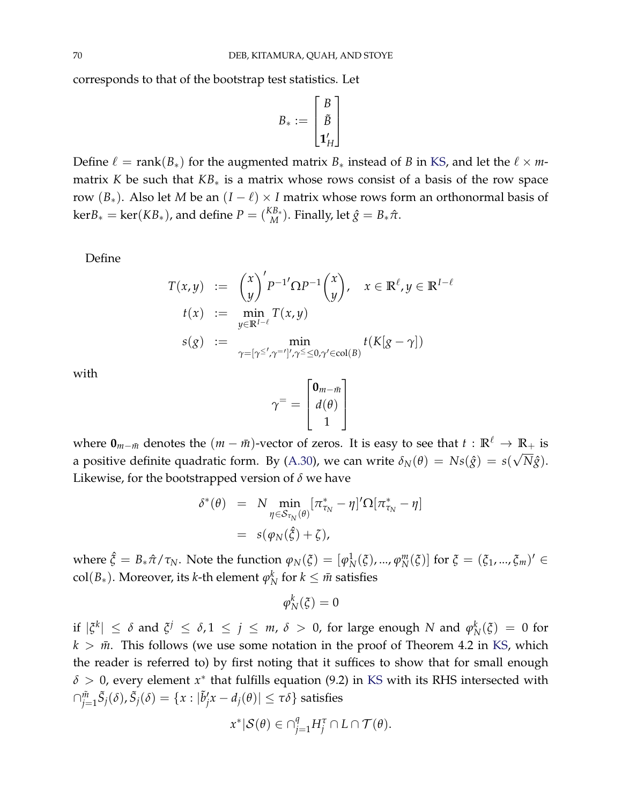corresponds to that of the bootstrap test statistics. Let

$$
B_* := \begin{bmatrix} B \\ \tilde{B} \\ \mathbf{1}_H' \end{bmatrix}
$$

Define  $\ell$  = rank( $B_*$ ) for the augmented matrix  $B_*$  instead of *B* in [KS,](#page-42-5) and let the  $\ell \times m$ matrix *K* be such that *KB*<sup>∗</sup> is a matrix whose rows consist of a basis of the row space row ( $B_*$ ). Also let *M* be an ( $I - \ell$ ) × *I* matrix whose rows form an orthonormal basis of  $\ker B_* = \ker(KB_*)$ , and define  $P = \binom{KB_*}{M}$ . Finally, let  $\hat{g} = B_*\hat{\pi}$ .

Define

$$
T(x,y) := {x \choose y}' P^{-1} \Omega P^{-1} {x \choose y}, \quad x \in \mathbb{R}^{\ell}, y \in \mathbb{R}^{I-\ell}
$$
  
\n
$$
t(x) := \min_{y \in \mathbb{R}^{I-\ell}} T(x,y)
$$
  
\n
$$
s(g) := \min_{\gamma = [\gamma^{\leq'}, \gamma^{='}]', \gamma^{\leq} \leq 0, \gamma' \in \text{col}(B)} t(K[g - \gamma])
$$

with

$$
\gamma^= = \begin{bmatrix} \mathbf{0}_{m-\bar{m}} \\ d(\theta) \\ 1 \end{bmatrix}
$$

where  $\mathbf{0}_{m-\bar{m}}$  denotes the  $(m-\bar{m})$ -vector of zeros. It is easy to see that  $t : \mathbb{R}^{\ell} \to \mathbb{R}_+$  is a positive definite quadratic form. By [\(A.30\)](#page-67-3), we can write  $\delta_N(\theta) = N s(\hat{g}) = s(\sqrt{N}\hat{g})$ . Likewise, for the bootstrapped version of *δ* we have

$$
\delta^*(\theta) = N \min_{\eta \in S_{\tau_N}(\theta)} [\pi_{\tau_N}^* - \eta]' \Omega[\pi_{\tau_N}^* - \eta]
$$
  
=  $s(\varphi_N(\hat{\xi}) + \zeta),$ 

where  $\hat{\zeta} = B_* \hat{\pi} / \tau_N$ . Note the function  $\varphi_N(\xi) = [\varphi_N^1]$ *N* (*ξ*), ..., *ϕ m N*</sub>(*ξ*)] for *ξ* = (*ξ*<sub>1</sub>, ..., *ξ<sub>m</sub>*)<sup>*i*</sup> ∈ col(*B*∗). Moreover, its *k*-th element *ϕ k*  $\frac{k}{N}$  for  $k \leq \bar{m}$  satisfies

$$
\varphi_N^k(\xi)=0
$$

if  $|\xi^k| \leq \delta$  and  $\xi^j \leq \delta, 1 \leq j \leq m$ ,  $\delta > 0$ , for large enough N and  $\varphi^k_N$  $N^K_N(\xi) = 0$  for  $k > m$ . This follows (we use some notation in the proof of Theorem 4.2 in [KS,](#page-42-5) which the reader is referred to) by first noting that it suffices to show that for small enough  $\delta > 0$ , every element  $x^*$  that fulfills equation (9.2) in [KS](#page-42-5) with its RHS intersected with  $\cap_{j=1}^{\tilde{m}}\tilde{S}_j(\delta), \tilde{S}_j(\delta)=\{x: |\tilde{b}'_j x - d_j(\theta)|\leq \tau\delta\}$  satisfies

$$
x^*|\mathcal{S}(\theta) \in \cap_{j=1}^q H_j^{\tau} \cap L \cap \mathcal{T}(\theta).
$$